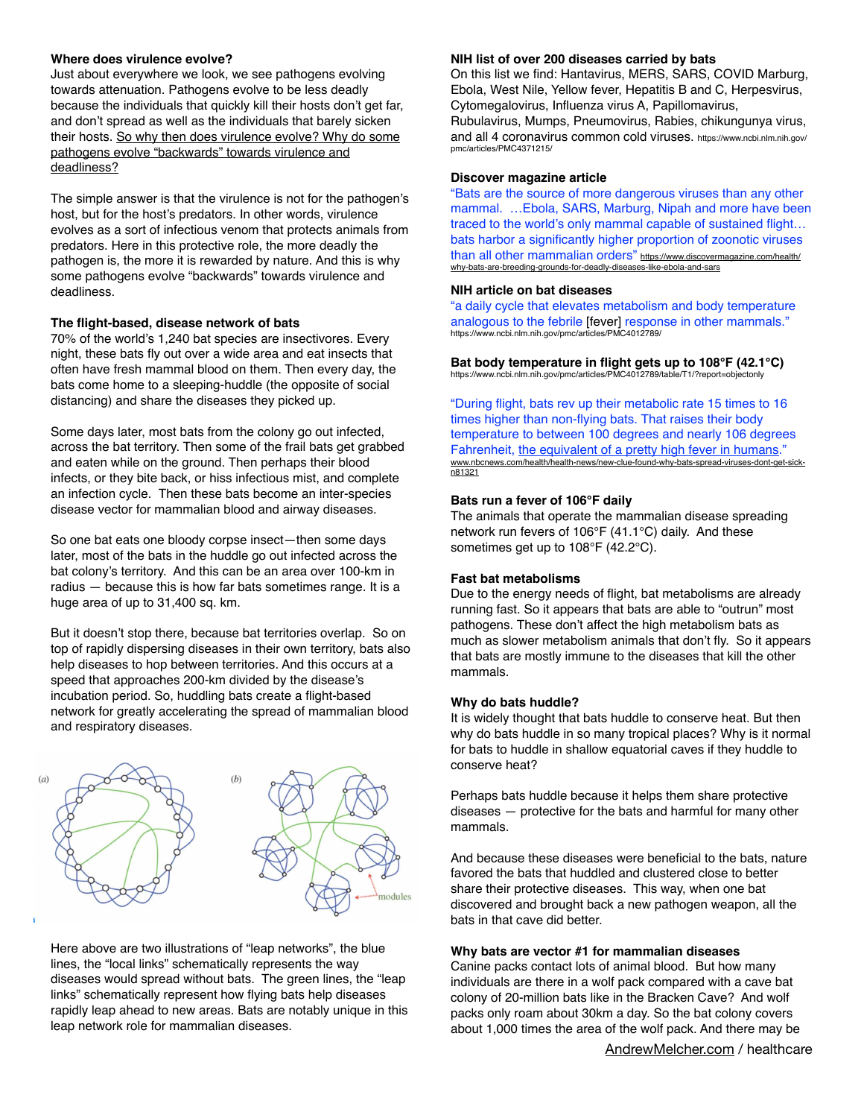### **Where does virulence evolve?**

Just about everywhere we look, we see pathogens evolving towards attenuation. Pathogens evolve to be less deadly because the individuals that quickly kill their hosts don't get far, and don't spread as well as the individuals that barely sicken their hosts. So why then does virulence evolve? Why do some pathogens evolve "backwards" towards virulence and deadliness?

The simple answer is that the virulence is not for the pathogen's host, but for the host's predators. In other words, virulence evolves as a sort of infectious venom that protects animals from predators. Here in this protective role, the more deadly the pathogen is, the more it is rewarded by nature. And this is why some pathogens evolve "backwards" towards virulence and deadliness.

### **The flight-based, disease network of bats**

70% of the world's 1,240 bat species are insectivores. Every night, these bats fly out over a wide area and eat insects that often have fresh mammal blood on them. Then every day, the bats come home to a sleeping-huddle (the opposite of social distancing) and share the diseases they picked up.

Some days later, most bats from the colony go out infected, across the bat territory. Then some of the frail bats get grabbed and eaten while on the ground. Then perhaps their blood infects, or they bite back, or hiss infectious mist, and complete an infection cycle. Then these bats become an inter-species disease vector for mammalian blood and airway diseases.

So one bat eats one bloody corpse insect—then some days later, most of the bats in the huddle go out infected across the bat colony's territory. And this can be an area over 100-km in radius — because this is how far bats sometimes range. It is a huge area of up to 31,400 sq. km.

But it doesn't stop there, because bat territories overlap. So on top of rapidly dispersing diseases in their own territory, bats also help diseases to hop between territories. And this occurs at a speed that approaches 200-km divided by the disease's incubation period. So, huddling bats create a flight-based network for greatly accelerating the spread of mammalian blood and respiratory diseases.



Here above are two illustrations of "leap networks", the blue lines, the "local links" schematically represents the way diseases would spread without bats. The green lines, the "leap links" schematically represent how flying bats help diseases rapidly leap ahead to new areas. Bats are notably unique in this leap network role for mammalian diseases.

#### **NIH list of over 200 diseases carried by bats**

On this list we find: Hantavirus, MERS, SARS, COVID Marburg, Ebola, West Nile, Yellow fever, Hepatitis B and C, Herpesvirus, Cytomegalovirus, Influenza virus A, Papillomavirus,

Rubulavirus, Mumps, Pneumovirus, Rabies, chikungunya virus, and all 4 coronavirus common cold viruses. https://www.ncbi.nlm.nih.gov/ pmc/articles/PMC4371215/

#### **Discover magazine article**

"Bats are the source of more dangerous viruses than any other mammal. …Ebola, SARS, Marburg, Nipah and more have been traced to the world's only mammal capable of sustained flight… bats harbor a significantly higher proportion of zoonotic viruses than all other mammalian orders" [https://www.discovermagazine.com/health/](https://www.discovermagazine.com/health/why-bats-are-breeding-grounds-for-deadly-diseases-like-ebola-and-sars) [why-bats-are-breeding-grounds-for-deadly-diseases-like-ebola-and-sars](https://www.discovermagazine.com/health/why-bats-are-breeding-grounds-for-deadly-diseases-like-ebola-and-sars)

#### **NIH article on bat diseases**

"a daily cycle that elevates metabolism and body temperature analogous to the febrile [fever] response in other mammals." https://www.ncbi.nlm.nih.gov/pmc/articles/PMC4012789/

**Bat body temperature in flight gets up to 108°F (42.1°C)** https://www.ncbi.nlm.nih.gov/pmc/articles/PMC4012789/table/T1/?report=objectonly

"During flight, bats rev up their metabolic rate 15 times to 16 times higher than non-flying bats. That raises their body temperature to between 100 degrees and nearly 106 degrees Fahrenheit, the equivalent of a pretty high fever in humans. [www.nbcnews.com/health/health-news/new-clue-found-why-bats-spread-viruses-dont-get-sick](http://www.nbcnews.com/health/health-news/new-clue-found-why-bats-spread-viruses-dont-get-sick-n81321)[n81321](http://www.nbcnews.com/health/health-news/new-clue-found-why-bats-spread-viruses-dont-get-sick-n81321)

### **Bats run a fever of 106°F daily**

The animals that operate the mammalian disease spreading network run fevers of 106°F (41.1°C) daily. And these sometimes get up to 108°F (42.2°C).

#### **Fast bat metabolisms**

Due to the energy needs of flight, bat metabolisms are already running fast. So it appears that bats are able to "outrun" most pathogens. These don't affect the high metabolism bats as much as slower metabolism animals that don't fly. So it appears that bats are mostly immune to the diseases that kill the other mammals.

#### **Why do bats huddle?**

It is widely thought that bats huddle to conserve heat. But then why do bats huddle in so many tropical places? Why is it normal for bats to huddle in shallow equatorial caves if they huddle to conserve heat?

Perhaps bats huddle because it helps them share protective diseases — protective for the bats and harmful for many other mammals.

And because these diseases were beneficial to the bats, nature favored the bats that huddled and clustered close to better share their protective diseases. This way, when one bat discovered and brought back a new pathogen weapon, all the bats in that cave did better.

### **Why bats are vector #1 for mammalian diseases**

Canine packs contact lots of animal blood. But how many individuals are there in a wolf pack compared with a cave bat colony of 20-million bats like in the Bracken Cave? And wolf packs only roam about 30km a day. So the bat colony covers about 1,000 times the area of the wolf pack. And there may be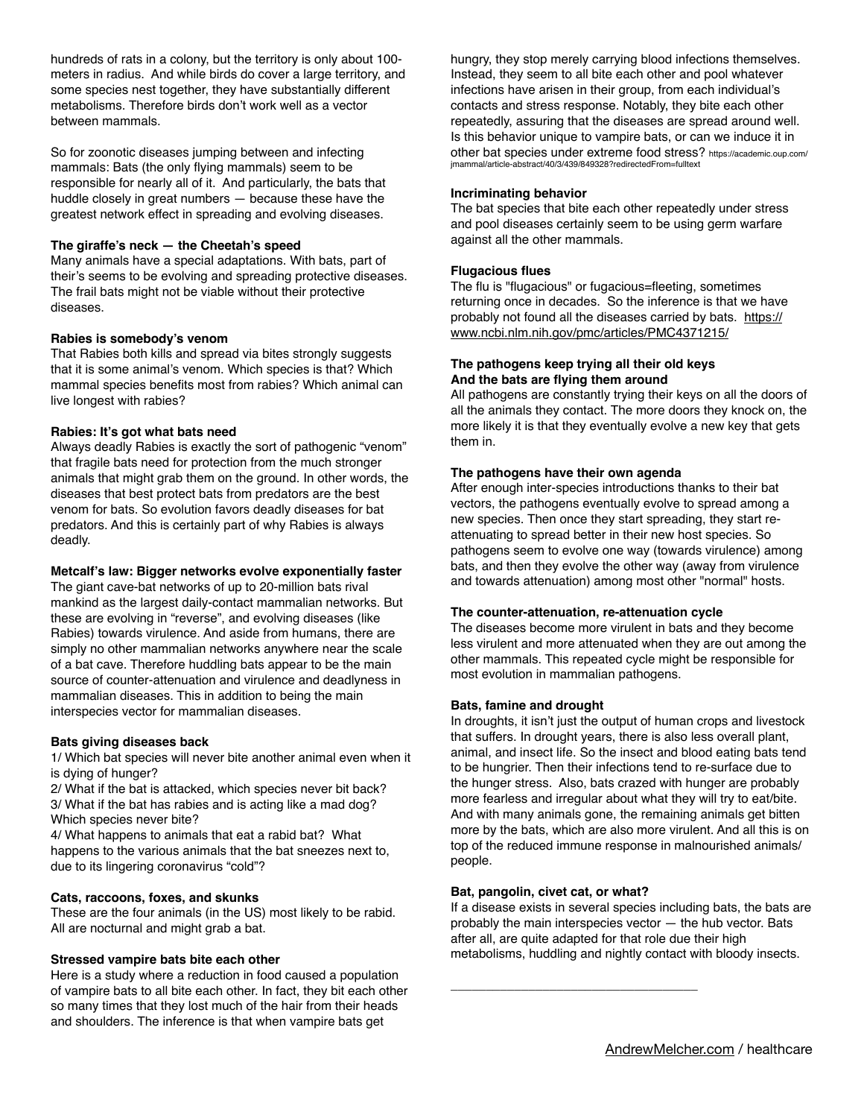hundreds of rats in a colony, but the territory is only about 100 meters in radius. And while birds do cover a large territory, and some species nest together, they have substantially different metabolisms. Therefore birds don't work well as a vector between mammals.

So for zoonotic diseases jumping between and infecting mammals: Bats (the only flying mammals) seem to be responsible for nearly all of it. And particularly, the bats that huddle closely in great numbers — because these have the greatest network effect in spreading and evolving diseases.

### **The giraffe's neck — the Cheetah's speed**

Many animals have a special adaptations. With bats, part of their's seems to be evolving and spreading protective diseases. The frail bats might not be viable without their protective diseases.

### **Rabies is somebody's venom**

That Rabies both kills and spread via bites strongly suggests that it is some animal's venom. Which species is that? Which mammal species benefits most from rabies? Which animal can live longest with rabies?

### **Rabies: It's got what bats need**

Always deadly Rabies is exactly the sort of pathogenic "venom" that fragile bats need for protection from the much stronger animals that might grab them on the ground. In other words, the diseases that best protect bats from predators are the best venom for bats. So evolution favors deadly diseases for bat predators. And this is certainly part of why Rabies is always deadly.

#### **Metcalf's law: Bigger networks evolve exponentially faster**

The giant cave-bat networks of up to 20-million bats rival mankind as the largest daily-contact mammalian networks. But these are evolving in "reverse", and evolving diseases (like Rabies) towards virulence. And aside from humans, there are simply no other mammalian networks anywhere near the scale of a bat cave. Therefore huddling bats appear to be the main source of counter-attenuation and virulence and deadlyness in mammalian diseases. This in addition to being the main interspecies vector for mammalian diseases.

## **Bats giving diseases back**

1/ Which bat species will never bite another animal even when it is dying of hunger?

2/ What if the bat is attacked, which species never bit back? 3/ What if the bat has rabies and is acting like a mad dog? Which species never bite?

4/ What happens to animals that eat a rabid bat? What happens to the various animals that the bat sneezes next to, due to its lingering coronavirus "cold"?

## **Cats, raccoons, foxes, and skunks**

These are the four animals (in the US) most likely to be rabid. All are nocturnal and might grab a bat.

## **Stressed vampire bats bite each other**

Here is a study where a reduction in food caused a population of vampire bats to all bite each other. In fact, they bit each other so many times that they lost much of the hair from their heads and shoulders. The inference is that when vampire bats get

hungry, they stop merely carrying blood infections themselves. Instead, they seem to all bite each other and pool whatever infections have arisen in their group, from each individual's contacts and stress response. Notably, they bite each other repeatedly, assuring that the diseases are spread around well. Is this behavior unique to vampire bats, or can we induce it in other bat species under extreme food stress? https://academic.oup.com/ jmammal/article-abstract/40/3/439/849328?redirectedFrom=fulltext

#### **Incriminating behavior**

The bat species that bite each other repeatedly under stress and pool diseases certainly seem to be using germ warfare against all the other mammals.

### **Flugacious flues**

The flu is "flugacious" or fugacious=fleeting, sometimes returning once in decades. So the inference is that we have probably not found all the diseases carried by bats. [https://](https://www.ncbi.nlm.nih.gov/pmc/articles/PMC4371215/) [www.ncbi.nlm.nih.gov/pmc/articles/PMC4371215/](https://www.ncbi.nlm.nih.gov/pmc/articles/PMC4371215/)

### **The pathogens keep trying all their old keys And the bats are flying them around**

All pathogens are constantly trying their keys on all the doors of all the animals they contact. The more doors they knock on, the more likely it is that they eventually evolve a new key that gets them in.

## **The pathogens have their own agenda**

After enough inter-species introductions thanks to their bat vectors, the pathogens eventually evolve to spread among a new species. Then once they start spreading, they start reattenuating to spread better in their new host species. So pathogens seem to evolve one way (towards virulence) among bats, and then they evolve the other way (away from virulence and towards attenuation) among most other "normal" hosts.

#### **The counter-attenuation, re-attenuation cycle**

The diseases become more virulent in bats and they become less virulent and more attenuated when they are out among the other mammals. This repeated cycle might be responsible for most evolution in mammalian pathogens.

## **Bats, famine and drought**

In droughts, it isn't just the output of human crops and livestock that suffers. In drought years, there is also less overall plant, animal, and insect life. So the insect and blood eating bats tend to be hungrier. Then their infections tend to re-surface due to the hunger stress. Also, bats crazed with hunger are probably more fearless and irregular about what they will try to eat/bite. And with many animals gone, the remaining animals get bitten more by the bats, which are also more virulent. And all this is on top of the reduced immune response in malnourished animals/ people.

#### **Bat, pangolin, civet cat, or what?**

\_\_\_\_\_\_\_\_\_\_\_\_\_\_\_\_\_\_\_\_\_\_\_\_\_\_\_\_\_\_\_\_\_\_\_

If a disease exists in several species including bats, the bats are probably the main interspecies vector — the hub vector. Bats after all, are quite adapted for that role due their high metabolisms, huddling and nightly contact with bloody insects.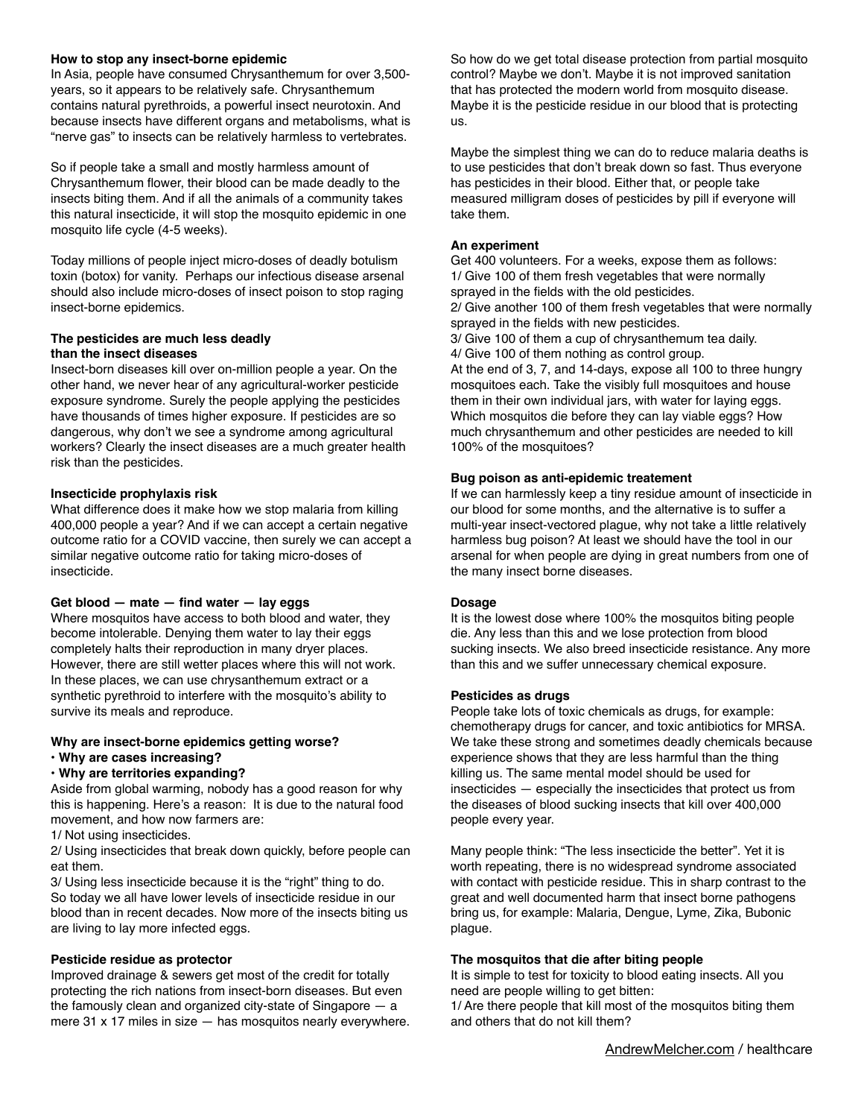### **How to stop any insect-borne epidemic**

In Asia, people have consumed Chrysanthemum for over 3,500 years, so it appears to be relatively safe. Chrysanthemum contains natural pyrethroids, a powerful insect neurotoxin. And because insects have different organs and metabolisms, what is "nerve gas" to insects can be relatively harmless to vertebrates.

So if people take a small and mostly harmless amount of Chrysanthemum flower, their blood can be made deadly to the insects biting them. And if all the animals of a community takes this natural insecticide, it will stop the mosquito epidemic in one mosquito life cycle (4-5 weeks).

Today millions of people inject micro-doses of deadly botulism toxin (botox) for vanity. Perhaps our infectious disease arsenal should also include micro-doses of insect poison to stop raging insect-borne epidemics.

## **The pesticides are much less deadly than the insect diseases**

Insect-born diseases kill over on-million people a year. On the other hand, we never hear of any agricultural-worker pesticide exposure syndrome. Surely the people applying the pesticides have thousands of times higher exposure. If pesticides are so dangerous, why don't we see a syndrome among agricultural workers? Clearly the insect diseases are a much greater health risk than the pesticides.

## **Insecticide prophylaxis risk**

What difference does it make how we stop malaria from killing 400,000 people a year? And if we can accept a certain negative outcome ratio for a COVID vaccine, then surely we can accept a similar negative outcome ratio for taking micro-doses of insecticide.

#### **Get blood — mate — find water — lay eggs**

Where mosquitos have access to both blood and water, they become intolerable. Denying them water to lay their eggs completely halts their reproduction in many dryer places. However, there are still wetter places where this will not work. In these places, we can use chrysanthemum extract or a synthetic pyrethroid to interfere with the mosquito's ability to survive its meals and reproduce.

#### **Why are insect-borne epidemics getting worse?**

#### **• Why are cases increasing?**

#### **• Why are territories expanding?**

Aside from global warming, nobody has a good reason for why this is happening. Here's a reason: It is due to the natural food movement, and how now farmers are:

1/ Not using insecticides.

2/ Using insecticides that break down quickly, before people can eat them.

3/ Using less insecticide because it is the "right" thing to do. So today we all have lower levels of insecticide residue in our blood than in recent decades. Now more of the insects biting us are living to lay more infected eggs.

#### **Pesticide residue as protector**

Improved drainage & sewers get most of the credit for totally protecting the rich nations from insect-born diseases. But even the famously clean and organized city-state of Singapore — a mere 31 x 17 miles in size — has mosquitos nearly everywhere.

So how do we get total disease protection from partial mosquito control? Maybe we don't. Maybe it is not improved sanitation that has protected the modern world from mosquito disease. Maybe it is the pesticide residue in our blood that is protecting us.

Maybe the simplest thing we can do to reduce malaria deaths is to use pesticides that don't break down so fast. Thus everyone has pesticides in their blood. Either that, or people take measured milligram doses of pesticides by pill if everyone will take them.

### **An experiment**

Get 400 volunteers. For a weeks, expose them as follows: 1/ Give 100 of them fresh vegetables that were normally sprayed in the fields with the old pesticides. 2/ Give another 100 of them fresh vegetables that were normally sprayed in the fields with new pesticides. 3/ Give 100 of them a cup of chrysanthemum tea daily. 4/ Give 100 of them nothing as control group. At the end of 3, 7, and 14-days, expose all 100 to three hungry mosquitoes each. Take the visibly full mosquitoes and house them in their own individual jars, with water for laying eggs. Which mosquitos die before they can lay viable eggs? How much chrysanthemum and other pesticides are needed to kill 100% of the mosquitoes?

### **Bug poison as anti-epidemic treatement**

If we can harmlessly keep a tiny residue amount of insecticide in our blood for some months, and the alternative is to suffer a multi-year insect-vectored plague, why not take a little relatively harmless bug poison? At least we should have the tool in our arsenal for when people are dying in great numbers from one of the many insect borne diseases.

#### **Dosage**

It is the lowest dose where 100% the mosquitos biting people die. Any less than this and we lose protection from blood sucking insects. We also breed insecticide resistance. Any more than this and we suffer unnecessary chemical exposure.

#### **Pesticides as drugs**

People take lots of toxic chemicals as drugs, for example: chemotherapy drugs for cancer, and toxic antibiotics for MRSA. We take these strong and sometimes deadly chemicals because experience shows that they are less harmful than the thing killing us. The same mental model should be used for insecticides — especially the insecticides that protect us from the diseases of blood sucking insects that kill over 400,000 people every year.

Many people think: "The less insecticide the better". Yet it is worth repeating, there is no widespread syndrome associated with contact with pesticide residue. This in sharp contrast to the great and well documented harm that insect borne pathogens bring us, for example: Malaria, Dengue, Lyme, Zika, Bubonic plague.

#### **The mosquitos that die after biting people**

It is simple to test for toxicity to blood eating insects. All you need are people willing to get bitten: 1/ Are there people that kill most of the mosquitos biting them

and others that do not kill them?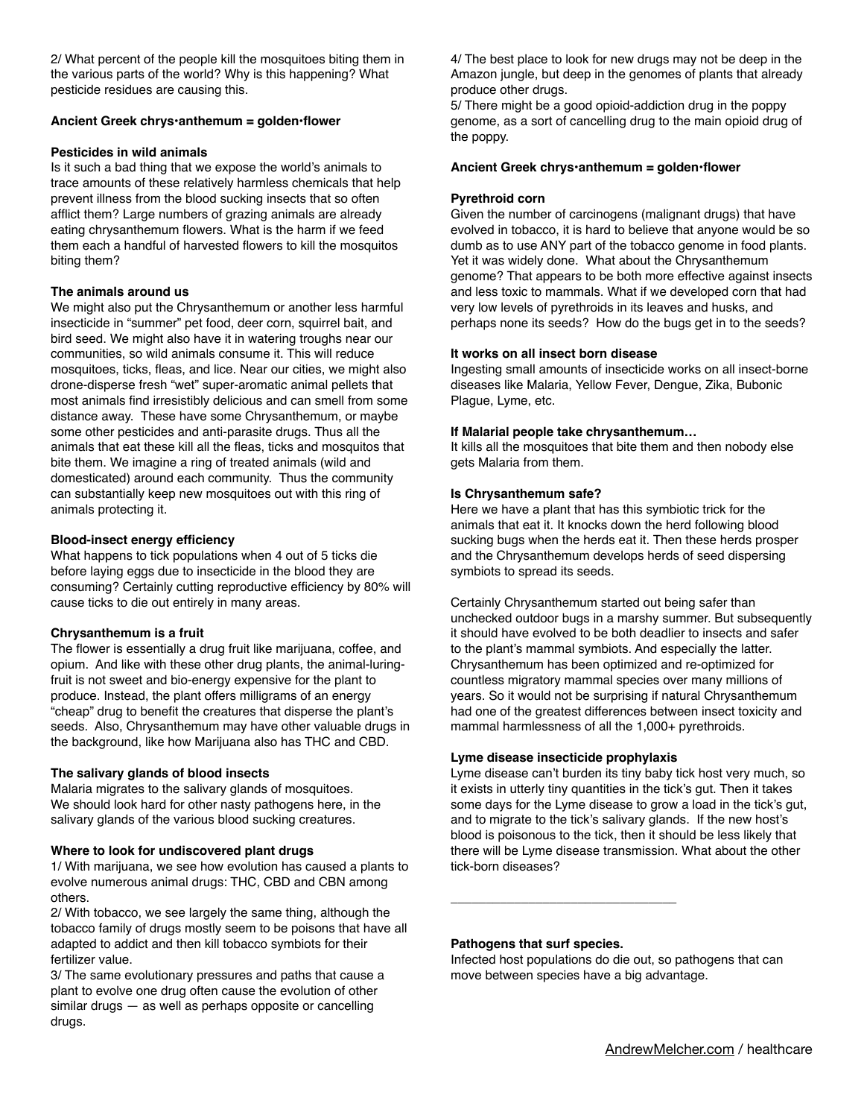2/ What percent of the people kill the mosquitoes biting them in the various parts of the world? Why is this happening? What pesticide residues are causing this.

## **Ancient Greek chrys•anthemum = golden•flower**

## **Pesticides in wild animals**

Is it such a bad thing that we expose the world's animals to trace amounts of these relatively harmless chemicals that help prevent illness from the blood sucking insects that so often afflict them? Large numbers of grazing animals are already eating chrysanthemum flowers. What is the harm if we feed them each a handful of harvested flowers to kill the mosquitos biting them?

## **The animals around us**

We might also put the Chrysanthemum or another less harmful insecticide in "summer" pet food, deer corn, squirrel bait, and bird seed. We might also have it in watering troughs near our communities, so wild animals consume it. This will reduce mosquitoes, ticks, fleas, and lice. Near our cities, we might also drone-disperse fresh "wet" super-aromatic animal pellets that most animals find irresistibly delicious and can smell from some distance away. These have some Chrysanthemum, or maybe some other pesticides and anti-parasite drugs. Thus all the animals that eat these kill all the fleas, ticks and mosquitos that bite them. We imagine a ring of treated animals (wild and domesticated) around each community. Thus the community can substantially keep new mosquitoes out with this ring of animals protecting it.

## **Blood-insect energy efficiency**

What happens to tick populations when 4 out of 5 ticks die before laying eggs due to insecticide in the blood they are consuming? Certainly cutting reproductive efficiency by 80% will cause ticks to die out entirely in many areas.

## **Chrysanthemum is a fruit**

The flower is essentially a drug fruit like marijuana, coffee, and opium. And like with these other drug plants, the animal-luringfruit is not sweet and bio-energy expensive for the plant to produce. Instead, the plant offers milligrams of an energy "cheap" drug to benefit the creatures that disperse the plant's seeds. Also, Chrysanthemum may have other valuable drugs in the background, like how Marijuana also has THC and CBD.

## **The salivary glands of blood insects**

Malaria migrates to the salivary glands of mosquitoes. We should look hard for other nasty pathogens here, in the salivary glands of the various blood sucking creatures.

## **Where to look for undiscovered plant drugs**

1/ With marijuana, we see how evolution has caused a plants to evolve numerous animal drugs: THC, CBD and CBN among others.

2/ With tobacco, we see largely the same thing, although the tobacco family of drugs mostly seem to be poisons that have all adapted to addict and then kill tobacco symbiots for their fertilizer value.

3/ The same evolutionary pressures and paths that cause a plant to evolve one drug often cause the evolution of other similar drugs — as well as perhaps opposite or cancelling drugs.

4/ The best place to look for new drugs may not be deep in the Amazon jungle, but deep in the genomes of plants that already produce other drugs.

5/ There might be a good opioid-addiction drug in the poppy genome, as a sort of cancelling drug to the main opioid drug of the poppy.

## **Ancient Greek chrys•anthemum = golden•flower**

## **Pyrethroid corn**

Given the number of carcinogens (malignant drugs) that have evolved in tobacco, it is hard to believe that anyone would be so dumb as to use ANY part of the tobacco genome in food plants. Yet it was widely done. What about the Chrysanthemum genome? That appears to be both more effective against insects and less toxic to mammals. What if we developed corn that had very low levels of pyrethroids in its leaves and husks, and perhaps none its seeds? How do the bugs get in to the seeds?

## **It works on all insect born disease**

Ingesting small amounts of insecticide works on all insect-borne diseases like Malaria, Yellow Fever, Dengue, Zika, Bubonic Plague, Lyme, etc.

## **If Malarial people take chrysanthemum…**

It kills all the mosquitoes that bite them and then nobody else gets Malaria from them.

## **Is Chrysanthemum safe?**

Here we have a plant that has this symbiotic trick for the animals that eat it. It knocks down the herd following blood sucking bugs when the herds eat it. Then these herds prosper and the Chrysanthemum develops herds of seed dispersing symbiots to spread its seeds.

Certainly Chrysanthemum started out being safer than unchecked outdoor bugs in a marshy summer. But subsequently it should have evolved to be both deadlier to insects and safer to the plant's mammal symbiots. And especially the latter. Chrysanthemum has been optimized and re-optimized for countless migratory mammal species over many millions of years. So it would not be surprising if natural Chrysanthemum had one of the greatest differences between insect toxicity and mammal harmlessness of all the 1,000+ pyrethroids.

## **Lyme disease insecticide prophylaxis**

\_\_\_\_\_\_\_\_\_\_\_\_\_\_\_\_\_\_\_\_\_\_\_\_\_\_\_\_\_\_\_\_

Lyme disease can't burden its tiny baby tick host very much, so it exists in utterly tiny quantities in the tick's gut. Then it takes some days for the Lyme disease to grow a load in the tick's gut, and to migrate to the tick's salivary glands. If the new host's blood is poisonous to the tick, then it should be less likely that there will be Lyme disease transmission. What about the other tick-born diseases?

## **Pathogens that surf species.**

Infected host populations do die out, so pathogens that can move between species have a big advantage.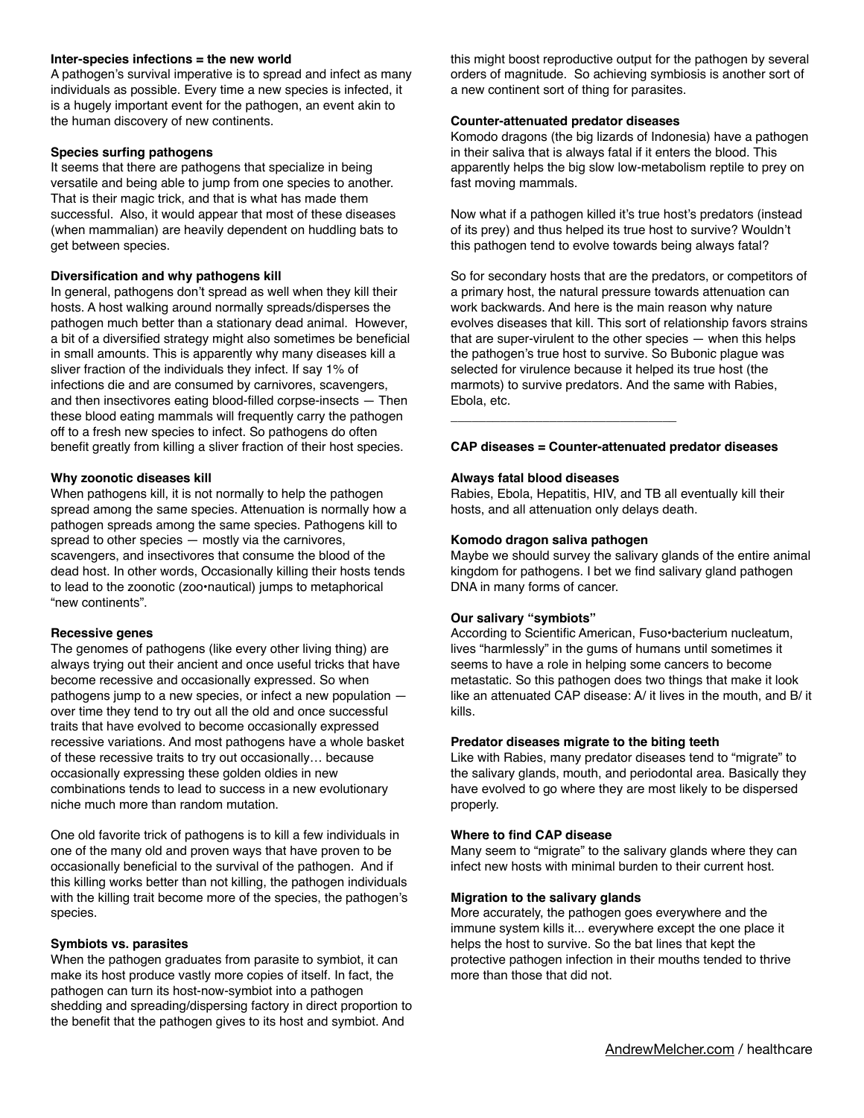### **Inter-species infections = the new world**

A pathogen's survival imperative is to spread and infect as many individuals as possible. Every time a new species is infected, it is a hugely important event for the pathogen, an event akin to the human discovery of new continents.

### **Species surfing pathogens**

It seems that there are pathogens that specialize in being versatile and being able to jump from one species to another. That is their magic trick, and that is what has made them successful. Also, it would appear that most of these diseases (when mammalian) are heavily dependent on huddling bats to get between species.

### **Diversification and why pathogens kill**

In general, pathogens don't spread as well when they kill their hosts. A host walking around normally spreads/disperses the pathogen much better than a stationary dead animal. However, a bit of a diversified strategy might also sometimes be beneficial in small amounts. This is apparently why many diseases kill a sliver fraction of the individuals they infect. If say 1% of infections die and are consumed by carnivores, scavengers, and then insectivores eating blood-filled corpse-insects — Then these blood eating mammals will frequently carry the pathogen off to a fresh new species to infect. So pathogens do often benefit greatly from killing a sliver fraction of their host species.

### **Why zoonotic diseases kill**

When pathogens kill, it is not normally to help the pathogen spread among the same species. Attenuation is normally how a pathogen spreads among the same species. Pathogens kill to spread to other species — mostly via the carnivores, scavengers, and insectivores that consume the blood of the dead host. In other words, Occasionally killing their hosts tends to lead to the zoonotic (zoo•nautical) jumps to metaphorical "new continents".

### **Recessive genes**

The genomes of pathogens (like every other living thing) are always trying out their ancient and once useful tricks that have become recessive and occasionally expressed. So when pathogens jump to a new species, or infect a new population over time they tend to try out all the old and once successful traits that have evolved to become occasionally expressed recessive variations. And most pathogens have a whole basket of these recessive traits to try out occasionally… because occasionally expressing these golden oldies in new combinations tends to lead to success in a new evolutionary niche much more than random mutation.

One old favorite trick of pathogens is to kill a few individuals in one of the many old and proven ways that have proven to be occasionally beneficial to the survival of the pathogen. And if this killing works better than not killing, the pathogen individuals with the killing trait become more of the species, the pathogen's species.

#### **Symbiots vs. parasites**

When the pathogen graduates from parasite to symbiot, it can make its host produce vastly more copies of itself. In fact, the pathogen can turn its host-now-symbiot into a pathogen shedding and spreading/dispersing factory in direct proportion to the benefit that the pathogen gives to its host and symbiot. And

this might boost reproductive output for the pathogen by several orders of magnitude. So achieving symbiosis is another sort of a new continent sort of thing for parasites.

#### **Counter-attenuated predator diseases**

Komodo dragons (the big lizards of Indonesia) have a pathogen in their saliva that is always fatal if it enters the blood. This apparently helps the big slow low-metabolism reptile to prey on fast moving mammals.

Now what if a pathogen killed it's true host's predators (instead of its prey) and thus helped its true host to survive? Wouldn't this pathogen tend to evolve towards being always fatal?

So for secondary hosts that are the predators, or competitors of a primary host, the natural pressure towards attenuation can work backwards. And here is the main reason why nature evolves diseases that kill. This sort of relationship favors strains that are super-virulent to the other species — when this helps the pathogen's true host to survive. So Bubonic plague was selected for virulence because it helped its true host (the marmots) to survive predators. And the same with Rabies, Ebola, etc.

### **CAP diseases = Counter-attenuated predator diseases**

### **Always fatal blood diseases**

Rabies, Ebola, Hepatitis, HIV, and TB all eventually kill their hosts, and all attenuation only delays death.

#### **Komodo dragon saliva pathogen**

\_\_\_\_\_\_\_\_\_\_\_\_\_\_\_\_\_\_\_\_\_\_\_\_\_\_\_\_\_\_\_\_

Maybe we should survey the salivary glands of the entire animal kingdom for pathogens. I bet we find salivary gland pathogen DNA in many forms of cancer.

## **Our salivary "symbiots"**

According to Scientific American, Fuso•bacterium nucleatum, lives "harmlessly" in the gums of humans until sometimes it seems to have a role in helping some cancers to become metastatic. So this pathogen does two things that make it look like an attenuated CAP disease: A/ it lives in the mouth, and B/ it kills.

### **Predator diseases migrate to the biting teeth**

Like with Rabies, many predator diseases tend to "migrate" to the salivary glands, mouth, and periodontal area. Basically they have evolved to go where they are most likely to be dispersed properly.

#### **Where to find CAP disease**

Many seem to "migrate" to the salivary glands where they can infect new hosts with minimal burden to their current host.

#### **Migration to the salivary glands**

More accurately, the pathogen goes everywhere and the immune system kills it... everywhere except the one place it helps the host to survive. So the bat lines that kept the protective pathogen infection in their mouths tended to thrive more than those that did not.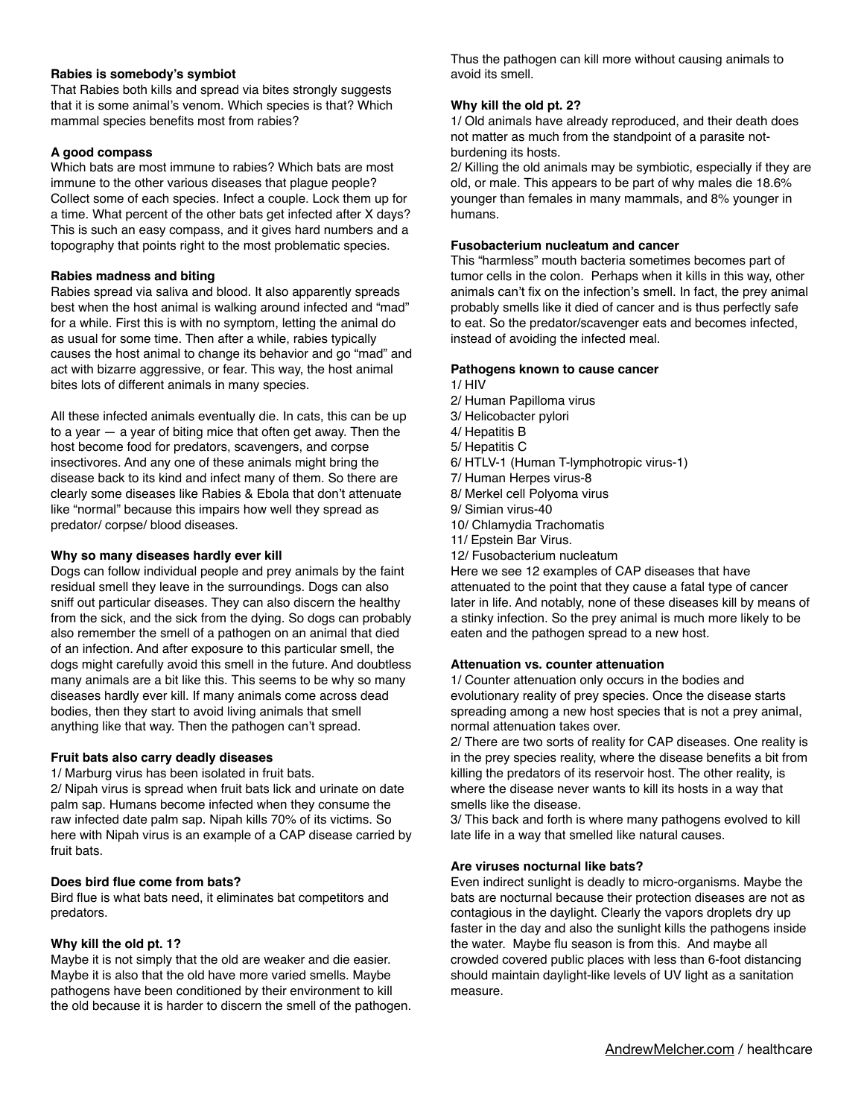## **Rabies is somebody's symbiot**

That Rabies both kills and spread via bites strongly suggests that it is some animal's venom. Which species is that? Which mammal species benefits most from rabies?

## **A good compass**

Which bats are most immune to rabies? Which bats are most immune to the other various diseases that plague people? Collect some of each species. Infect a couple. Lock them up for a time. What percent of the other bats get infected after X days? This is such an easy compass, and it gives hard numbers and a topography that points right to the most problematic species.

## **Rabies madness and biting**

Rabies spread via saliva and blood. It also apparently spreads best when the host animal is walking around infected and "mad" for a while. First this is with no symptom, letting the animal do as usual for some time. Then after a while, rabies typically causes the host animal to change its behavior and go "mad" and act with bizarre aggressive, or fear. This way, the host animal bites lots of different animals in many species.

All these infected animals eventually die. In cats, this can be up to a year  $-$  a year of biting mice that often get away. Then the host become food for predators, scavengers, and corpse insectivores. And any one of these animals might bring the disease back to its kind and infect many of them. So there are clearly some diseases like Rabies & Ebola that don't attenuate like "normal" because this impairs how well they spread as predator/ corpse/ blood diseases.

## **Why so many diseases hardly ever kill**

Dogs can follow individual people and prey animals by the faint residual smell they leave in the surroundings. Dogs can also sniff out particular diseases. They can also discern the healthy from the sick, and the sick from the dying. So dogs can probably also remember the smell of a pathogen on an animal that died of an infection. And after exposure to this particular smell, the dogs might carefully avoid this smell in the future. And doubtless many animals are a bit like this. This seems to be why so many diseases hardly ever kill. If many animals come across dead bodies, then they start to avoid living animals that smell anything like that way. Then the pathogen can't spread.

## **Fruit bats also carry deadly diseases**

1/ Marburg virus has been isolated in fruit bats.

2/ Nipah virus is spread when fruit bats lick and urinate on date palm sap. Humans become infected when they consume the raw infected date palm sap. Nipah kills 70% of its victims. So here with Nipah virus is an example of a CAP disease carried by fruit bats.

## **Does bird flue come from bats?**

Bird flue is what bats need, it eliminates bat competitors and predators.

## **Why kill the old pt. 1?**

Maybe it is not simply that the old are weaker and die easier. Maybe it is also that the old have more varied smells. Maybe pathogens have been conditioned by their environment to kill the old because it is harder to discern the smell of the pathogen.

Thus the pathogen can kill more without causing animals to avoid its smell.

## **Why kill the old pt. 2?**

1/ Old animals have already reproduced, and their death does not matter as much from the standpoint of a parasite notburdening its hosts.

2/ Killing the old animals may be symbiotic, especially if they are old, or male. This appears to be part of why males die 18.6% younger than females in many mammals, and 8% younger in humans.

### **Fusobacterium nucleatum and cancer**

This "harmless" mouth bacteria sometimes becomes part of tumor cells in the colon. Perhaps when it kills in this way, other animals can't fix on the infection's smell. In fact, the prey animal probably smells like it died of cancer and is thus perfectly safe to eat. So the predator/scavenger eats and becomes infected, instead of avoiding the infected meal.

## **Pathogens known to cause cancer**

- 1/ HIV
- 2/ Human Papilloma virus
- 3/ Helicobacter pylori
- 4/ Hepatitis B
- 5/ Hepatitis C
- 6/ HTLV-1 (Human T-lymphotropic virus-1)
- 7/ Human Herpes virus-8
- 8/ Merkel cell Polyoma virus
- 9/ Simian virus-40
- 10/ Chlamydia Trachomatis
- 11/ Epstein Bar Virus.
- 12/ Fusobacterium nucleatum

Here we see 12 examples of CAP diseases that have attenuated to the point that they cause a fatal type of cancer later in life. And notably, none of these diseases kill by means of a stinky infection. So the prey animal is much more likely to be eaten and the pathogen spread to a new host.

### **Attenuation vs. counter attenuation**

1/ Counter attenuation only occurs in the bodies and evolutionary reality of prey species. Once the disease starts spreading among a new host species that is not a prey animal, normal attenuation takes over.

2/ There are two sorts of reality for CAP diseases. One reality is in the prey species reality, where the disease benefits a bit from killing the predators of its reservoir host. The other reality, is where the disease never wants to kill its hosts in a way that smells like the disease.

3/ This back and forth is where many pathogens evolved to kill late life in a way that smelled like natural causes.

## **Are viruses nocturnal like bats?**

Even indirect sunlight is deadly to micro-organisms. Maybe the bats are nocturnal because their protection diseases are not as contagious in the daylight. Clearly the vapors droplets dry up faster in the day and also the sunlight kills the pathogens inside the water. Maybe flu season is from this. And maybe all crowded covered public places with less than 6-foot distancing should maintain daylight-like levels of UV light as a sanitation measure.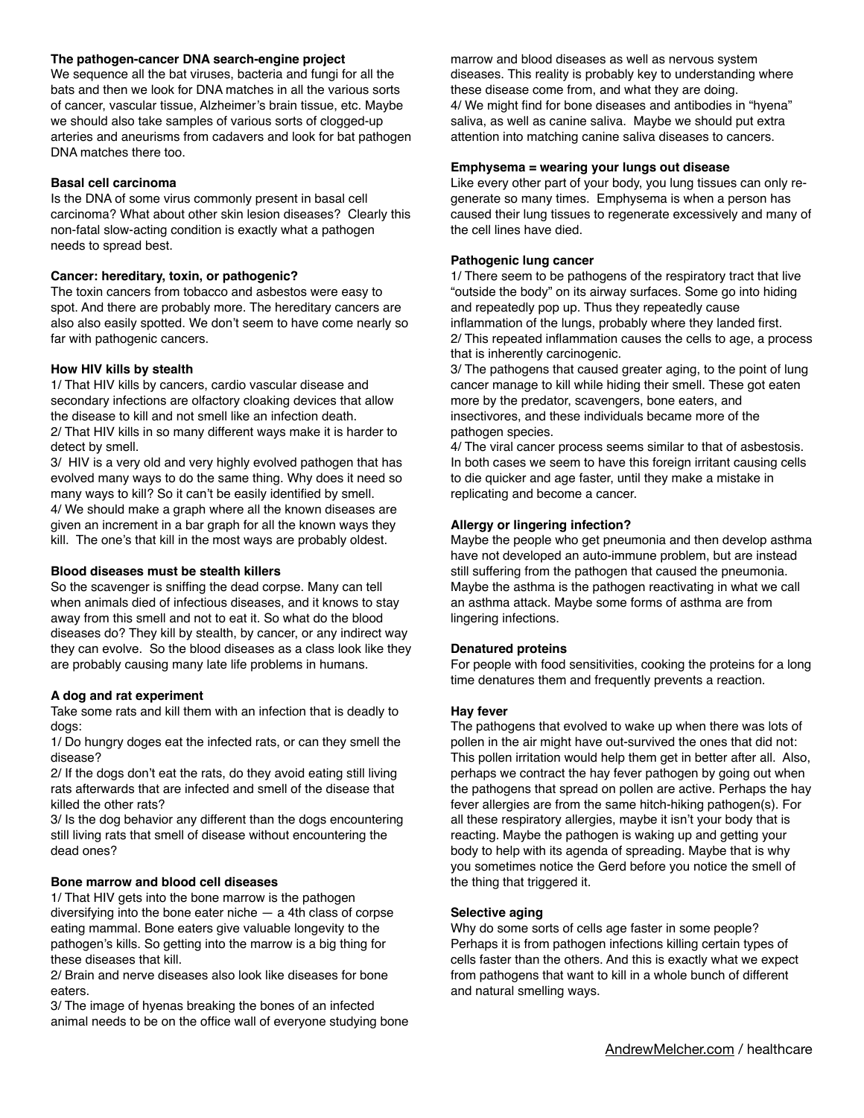## **The pathogen-cancer DNA search-engine project**

We sequence all the bat viruses, bacteria and fungi for all the bats and then we look for DNA matches in all the various sorts of cancer, vascular tissue, Alzheimer's brain tissue, etc. Maybe we should also take samples of various sorts of clogged-up arteries and aneurisms from cadavers and look for bat pathogen DNA matches there too.

### **Basal cell carcinoma**

Is the DNA of some virus commonly present in basal cell carcinoma? What about other skin lesion diseases? Clearly this non-fatal slow-acting condition is exactly what a pathogen needs to spread best.

### **Cancer: hereditary, toxin, or pathogenic?**

The toxin cancers from tobacco and asbestos were easy to spot. And there are probably more. The hereditary cancers are also also easily spotted. We don't seem to have come nearly so far with pathogenic cancers.

### **How HIV kills by stealth**

1/ That HIV kills by cancers, cardio vascular disease and secondary infections are olfactory cloaking devices that allow the disease to kill and not smell like an infection death. 2/ That HIV kills in so many different ways make it is harder to detect by smell.

3/ HIV is a very old and very highly evolved pathogen that has evolved many ways to do the same thing. Why does it need so many ways to kill? So it can't be easily identified by smell. 4/ We should make a graph where all the known diseases are given an increment in a bar graph for all the known ways they kill. The one's that kill in the most ways are probably oldest.

#### **Blood diseases must be stealth killers**

So the scavenger is sniffing the dead corpse. Many can tell when animals died of infectious diseases, and it knows to stay away from this smell and not to eat it. So what do the blood diseases do? They kill by stealth, by cancer, or any indirect way they can evolve. So the blood diseases as a class look like they are probably causing many late life problems in humans.

## **A dog and rat experiment**

Take some rats and kill them with an infection that is deadly to dogs:

1/ Do hungry doges eat the infected rats, or can they smell the disease?

2/ If the dogs don't eat the rats, do they avoid eating still living rats afterwards that are infected and smell of the disease that killed the other rats?

3/ Is the dog behavior any different than the dogs encountering still living rats that smell of disease without encountering the dead ones?

## **Bone marrow and blood cell diseases**

1/ That HIV gets into the bone marrow is the pathogen diversifying into the bone eater niche — a 4th class of corpse eating mammal. Bone eaters give valuable longevity to the pathogen's kills. So getting into the marrow is a big thing for these diseases that kill.

2/ Brain and nerve diseases also look like diseases for bone eaters.

3/ The image of hyenas breaking the bones of an infected animal needs to be on the office wall of everyone studying bone marrow and blood diseases as well as nervous system diseases. This reality is probably key to understanding where these disease come from, and what they are doing. 4/ We might find for bone diseases and antibodies in "hyena" saliva, as well as canine saliva. Maybe we should put extra attention into matching canine saliva diseases to cancers.

#### **Emphysema = wearing your lungs out disease**

Like every other part of your body, you lung tissues can only regenerate so many times. Emphysema is when a person has caused their lung tissues to regenerate excessively and many of the cell lines have died.

### **Pathogenic lung cancer**

1/ There seem to be pathogens of the respiratory tract that live "outside the body" on its airway surfaces. Some go into hiding and repeatedly pop up. Thus they repeatedly cause inflammation of the lungs, probably where they landed first. 2/ This repeated inflammation causes the cells to age, a process that is inherently carcinogenic.

3/ The pathogens that caused greater aging, to the point of lung cancer manage to kill while hiding their smell. These got eaten more by the predator, scavengers, bone eaters, and insectivores, and these individuals became more of the pathogen species.

4/ The viral cancer process seems similar to that of asbestosis. In both cases we seem to have this foreign irritant causing cells to die quicker and age faster, until they make a mistake in replicating and become a cancer.

### **Allergy or lingering infection?**

Maybe the people who get pneumonia and then develop asthma have not developed an auto-immune problem, but are instead still suffering from the pathogen that caused the pneumonia. Maybe the asthma is the pathogen reactivating in what we call an asthma attack. Maybe some forms of asthma are from lingering infections.

## **Denatured proteins**

For people with food sensitivities, cooking the proteins for a long time denatures them and frequently prevents a reaction.

#### **Hay fever**

The pathogens that evolved to wake up when there was lots of pollen in the air might have out-survived the ones that did not: This pollen irritation would help them get in better after all. Also, perhaps we contract the hay fever pathogen by going out when the pathogens that spread on pollen are active. Perhaps the hay fever allergies are from the same hitch-hiking pathogen(s). For all these respiratory allergies, maybe it isn't your body that is reacting. Maybe the pathogen is waking up and getting your body to help with its agenda of spreading. Maybe that is why you sometimes notice the Gerd before you notice the smell of the thing that triggered it.

#### **Selective aging**

Why do some sorts of cells age faster in some people? Perhaps it is from pathogen infections killing certain types of cells faster than the others. And this is exactly what we expect from pathogens that want to kill in a whole bunch of different and natural smelling ways.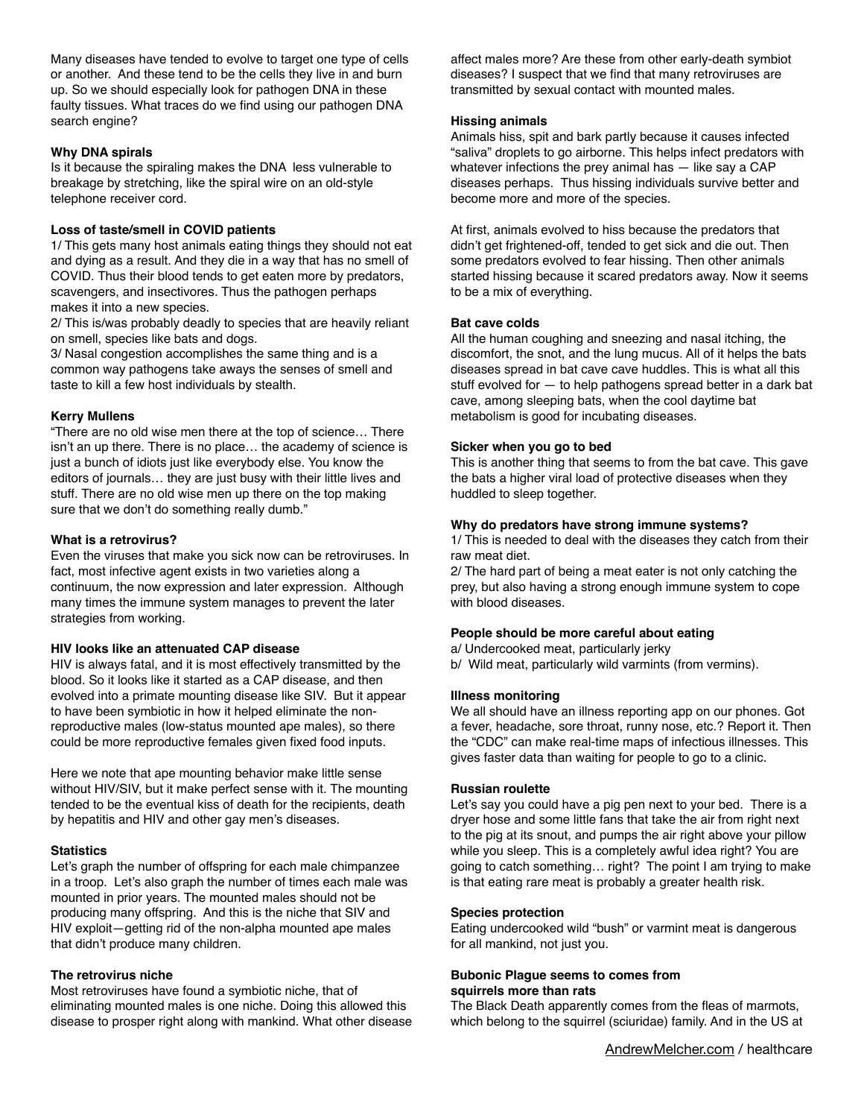Many diseases have tended to evolve to target one type of cells or another. And these tend to be the cells they live in and burn up. So we should especially look for pathogen DNA in these faulty tissues. What traces do we find using our pathogen DNA search engine?

## **Why DNA spirals**

Is it because the spiraling makes the DNA less vulnerable to breakage by stretching, like the spiral wire on an old-style telephone receiver cord.

## **Loss of taste/smell in COVID patients**

1/ This gets many host animals eating things they should not eat and dying as a result. And they die in a way that has no smell of COVID. Thus their blood tends to get eaten more by predators, scavengers, and insectivores. Thus the pathogen perhaps makes it into a new species.

2/ This is/was probably deadly to species that are heavily reliant on smell, species like bats and dogs.

3/ Nasal congestion accomplishes the same thing and is a common way pathogens take aways the senses of smell and taste to kill a few host individuals by stealth.

## **Kerry Mullens**

"There are no old wise men there at the top of science… There isn't an up there. There is no place… the academy of science is just a bunch of idiots just like everybody else. You know the editors of journals… they are just busy with their little lives and stuff. There are no old wise men up there on the top making sure that we don't do something really dumb."

## **What is a retrovirus?**

Even the viruses that make you sick now can be retroviruses. In fact, most infective agent exists in two varieties along a continuum, the now expression and later expression. Although many times the immune system manages to prevent the later strategies from working.

## **HIV looks like an attenuated CAP disease**

HIV is always fatal, and it is most effectively transmitted by the blood. So it looks like it started as a CAP disease, and then evolved into a primate mounting disease like SIV. But it appear to have been symbiotic in how it helped eliminate the nonreproductive males (low-status mounted ape males), so there could be more reproductive females given fixed food inputs.

Here we note that ape mounting behavior make little sense without HIV/SIV, but it make perfect sense with it. The mounting tended to be the eventual kiss of death for the recipients, death by hepatitis and HIV and other gay men's diseases.

## **Statistics**

Let's graph the number of offspring for each male chimpanzee in a troop. Let's also graph the number of times each male was mounted in prior years. The mounted males should not be producing many offspring. And this is the niche that SIV and HIV exploit—getting rid of the non-alpha mounted ape males that didn't produce many children.

## **The retrovirus niche**

Most retroviruses have found a symbiotic niche, that of eliminating mounted males is one niche. Doing this allowed this disease to prosper right along with mankind. What other disease affect males more? Are these from other early-death symbiot diseases? I suspect that we find that many retroviruses are transmitted by sexual contact with mounted males.

## **Hissing animals**

Animals hiss, spit and bark partly because it causes infected "saliva" droplets to go airborne. This helps infect predators with whatever infections the prey animal has  $-$  like say a CAP diseases perhaps. Thus hissing individuals survive better and become more and more of the species.

At first, animals evolved to hiss because the predators that didn't get frightened-off, tended to get sick and die out. Then some predators evolved to fear hissing. Then other animals started hissing because it scared predators away. Now it seems to be a mix of everything.

## **Bat cave colds**

All the human coughing and sneezing and nasal itching, the discomfort, the snot, and the lung mucus. All of it helps the bats diseases spread in bat cave cave huddles. This is what all this stuff evolved for — to help pathogens spread better in a dark bat cave, among sleeping bats, when the cool daytime bat metabolism is good for incubating diseases.

## **Sicker when you go to bed**

This is another thing that seems to from the bat cave. This gave the bats a higher viral load of protective diseases when they huddled to sleep together.

## **Why do predators have strong immune systems?**

1/ This is needed to deal with the diseases they catch from their raw meat diet.

2/ The hard part of being a meat eater is not only catching the prey, but also having a strong enough immune system to cope with blood diseases.

## **People should be more careful about eating**

a/ Undercooked meat, particularly jerky b/ Wild meat, particularly wild varmints (from vermins).

## **Illness monitoring**

We all should have an illness reporting app on our phones. Got a fever, headache, sore throat, runny nose, etc.? Report it. Then the "CDC" can make real-time maps of infectious illnesses. This gives faster data than waiting for people to go to a clinic.

## **Russian roulette**

Let's say you could have a pig pen next to your bed. There is a dryer hose and some little fans that take the air from right next to the pig at its snout, and pumps the air right above your pillow while you sleep. This is a completely awful idea right? You are going to catch something… right? The point I am trying to make is that eating rare meat is probably a greater health risk.

## **Species protection**

Eating undercooked wild "bush" or varmint meat is dangerous for all mankind, not just you.

## **Bubonic Plague seems to comes from squirrels more than rats**

The Black Death apparently comes from the fleas of marmots, which belong to the squirrel (sciuridae) family. And in the US at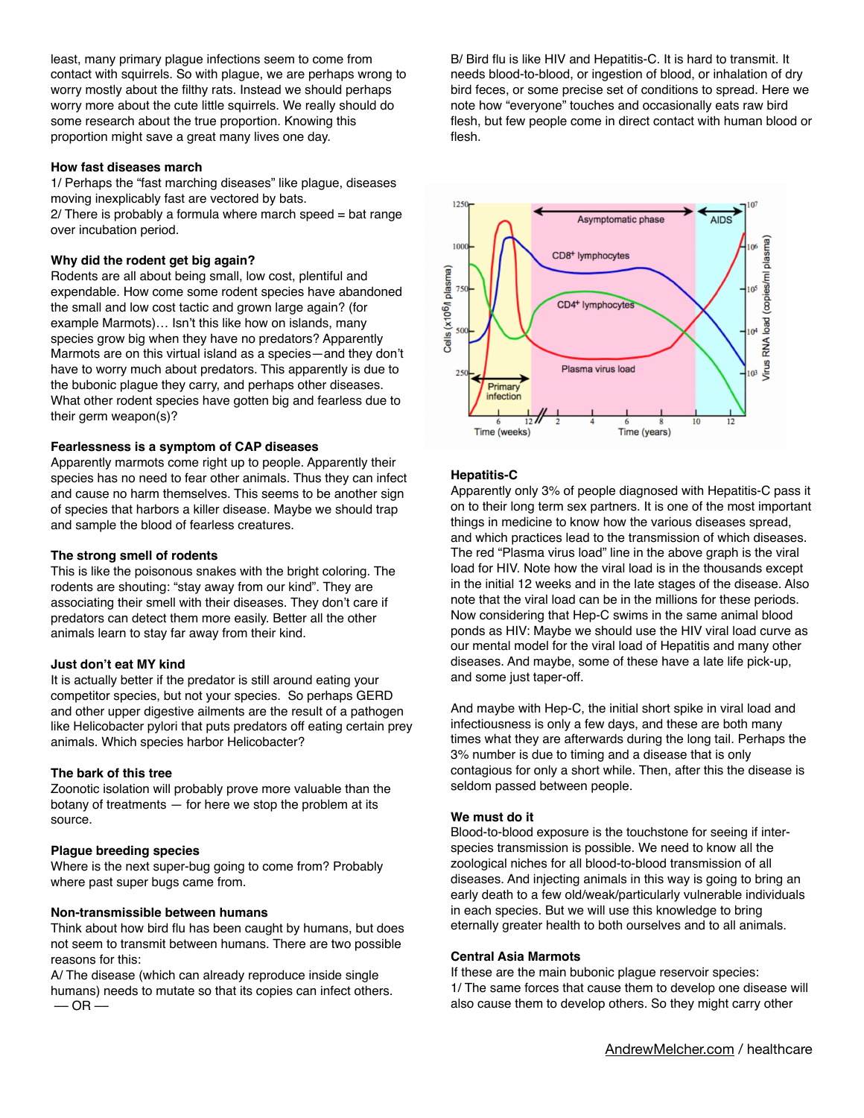least, many primary plague infections seem to come from contact with squirrels. So with plague, we are perhaps wrong to worry mostly about the filthy rats. Instead we should perhaps worry more about the cute little squirrels. We really should do some research about the true proportion. Knowing this proportion might save a great many lives one day.

### **How fast diseases march**

1/ Perhaps the "fast marching diseases" like plague, diseases moving inexplicably fast are vectored by bats.  $2$ / There is probably a formula where march speed = bat range over incubation period.

### **Why did the rodent get big again?**

Rodents are all about being small, low cost, plentiful and expendable. How come some rodent species have abandoned the small and low cost tactic and grown large again? (for example Marmots)… Isn't this like how on islands, many species grow big when they have no predators? Apparently Marmots are on this virtual island as a species—and they don't have to worry much about predators. This apparently is due to the bubonic plague they carry, and perhaps other diseases. What other rodent species have gotten big and fearless due to their germ weapon(s)?

#### **Fearlessness is a symptom of CAP diseases**

Apparently marmots come right up to people. Apparently their species has no need to fear other animals. Thus they can infect and cause no harm themselves. This seems to be another sign of species that harbors a killer disease. Maybe we should trap and sample the blood of fearless creatures.

#### **The strong smell of rodents**

This is like the poisonous snakes with the bright coloring. The rodents are shouting: "stay away from our kind". They are associating their smell with their diseases. They don't care if predators can detect them more easily. Better all the other animals learn to stay far away from their kind.

#### **Just don't eat MY kind**

It is actually better if the predator is still around eating your competitor species, but not your species. So perhaps GERD and other upper digestive ailments are the result of a pathogen like Helicobacter pylori that puts predators off eating certain prey animals. Which species harbor Helicobacter?

#### **The bark of this tree**

Zoonotic isolation will probably prove more valuable than the botany of treatments  $-$  for here we stop the problem at its source.

## **Plague breeding species**

Where is the next super-bug going to come from? Probably where past super bugs came from.

#### **Non-transmissible between humans**

Think about how bird flu has been caught by humans, but does not seem to transmit between humans. There are two possible reasons for this:

A/ The disease (which can already reproduce inside single humans) needs to mutate so that its copies can infect others.  $-$  OR  $-$ 

B/ Bird flu is like HIV and Hepatitis-C. It is hard to transmit. It needs blood-to-blood, or ingestion of blood, or inhalation of dry bird feces, or some precise set of conditions to spread. Here we note how "everyone" touches and occasionally eats raw bird flesh, but few people come in direct contact with human blood or flesh.



## **Hepatitis-C**

Apparently only 3% of people diagnosed with Hepatitis-C pass it on to their long term sex partners. It is one of the most important things in medicine to know how the various diseases spread, and which practices lead to the transmission of which diseases. The red "Plasma virus load" line in the above graph is the viral load for HIV. Note how the viral load is in the thousands except in the initial 12 weeks and in the late stages of the disease. Also note that the viral load can be in the millions for these periods. Now considering that Hep-C swims in the same animal blood ponds as HIV: Maybe we should use the HIV viral load curve as our mental model for the viral load of Hepatitis and many other diseases. And maybe, some of these have a late life pick-up, and some just taper-off.

And maybe with Hep-C, the initial short spike in viral load and infectiousness is only a few days, and these are both many times what they are afterwards during the long tail. Perhaps the 3% number is due to timing and a disease that is only contagious for only a short while. Then, after this the disease is seldom passed between people.

#### **We must do it**

Blood-to-blood exposure is the touchstone for seeing if interspecies transmission is possible. We need to know all the zoological niches for all blood-to-blood transmission of all diseases. And injecting animals in this way is going to bring an early death to a few old/weak/particularly vulnerable individuals in each species. But we will use this knowledge to bring eternally greater health to both ourselves and to all animals.

### **Central Asia Marmots**

If these are the main bubonic plague reservoir species: 1/ The same forces that cause them to develop one disease will also cause them to develop others. So they might carry other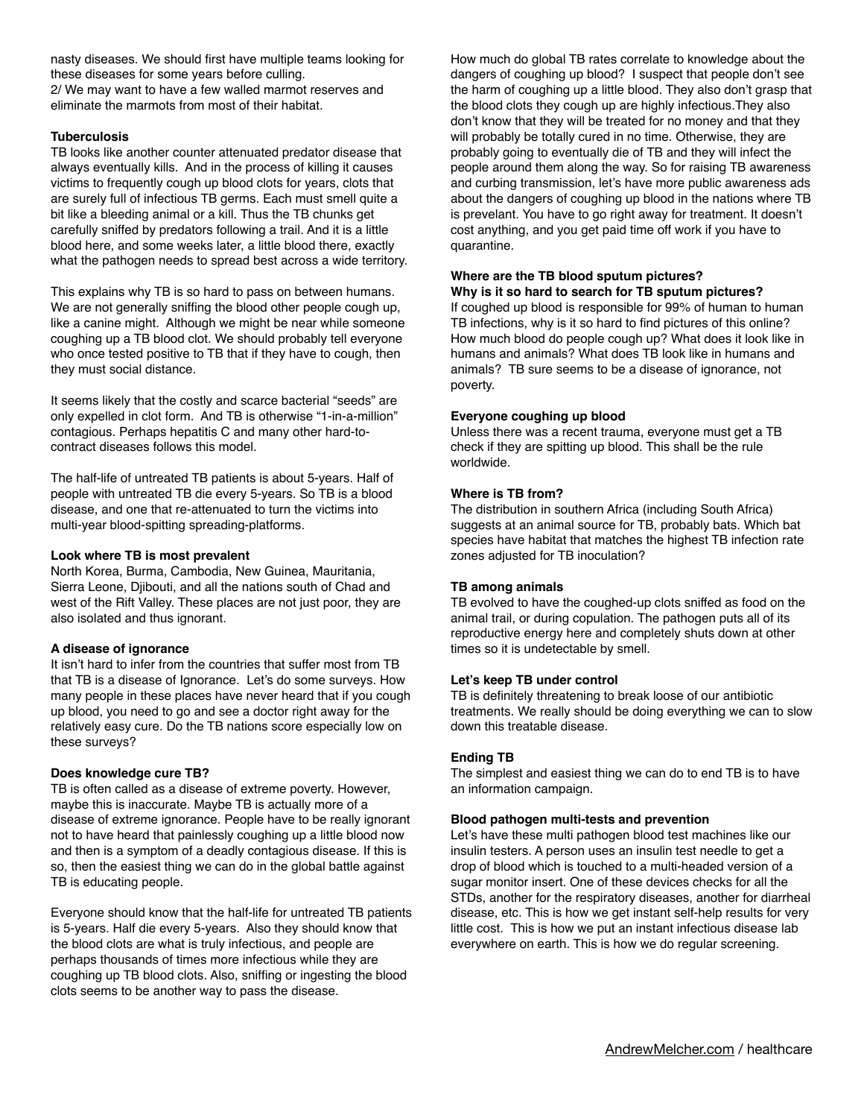nasty diseases. We should first have multiple teams looking for these diseases for some years before culling. 2/ We may want to have a few walled marmot reserves and eliminate the marmots from most of their habitat.

## **Tuberculosis**

TB looks like another counter attenuated predator disease that always eventually kills. And in the process of killing it causes victims to frequently cough up blood clots for years, clots that are surely full of infectious TB germs. Each must smell quite a bit like a bleeding animal or a kill. Thus the TB chunks get carefully sniffed by predators following a trail. And it is a little blood here, and some weeks later, a little blood there, exactly what the pathogen needs to spread best across a wide territory.

This explains why TB is so hard to pass on between humans. We are not generally sniffing the blood other people cough up, like a canine might. Although we might be near while someone coughing up a TB blood clot. We should probably tell everyone who once tested positive to TB that if they have to cough, then they must social distance.

It seems likely that the costly and scarce bacterial "seeds" are only expelled in clot form. And TB is otherwise "1-in-a-million" contagious. Perhaps hepatitis C and many other hard-tocontract diseases follows this model.

The half-life of untreated TB patients is about 5-years. Half of people with untreated TB die every 5-years. So TB is a blood disease, and one that re-attenuated to turn the victims into multi-year blood-spitting spreading-platforms.

### **Look where TB is most prevalent**

North Korea, Burma, Cambodia, New Guinea, Mauritania, Sierra Leone, Djibouti, and all the nations south of Chad and west of the Rift Valley. These places are not just poor, they are also isolated and thus ignorant.

## **A disease of ignorance**

It isn't hard to infer from the countries that suffer most from TB that TB is a disease of Ignorance. Let's do some surveys. How many people in these places have never heard that if you cough up blood, you need to go and see a doctor right away for the relatively easy cure. Do the TB nations score especially low on these surveys?

## **Does knowledge cure TB?**

TB is often called as a disease of extreme poverty. However, maybe this is inaccurate. Maybe TB is actually more of a disease of extreme ignorance. People have to be really ignorant not to have heard that painlessly coughing up a little blood now and then is a symptom of a deadly contagious disease. If this is so, then the easiest thing we can do in the global battle against TB is educating people.

Everyone should know that the half-life for untreated TB patients is 5-years. Half die every 5-years. Also they should know that the blood clots are what is truly infectious, and people are perhaps thousands of times more infectious while they are coughing up TB blood clots. Also, sniffing or ingesting the blood clots seems to be another way to pass the disease.

How much do global TB rates correlate to knowledge about the dangers of coughing up blood? I suspect that people don't see the harm of coughing up a little blood. They also don't grasp that the blood clots they cough up are highly infectious.They also don't know that they will be treated for no money and that they will probably be totally cured in no time. Otherwise, they are probably going to eventually die of TB and they will infect the people around them along the way. So for raising TB awareness and curbing transmission, let's have more public awareness ads about the dangers of coughing up blood in the nations where TB is prevelant. You have to go right away for treatment. It doesn't cost anything, and you get paid time off work if you have to quarantine.

### **Where are the TB blood sputum pictures? Why is it so hard to search for TB sputum pictures?**

If coughed up blood is responsible for 99% of human to human TB infections, why is it so hard to find pictures of this online? How much blood do people cough up? What does it look like in humans and animals? What does TB look like in humans and animals? TB sure seems to be a disease of ignorance, not poverty.

## **Everyone coughing up blood**

Unless there was a recent trauma, everyone must get a TB check if they are spitting up blood. This shall be the rule worldwide.

## **Where is TB from?**

The distribution in southern Africa (including South Africa) suggests at an animal source for TB, probably bats. Which bat species have habitat that matches the highest TB infection rate zones adjusted for TB inoculation?

## **TB among animals**

TB evolved to have the coughed-up clots sniffed as food on the animal trail, or during copulation. The pathogen puts all of its reproductive energy here and completely shuts down at other times so it is undetectable by smell.

#### **Let's keep TB under control**

TB is definitely threatening to break loose of our antibiotic treatments. We really should be doing everything we can to slow down this treatable disease.

## **Ending TB**

The simplest and easiest thing we can do to end TB is to have an information campaign.

#### **Blood pathogen multi-tests and prevention**

Let's have these multi pathogen blood test machines like our insulin testers. A person uses an insulin test needle to get a drop of blood which is touched to a multi-headed version of a sugar monitor insert. One of these devices checks for all the STDs, another for the respiratory diseases, another for diarrheal disease, etc. This is how we get instant self-help results for very little cost. This is how we put an instant infectious disease lab everywhere on earth. This is how we do regular screening.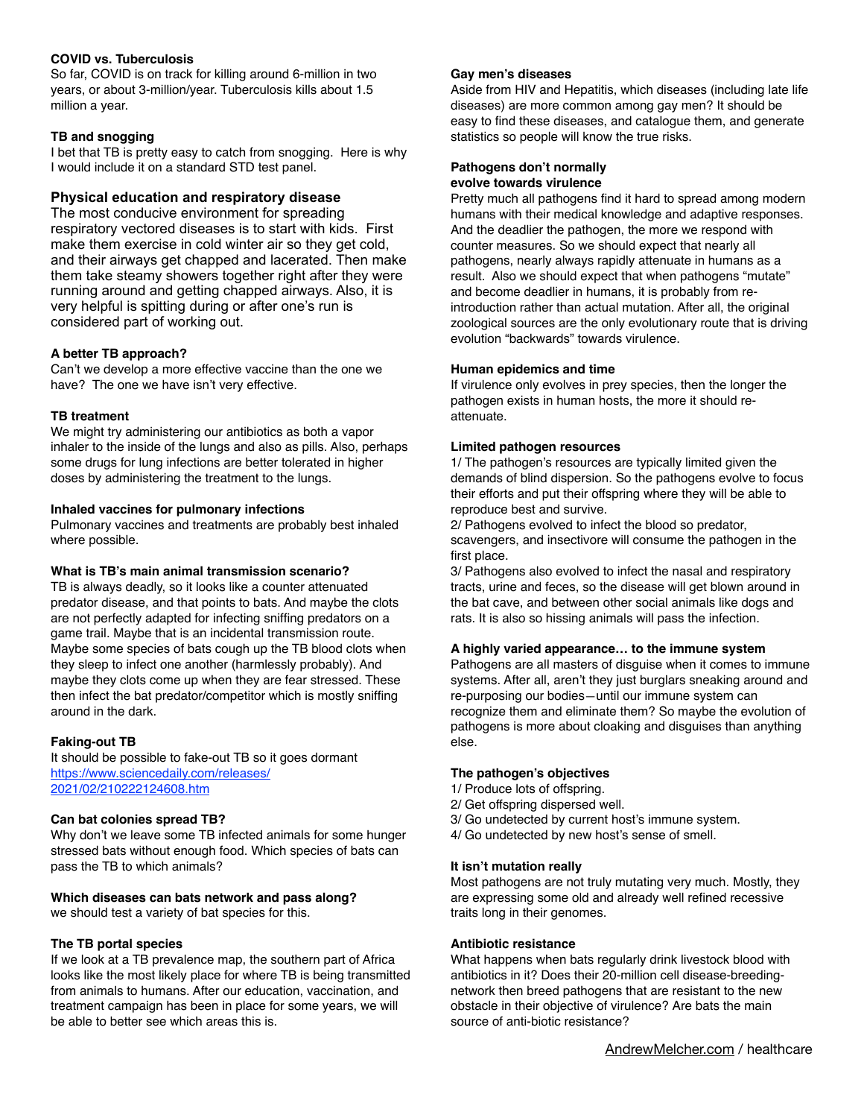## **COVID vs. Tuberculosis**

So far, COVID is on track for killing around 6-million in two years, or about 3-million/year. Tuberculosis kills about 1.5 million a year.

## **TB and snogging**

I bet that TB is pretty easy to catch from snogging. Here is why I would include it on a standard STD test panel.

## **Physical education and respiratory disease**

The most conducive environment for spreading respiratory vectored diseases is to start with kids. First make them exercise in cold winter air so they get cold, and their airways get chapped and lacerated. Then make them take steamy showers together right after they were running around and getting chapped airways. Also, it is very helpful is spitting during or after one's run is considered part of working out.

## **A better TB approach?**

Can't we develop a more effective vaccine than the one we have? The one we have isn't very effective.

## **TB treatment**

We might try administering our antibiotics as both a vapor inhaler to the inside of the lungs and also as pills. Also, perhaps some drugs for lung infections are better tolerated in higher doses by administering the treatment to the lungs.

## **Inhaled vaccines for pulmonary infections**

Pulmonary vaccines and treatments are probably best inhaled where possible.

## **What is TB's main animal transmission scenario?**

TB is always deadly, so it looks like a counter attenuated predator disease, and that points to bats. And maybe the clots are not perfectly adapted for infecting sniffing predators on a game trail. Maybe that is an incidental transmission route. Maybe some species of bats cough up the TB blood clots when they sleep to infect one another (harmlessly probably). And maybe they clots come up when they are fear stressed. These then infect the bat predator/competitor which is mostly sniffing around in the dark.

## **Faking-out TB**

It should be possible to fake-out TB so it goes dormant <https://www.science>[daily.com/releases/](http://daily.com/releases/2021/02/210222124608.htm) [2021/02/210222124608.htm](http://daily.com/releases/2021/02/210222124608.htm)

## **Can bat colonies spread TB?**

Why don't we leave some TB infected animals for some hunger stressed bats without enough food. Which species of bats can pass the TB to which animals?

## **Which diseases can bats network and pass along?**

we should test a variety of bat species for this.

## **The TB portal species**

If we look at a TB prevalence map, the southern part of Africa looks like the most likely place for where TB is being transmitted from animals to humans. After our education, vaccination, and treatment campaign has been in place for some years, we will be able to better see which areas this is.

### **Gay men's diseases**

Aside from HIV and Hepatitis, which diseases (including late life diseases) are more common among gay men? It should be easy to find these diseases, and catalogue them, and generate statistics so people will know the true risks.

### **Pathogens don't normally evolve towards virulence**

Pretty much all pathogens find it hard to spread among modern humans with their medical knowledge and adaptive responses. And the deadlier the pathogen, the more we respond with counter measures. So we should expect that nearly all pathogens, nearly always rapidly attenuate in humans as a result. Also we should expect that when pathogens "mutate" and become deadlier in humans, it is probably from reintroduction rather than actual mutation. After all, the original zoological sources are the only evolutionary route that is driving evolution "backwards" towards virulence.

## **Human epidemics and time**

If virulence only evolves in prey species, then the longer the pathogen exists in human hosts, the more it should reattenuate.

## **Limited pathogen resources**

1/ The pathogen's resources are typically limited given the demands of blind dispersion. So the pathogens evolve to focus their efforts and put their offspring where they will be able to reproduce best and survive.

2/ Pathogens evolved to infect the blood so predator, scavengers, and insectivore will consume the pathogen in the first place.

3/ Pathogens also evolved to infect the nasal and respiratory tracts, urine and feces, so the disease will get blown around in the bat cave, and between other social animals like dogs and rats. It is also so hissing animals will pass the infection.

## **A highly varied appearance… to the immune system**

Pathogens are all masters of disguise when it comes to immune systems. After all, aren't they just burglars sneaking around and re-purposing our bodies—until our immune system can recognize them and eliminate them? So maybe the evolution of pathogens is more about cloaking and disguises than anything else.

## **The pathogen's objectives**

- 1/ Produce lots of offspring.
- 2/ Get offspring dispersed well.
- 3/ Go undetected by current host's immune system.
- 4/ Go undetected by new host's sense of smell.

## **It isn't mutation really**

Most pathogens are not truly mutating very much. Mostly, they are expressing some old and already well refined recessive traits long in their genomes.

## **Antibiotic resistance**

What happens when bats regularly drink livestock blood with antibiotics in it? Does their 20-million cell disease-breedingnetwork then breed pathogens that are resistant to the new obstacle in their objective of virulence? Are bats the main source of anti-biotic resistance?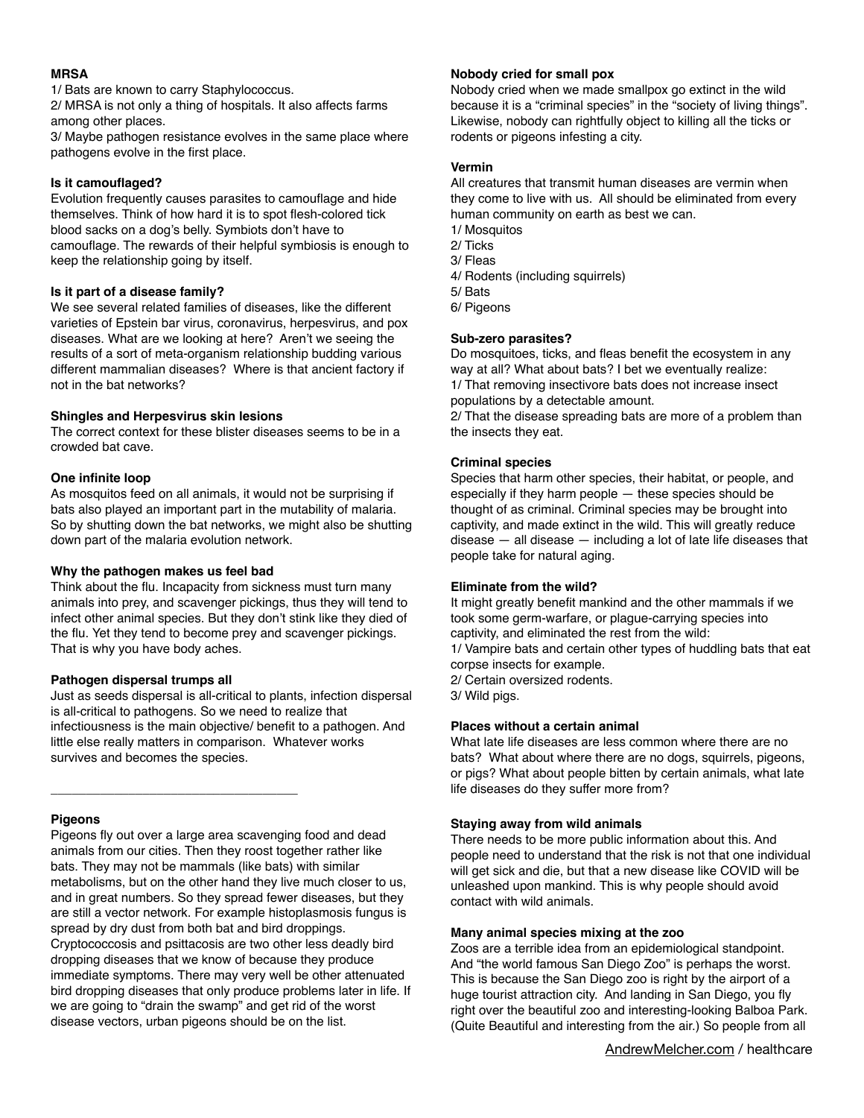## **MRSA**

1/ Bats are known to carry Staphylococcus.

2/ MRSA is not only a thing of hospitals. It also affects farms among other places.

3/ Maybe pathogen resistance evolves in the same place where pathogens evolve in the first place.

# **Is it camouflaged?**

Evolution frequently causes parasites to camouflage and hide themselves. Think of how hard it is to spot flesh-colored tick blood sacks on a dog's belly. Symbiots don't have to camouflage. The rewards of their helpful symbiosis is enough to keep the relationship going by itself.

# **Is it part of a disease family?**

We see several related families of diseases, like the different varieties of Epstein bar virus, coronavirus, herpesvirus, and pox diseases. What are we looking at here? Aren't we seeing the results of a sort of meta-organism relationship budding various different mammalian diseases? Where is that ancient factory if not in the bat networks?

# **Shingles and Herpesvirus skin lesions**

The correct context for these blister diseases seems to be in a crowded bat cave.

# **One infinite loop**

As mosquitos feed on all animals, it would not be surprising if bats also played an important part in the mutability of malaria. So by shutting down the bat networks, we might also be shutting down part of the malaria evolution network.

# **Why the pathogen makes us feel bad**

Think about the flu. Incapacity from sickness must turn many animals into prey, and scavenger pickings, thus they will tend to infect other animal species. But they don't stink like they died of the flu. Yet they tend to become prey and scavenger pickings. That is why you have body aches.

# **Pathogen dispersal trumps all**

\_\_\_\_\_\_\_\_\_\_\_\_\_\_\_\_\_\_\_\_\_\_\_\_\_\_\_\_\_\_\_\_\_\_\_

Just as seeds dispersal is all-critical to plants, infection dispersal is all-critical to pathogens. So we need to realize that infectiousness is the main objective/ benefit to a pathogen. And little else really matters in comparison. Whatever works survives and becomes the species.

# **Pigeons**

Pigeons fly out over a large area scavenging food and dead animals from our cities. Then they roost together rather like bats. They may not be mammals (like bats) with similar metabolisms, but on the other hand they live much closer to us, and in great numbers. So they spread fewer diseases, but they are still a vector network. For example histoplasmosis fungus is spread by dry dust from both bat and bird droppings. Cryptococcosis and psittacosis are two other less deadly bird dropping diseases that we know of because they produce immediate symptoms. There may very well be other attenuated bird dropping diseases that only produce problems later in life. If we are going to "drain the swamp" and get rid of the worst disease vectors, urban pigeons should be on the list.

# **Nobody cried for small pox**

Nobody cried when we made smallpox go extinct in the wild because it is a "criminal species" in the "society of living things". Likewise, nobody can rightfully object to killing all the ticks or rodents or pigeons infesting a city.

## **Vermin**

All creatures that transmit human diseases are vermin when they come to live with us. All should be eliminated from every human community on earth as best we can. 1/ Mosquitos

- 2/ Ticks 3/ Fleas
- 4/ Rodents (including squirrels)
- 5/ Bats
- 6/ Pigeons

## **Sub-zero parasites?**

Do mosquitoes, ticks, and fleas benefit the ecosystem in any way at all? What about bats? I bet we eventually realize: 1/ That removing insectivore bats does not increase insect populations by a detectable amount.

2/ That the disease spreading bats are more of a problem than the insects they eat.

## **Criminal species**

Species that harm other species, their habitat, or people, and especially if they harm people — these species should be thought of as criminal. Criminal species may be brought into captivity, and made extinct in the wild. This will greatly reduce disease  $-$  all disease  $-$  including a lot of late life diseases that people take for natural aging.

## **Eliminate from the wild?**

It might greatly benefit mankind and the other mammals if we took some germ-warfare, or plague-carrying species into captivity, and eliminated the rest from the wild: 1/ Vampire bats and certain other types of huddling bats that eat corpse insects for example. 2/ Certain oversized rodents. 3/ Wild pigs.

## **Places without a certain animal**

What late life diseases are less common where there are no bats? What about where there are no dogs, squirrels, pigeons, or pigs? What about people bitten by certain animals, what late life diseases do they suffer more from?

## **Staying away from wild animals**

There needs to be more public information about this. And people need to understand that the risk is not that one individual will get sick and die, but that a new disease like COVID will be unleashed upon mankind. This is why people should avoid contact with wild animals.

## **Many animal species mixing at the zoo**

Zoos are a terrible idea from an epidemiological standpoint. And "the world famous San Diego Zoo" is perhaps the worst. This is because the San Diego zoo is right by the airport of a huge tourist attraction city. And landing in San Diego, you fly right over the beautiful zoo and interesting-looking Balboa Park. (Quite Beautiful and interesting from the air.) So people from all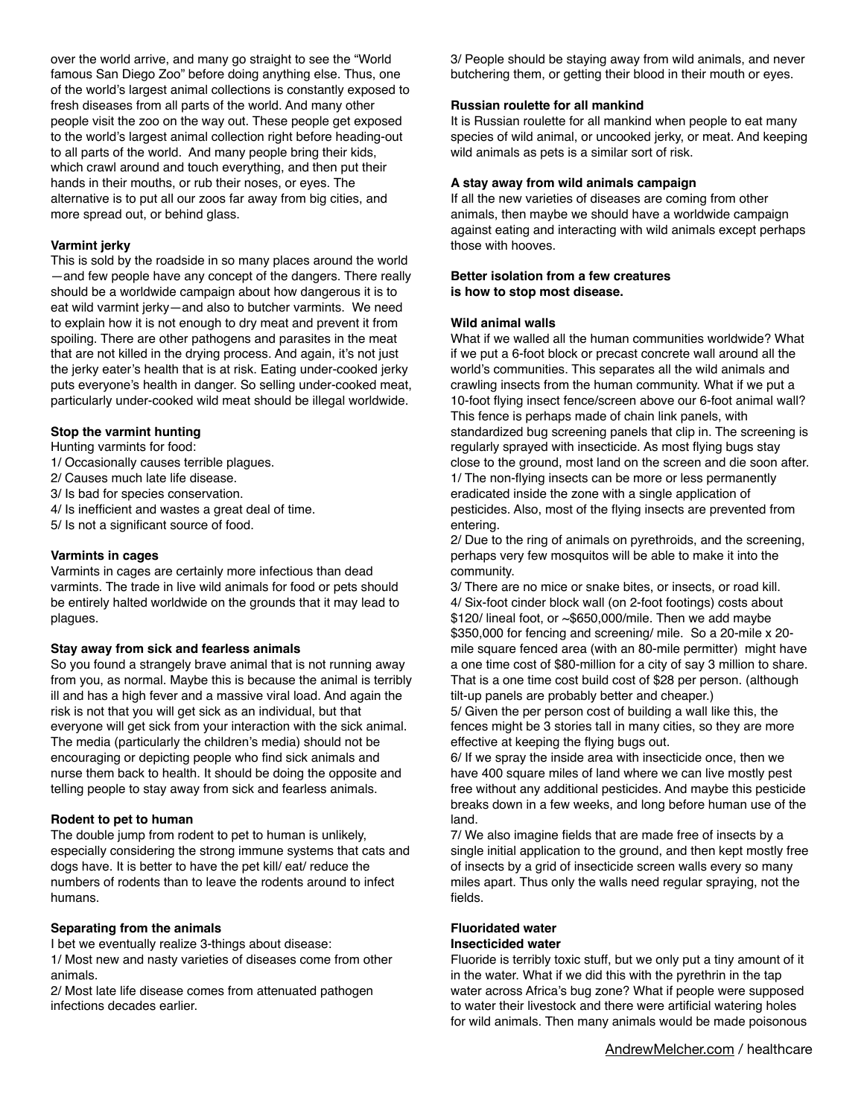over the world arrive, and many go straight to see the "World famous San Diego Zoo" before doing anything else. Thus, one of the world's largest animal collections is constantly exposed to fresh diseases from all parts of the world. And many other people visit the zoo on the way out. These people get exposed to the world's largest animal collection right before heading-out to all parts of the world. And many people bring their kids, which crawl around and touch everything, and then put their hands in their mouths, or rub their noses, or eyes. The alternative is to put all our zoos far away from big cities, and more spread out, or behind glass.

## **Varmint jerky**

This is sold by the roadside in so many places around the world —and few people have any concept of the dangers. There really should be a worldwide campaign about how dangerous it is to eat wild varmint jerky—and also to butcher varmints. We need to explain how it is not enough to dry meat and prevent it from spoiling. There are other pathogens and parasites in the meat that are not killed in the drying process. And again, it's not just the jerky eater's health that is at risk. Eating under-cooked jerky puts everyone's health in danger. So selling under-cooked meat, particularly under-cooked wild meat should be illegal worldwide.

## **Stop the varmint hunting**

Hunting varmints for food:

- 1/ Occasionally causes terrible plagues.
- 2/ Causes much late life disease.
- 3/ Is bad for species conservation.
- 4/ Is inefficient and wastes a great deal of time.
- 5/ Is not a significant source of food.

### **Varmints in cages**

Varmints in cages are certainly more infectious than dead varmints. The trade in live wild animals for food or pets should be entirely halted worldwide on the grounds that it may lead to plagues.

#### **Stay away from sick and fearless animals**

So you found a strangely brave animal that is not running away from you, as normal. Maybe this is because the animal is terribly ill and has a high fever and a massive viral load. And again the risk is not that you will get sick as an individual, but that everyone will get sick from your interaction with the sick animal. The media (particularly the children's media) should not be encouraging or depicting people who find sick animals and nurse them back to health. It should be doing the opposite and telling people to stay away from sick and fearless animals.

## **Rodent to pet to human**

The double jump from rodent to pet to human is unlikely, especially considering the strong immune systems that cats and dogs have. It is better to have the pet kill/ eat/ reduce the numbers of rodents than to leave the rodents around to infect humans.

#### **Separating from the animals**

I bet we eventually realize 3-things about disease: 1/ Most new and nasty varieties of diseases come from other animals.

2/ Most late life disease comes from attenuated pathogen infections decades earlier.

3/ People should be staying away from wild animals, and never butchering them, or getting their blood in their mouth or eyes.

### **Russian roulette for all mankind**

It is Russian roulette for all mankind when people to eat many species of wild animal, or uncooked jerky, or meat. And keeping wild animals as pets is a similar sort of risk.

### **A stay away from wild animals campaign**

If all the new varieties of diseases are coming from other animals, then maybe we should have a worldwide campaign against eating and interacting with wild animals except perhaps those with hooves.

### **Better isolation from a few creatures is how to stop most disease.**

### **Wild animal walls**

What if we walled all the human communities worldwide? What if we put a 6-foot block or precast concrete wall around all the world's communities. This separates all the wild animals and crawling insects from the human community. What if we put a 10-foot flying insect fence/screen above our 6-foot animal wall? This fence is perhaps made of chain link panels, with standardized bug screening panels that clip in. The screening is regularly sprayed with insecticide. As most flying bugs stay close to the ground, most land on the screen and die soon after. 1/ The non-flying insects can be more or less permanently eradicated inside the zone with a single application of pesticides. Also, most of the flying insects are prevented from entering.

2/ Due to the ring of animals on pyrethroids, and the screening, perhaps very few mosquitos will be able to make it into the community.

3/ There are no mice or snake bites, or insects, or road kill. 4/ Six-foot cinder block wall (on 2-foot footings) costs about  $$120/$  lineal foot, or  $\sim$ \$650,000/mile. Then we add maybe \$350,000 for fencing and screening/ mile. So a 20-mile x 20 mile square fenced area (with an 80-mile permitter) might have a one time cost of \$80-million for a city of say 3 million to share. That is a one time cost build cost of \$28 per person. (although tilt-up panels are probably better and cheaper.)

5/ Given the per person cost of building a wall like this, the fences might be 3 stories tall in many cities, so they are more effective at keeping the flying bugs out.

6/ If we spray the inside area with insecticide once, then we have 400 square miles of land where we can live mostly pest free without any additional pesticides. And maybe this pesticide breaks down in a few weeks, and long before human use of the land.

7/ We also imagine fields that are made free of insects by a single initial application to the ground, and then kept mostly free of insects by a grid of insecticide screen walls every so many miles apart. Thus only the walls need regular spraying, not the fields.

#### **Fluoridated water Insecticided water**

Fluoride is terribly toxic stuff, but we only put a tiny amount of it in the water. What if we did this with the pyrethrin in the tap water across Africa's bug zone? What if people were supposed to water their livestock and there were artificial watering holes for wild animals. Then many animals would be made poisonous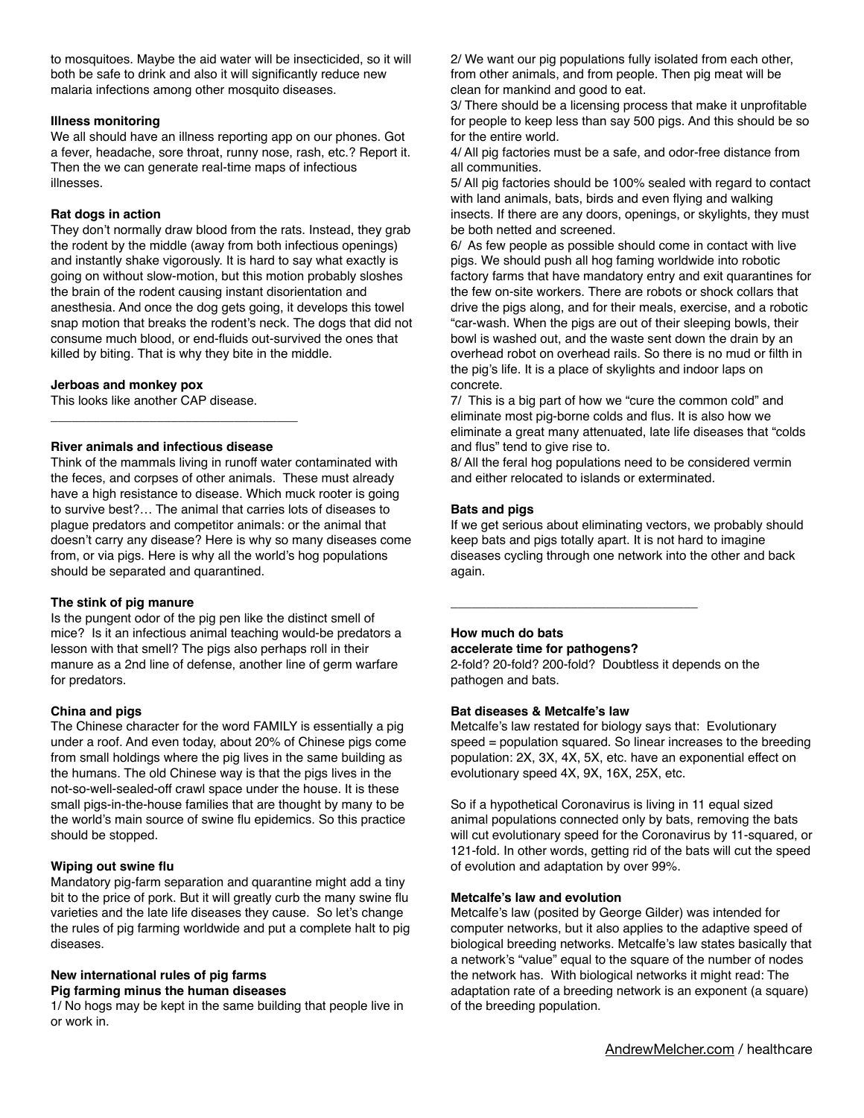to mosquitoes. Maybe the aid water will be insecticided, so it will both be safe to drink and also it will significantly reduce new malaria infections among other mosquito diseases.

### **Illness monitoring**

We all should have an illness reporting app on our phones. Got a fever, headache, sore throat, runny nose, rash, etc.? Report it. Then the we can generate real-time maps of infectious illnesses.

### **Rat dogs in action**

They don't normally draw blood from the rats. Instead, they grab the rodent by the middle (away from both infectious openings) and instantly shake vigorously. It is hard to say what exactly is going on without slow-motion, but this motion probably sloshes the brain of the rodent causing instant disorientation and anesthesia. And once the dog gets going, it develops this towel snap motion that breaks the rodent's neck. The dogs that did not consume much blood, or end-fluids out-survived the ones that killed by biting. That is why they bite in the middle.

### **Jerboas and monkey pox**

This looks like another CAP disease.

### **River animals and infectious disease**

\_\_\_\_\_\_\_\_\_\_\_\_\_\_\_\_\_\_\_\_\_\_\_\_\_\_\_\_\_\_\_\_\_\_\_

Think of the mammals living in runoff water contaminated with the feces, and corpses of other animals. These must already have a high resistance to disease. Which muck rooter is going to survive best?… The animal that carries lots of diseases to plague predators and competitor animals: or the animal that doesn't carry any disease? Here is why so many diseases come from, or via pigs. Here is why all the world's hog populations should be separated and quarantined.

## **The stink of pig manure**

Is the pungent odor of the pig pen like the distinct smell of mice? Is it an infectious animal teaching would-be predators a lesson with that smell? The pigs also perhaps roll in their manure as a 2nd line of defense, another line of germ warfare for predators.

## **China and pigs**

The Chinese character for the word FAMILY is essentially a pig under a roof. And even today, about 20% of Chinese pigs come from small holdings where the pig lives in the same building as the humans. The old Chinese way is that the pigs lives in the not-so-well-sealed-off crawl space under the house. It is these small pigs-in-the-house families that are thought by many to be the world's main source of swine flu epidemics. So this practice should be stopped.

#### **Wiping out swine flu**

Mandatory pig-farm separation and quarantine might add a tiny bit to the price of pork. But it will greatly curb the many swine flu varieties and the late life diseases they cause. So let's change the rules of pig farming worldwide and put a complete halt to pig diseases.

## **New international rules of pig farms Pig farming minus the human diseases**

1/ No hogs may be kept in the same building that people live in or work in.

2/ We want our pig populations fully isolated from each other, from other animals, and from people. Then pig meat will be clean for mankind and good to eat.

3/ There should be a licensing process that make it unprofitable for people to keep less than say 500 pigs. And this should be so for the entire world.

4/ All pig factories must be a safe, and odor-free distance from all communities.

5/ All pig factories should be 100% sealed with regard to contact with land animals, bats, birds and even flying and walking insects. If there are any doors, openings, or skylights, they must be both netted and screened.

6/ As few people as possible should come in contact with live pigs. We should push all hog faming worldwide into robotic factory farms that have mandatory entry and exit quarantines for the few on-site workers. There are robots or shock collars that drive the pigs along, and for their meals, exercise, and a robotic "car-wash. When the pigs are out of their sleeping bowls, their bowl is washed out, and the waste sent down the drain by an overhead robot on overhead rails. So there is no mud or filth in the pig's life. It is a place of skylights and indoor laps on concrete.

7/ This is a big part of how we "cure the common cold" and eliminate most pig-borne colds and flus. It is also how we eliminate a great many attenuated, late life diseases that "colds and flus" tend to give rise to.

8/ All the feral hog populations need to be considered vermin and either relocated to islands or exterminated.

### **Bats and pigs**

If we get serious about eliminating vectors, we probably should keep bats and pigs totally apart. It is not hard to imagine diseases cycling through one network into the other and back again.

## **How much do bats accelerate time for pathogens?**

\_\_\_\_\_\_\_\_\_\_\_\_\_\_\_\_\_\_\_\_\_\_\_\_\_\_\_\_\_\_\_\_\_\_\_

2-fold? 20-fold? 200-fold? Doubtless it depends on the pathogen and bats.

## **Bat diseases & Metcalfe's law**

Metcalfe's law restated for biology says that: Evolutionary speed = population squared. So linear increases to the breeding population: 2X, 3X, 4X, 5X, etc. have an exponential effect on evolutionary speed 4X, 9X, 16X, 25X, etc.

So if a hypothetical Coronavirus is living in 11 equal sized animal populations connected only by bats, removing the bats will cut evolutionary speed for the Coronavirus by 11-squared, or 121-fold. In other words, getting rid of the bats will cut the speed of evolution and adaptation by over 99%.

#### **Metcalfe's law and evolution**

Metcalfe's law (posited by George Gilder) was intended for computer networks, but it also applies to the adaptive speed of biological breeding networks. Metcalfe's law states basically that a network's "value" equal to the square of the number of nodes the network has. With biological networks it might read: The adaptation rate of a breeding network is an exponent (a square) of the breeding population.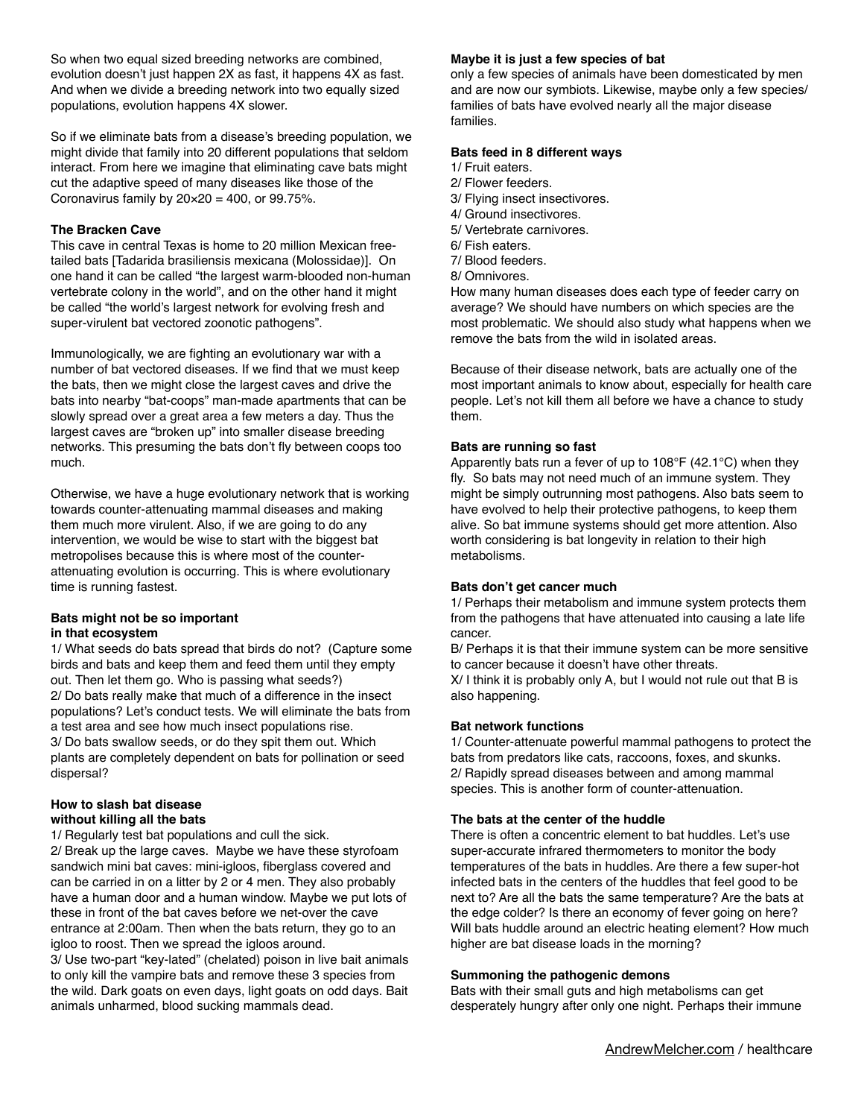So when two equal sized breeding networks are combined, evolution doesn't just happen 2X as fast, it happens 4X as fast. And when we divide a breeding network into two equally sized populations, evolution happens 4X slower.

So if we eliminate bats from a disease's breeding population, we might divide that family into 20 different populations that seldom interact. From here we imagine that eliminating cave bats might cut the adaptive speed of many diseases like those of the Coronavirus family by  $20 \times 20 = 400$ , or 99.75%.

### **The Bracken Cave**

This cave in central Texas is home to 20 million Mexican freetailed bats [Tadarida brasiliensis mexicana (Molossidae)]. On one hand it can be called "the largest warm-blooded non-human vertebrate colony in the world", and on the other hand it might be called "the world's largest network for evolving fresh and super-virulent bat vectored zoonotic pathogens".

Immunologically, we are fighting an evolutionary war with a number of bat vectored diseases. If we find that we must keep the bats, then we might close the largest caves and drive the bats into nearby "bat-coops" man-made apartments that can be slowly spread over a great area a few meters a day. Thus the largest caves are "broken up" into smaller disease breeding networks. This presuming the bats don't fly between coops too much.

Otherwise, we have a huge evolutionary network that is working towards counter-attenuating mammal diseases and making them much more virulent. Also, if we are going to do any intervention, we would be wise to start with the biggest bat metropolises because this is where most of the counterattenuating evolution is occurring. This is where evolutionary time is running fastest.

### **Bats might not be so important in that ecosystem**

1/ What seeds do bats spread that birds do not? (Capture some birds and bats and keep them and feed them until they empty out. Then let them go. Who is passing what seeds?) 2/ Do bats really make that much of a difference in the insect populations? Let's conduct tests. We will eliminate the bats from a test area and see how much insect populations rise. 3/ Do bats swallow seeds, or do they spit them out. Which plants are completely dependent on bats for pollination or seed dispersal?

#### **How to slash bat disease without killing all the bats**

1/ Regularly test bat populations and cull the sick.

2/ Break up the large caves. Maybe we have these styrofoam sandwich mini bat caves: mini-igloos, fiberglass covered and can be carried in on a litter by 2 or 4 men. They also probably have a human door and a human window. Maybe we put lots of these in front of the bat caves before we net-over the cave entrance at 2:00am. Then when the bats return, they go to an igloo to roost. Then we spread the igloos around.

3/ Use two-part "key-lated" (chelated) poison in live bait animals to only kill the vampire bats and remove these 3 species from the wild. Dark goats on even days, light goats on odd days. Bait animals unharmed, blood sucking mammals dead.

#### **Maybe it is just a few species of bat**

only a few species of animals have been domesticated by men and are now our symbiots. Likewise, maybe only a few species/ families of bats have evolved nearly all the major disease families.

#### **Bats feed in 8 different ways**

- 1/ Fruit eaters.
- 2/ Flower feeders.
- 3/ Flying insect insectivores.
- 4/ Ground insectivores. 5/ Vertebrate carnivores.
- 
- 6/ Fish eaters.
- 7/ Blood feeders.
- 8/ Omnivores.

How many human diseases does each type of feeder carry on average? We should have numbers on which species are the most problematic. We should also study what happens when we remove the bats from the wild in isolated areas.

Because of their disease network, bats are actually one of the most important animals to know about, especially for health care people. Let's not kill them all before we have a chance to study them.

## **Bats are running so fast**

Apparently bats run a fever of up to 108°F (42.1°C) when they fly. So bats may not need much of an immune system. They might be simply outrunning most pathogens. Also bats seem to have evolved to help their protective pathogens, to keep them alive. So bat immune systems should get more attention. Also worth considering is bat longevity in relation to their high metabolisms.

#### **Bats don't get cancer much**

1/ Perhaps their metabolism and immune system protects them from the pathogens that have attenuated into causing a late life cancer.

B/ Perhaps it is that their immune system can be more sensitive to cancer because it doesn't have other threats.

X/ I think it is probably only A, but I would not rule out that B is also happening.

## **Bat network functions**

1/ Counter-attenuate powerful mammal pathogens to protect the bats from predators like cats, raccoons, foxes, and skunks. 2/ Rapidly spread diseases between and among mammal species. This is another form of counter-attenuation.

## **The bats at the center of the huddle**

There is often a concentric element to bat huddles. Let's use super-accurate infrared thermometers to monitor the body temperatures of the bats in huddles. Are there a few super-hot infected bats in the centers of the huddles that feel good to be next to? Are all the bats the same temperature? Are the bats at the edge colder? Is there an economy of fever going on here? Will bats huddle around an electric heating element? How much higher are bat disease loads in the morning?

## **Summoning the pathogenic demons**

Bats with their small guts and high metabolisms can get desperately hungry after only one night. Perhaps their immune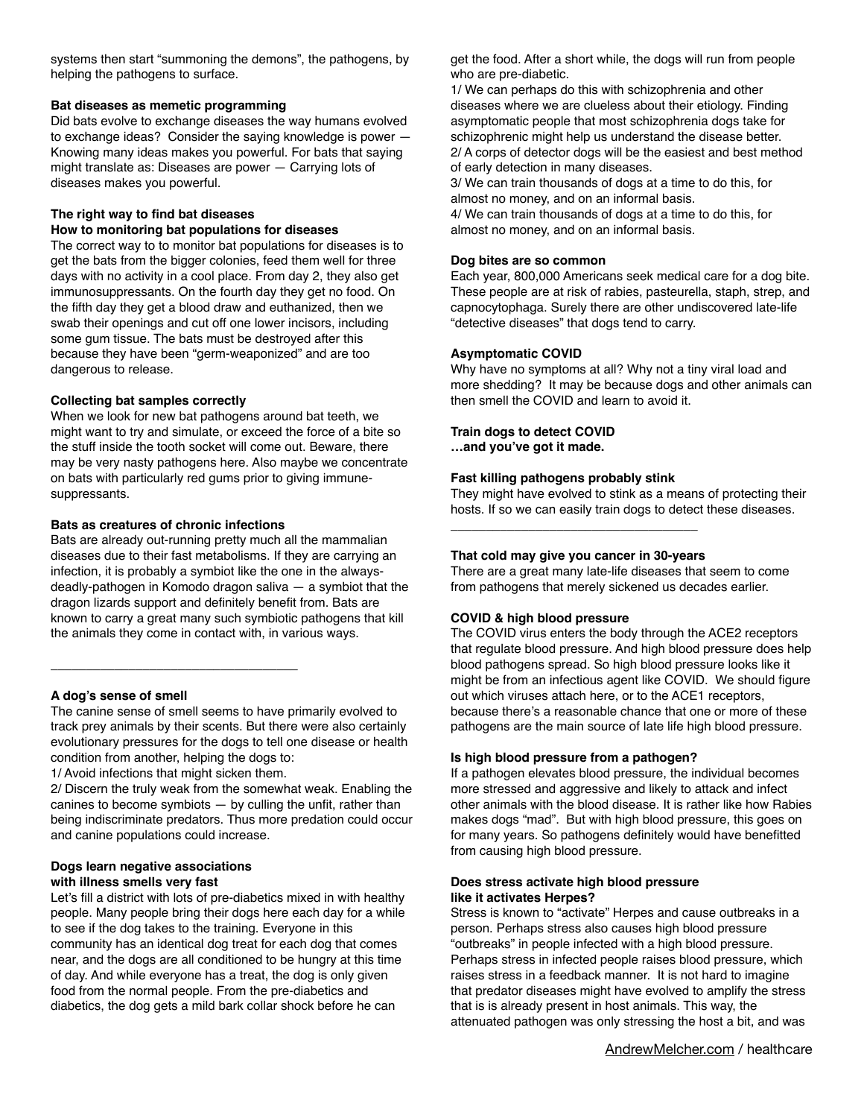systems then start "summoning the demons", the pathogens, by helping the pathogens to surface.

## **Bat diseases as memetic programming**

Did bats evolve to exchange diseases the way humans evolved to exchange ideas? Consider the saying knowledge is power — Knowing many ideas makes you powerful. For bats that saying might translate as: Diseases are power — Carrying lots of diseases makes you powerful.

### **The right way to find bat diseases How to monitoring bat populations for diseases**

The correct way to to monitor bat populations for diseases is to get the bats from the bigger colonies, feed them well for three days with no activity in a cool place. From day 2, they also get immunosuppressants. On the fourth day they get no food. On the fifth day they get a blood draw and euthanized, then we swab their openings and cut off one lower incisors, including some gum tissue. The bats must be destroyed after this because they have been "germ-weaponized" and are too dangerous to release.

## **Collecting bat samples correctly**

When we look for new bat pathogens around bat teeth, we might want to try and simulate, or exceed the force of a bite so the stuff inside the tooth socket will come out. Beware, there may be very nasty pathogens here. Also maybe we concentrate on bats with particularly red gums prior to giving immunesuppressants.

## **Bats as creatures of chronic infections**

Bats are already out-running pretty much all the mammalian diseases due to their fast metabolisms. If they are carrying an infection, it is probably a symbiot like the one in the alwaysdeadly-pathogen in Komodo dragon saliva — a symbiot that the dragon lizards support and definitely benefit from. Bats are known to carry a great many such symbiotic pathogens that kill the animals they come in contact with, in various ways.

## **A dog's sense of smell**

The canine sense of smell seems to have primarily evolved to track prey animals by their scents. But there were also certainly evolutionary pressures for the dogs to tell one disease or health condition from another, helping the dogs to:

1/ Avoid infections that might sicken them.

\_\_\_\_\_\_\_\_\_\_\_\_\_\_\_\_\_\_\_\_\_\_\_\_\_\_\_\_\_\_\_\_\_\_\_

2/ Discern the truly weak from the somewhat weak. Enabling the canines to become symbiots — by culling the unfit, rather than being indiscriminate predators. Thus more predation could occur and canine populations could increase.

## **Dogs learn negative associations with illness smells very fast**

Let's fill a district with lots of pre-diabetics mixed in with healthy people. Many people bring their dogs here each day for a while to see if the dog takes to the training. Everyone in this community has an identical dog treat for each dog that comes near, and the dogs are all conditioned to be hungry at this time of day. And while everyone has a treat, the dog is only given food from the normal people. From the pre-diabetics and diabetics, the dog gets a mild bark collar shock before he can

get the food. After a short while, the dogs will run from people who are pre-diabetic.

1/ We can perhaps do this with schizophrenia and other diseases where we are clueless about their etiology. Finding asymptomatic people that most schizophrenia dogs take for schizophrenic might help us understand the disease better. 2/ A corps of detector dogs will be the easiest and best method of early detection in many diseases.

3/ We can train thousands of dogs at a time to do this, for almost no money, and on an informal basis.

4/ We can train thousands of dogs at a time to do this, for almost no money, and on an informal basis.

## **Dog bites are so common**

Each year, 800,000 Americans seek medical care for a dog bite. These people are at risk of rabies, pasteurella, staph, strep, and capnocytophaga. Surely there are other undiscovered late-life "detective diseases" that dogs tend to carry.

## **Asymptomatic COVID**

Why have no symptoms at all? Why not a tiny viral load and more shedding? It may be because dogs and other animals can then smell the COVID and learn to avoid it.

## **Train dogs to detect COVID**

**…and you've got it made.** 

## **Fast killing pathogens probably stink**

They might have evolved to stink as a means of protecting their hosts. If so we can easily train dogs to detect these diseases.

## **That cold may give you cancer in 30-years**

\_\_\_\_\_\_\_\_\_\_\_\_\_\_\_\_\_\_\_\_\_\_\_\_\_\_\_\_\_\_\_\_\_\_\_

There are a great many late-life diseases that seem to come from pathogens that merely sickened us decades earlier.

## **COVID & high blood pressure**

The COVID virus enters the body through the ACE2 receptors that regulate blood pressure. And high blood pressure does help blood pathogens spread. So high blood pressure looks like it might be from an infectious agent like COVID. We should figure out which viruses attach here, or to the ACE1 receptors, because there's a reasonable chance that one or more of these pathogens are the main source of late life high blood pressure.

## **Is high blood pressure from a pathogen?**

If a pathogen elevates blood pressure, the individual becomes more stressed and aggressive and likely to attack and infect other animals with the blood disease. It is rather like how Rabies makes dogs "mad". But with high blood pressure, this goes on for many years. So pathogens definitely would have benefitted from causing high blood pressure.

## **Does stress activate high blood pressure like it activates Herpes?**

Stress is known to "activate" Herpes and cause outbreaks in a person. Perhaps stress also causes high blood pressure "outbreaks" in people infected with a high blood pressure. Perhaps stress in infected people raises blood pressure, which raises stress in a feedback manner. It is not hard to imagine that predator diseases might have evolved to amplify the stress that is is already present in host animals. This way, the attenuated pathogen was only stressing the host a bit, and was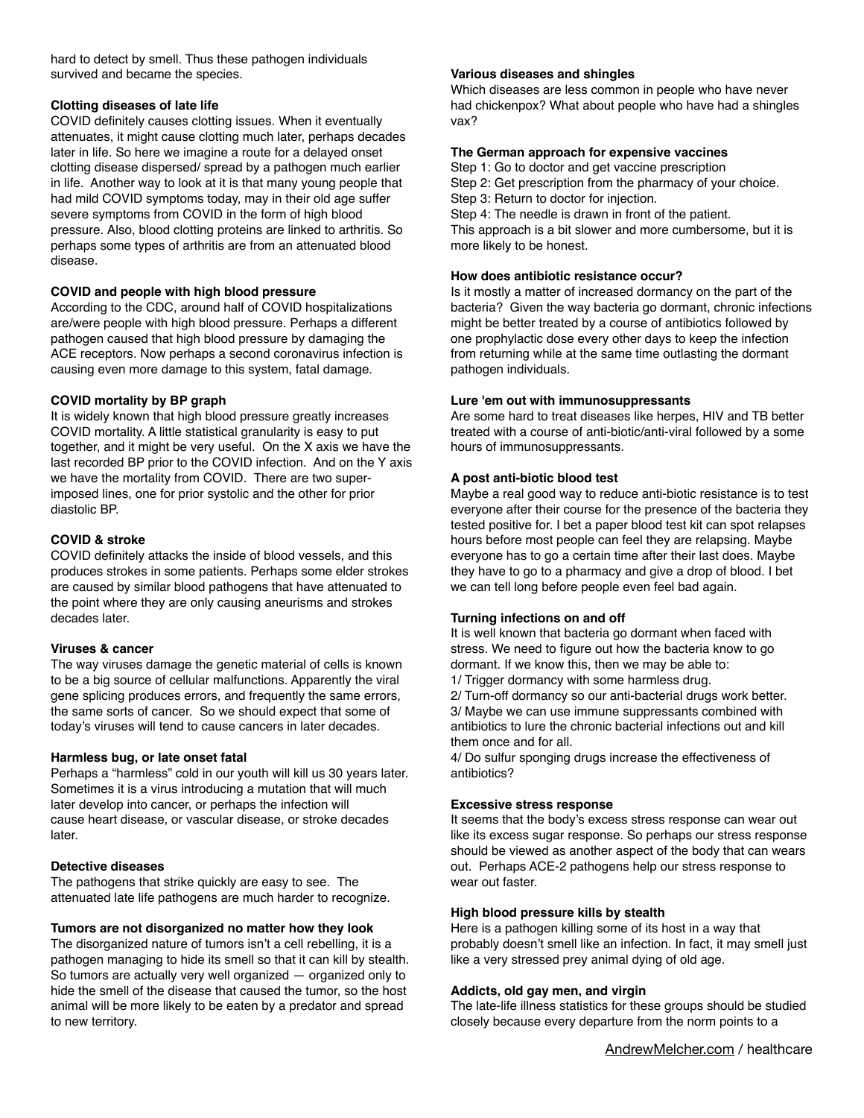hard to detect by smell. Thus these pathogen individuals survived and became the species.

## **Clotting diseases of late life**

COVID definitely causes clotting issues. When it eventually attenuates, it might cause clotting much later, perhaps decades later in life. So here we imagine a route for a delayed onset clotting disease dispersed/ spread by a pathogen much earlier in life. Another way to look at it is that many young people that had mild COVID symptoms today, may in their old age suffer severe symptoms from COVID in the form of high blood pressure. Also, blood clotting proteins are linked to arthritis. So perhaps some types of arthritis are from an attenuated blood disease.

## **COVID and people with high blood pressure**

According to the CDC, around half of COVID hospitalizations are/were people with high blood pressure. Perhaps a different pathogen caused that high blood pressure by damaging the ACE receptors. Now perhaps a second coronavirus infection is causing even more damage to this system, fatal damage.

## **COVID mortality by BP graph**

It is widely known that high blood pressure greatly increases COVID mortality. A little statistical granularity is easy to put together, and it might be very useful. On the X axis we have the last recorded BP prior to the COVID infection. And on the Y axis we have the mortality from COVID. There are two superimposed lines, one for prior systolic and the other for prior diastolic BP.

## **COVID & stroke**

COVID definitely attacks the inside of blood vessels, and this produces strokes in some patients. Perhaps some elder strokes are caused by similar blood pathogens that have attenuated to the point where they are only causing aneurisms and strokes decades later.

## **Viruses & cancer**

The way viruses damage the genetic material of cells is known to be a big source of cellular malfunctions. Apparently the viral gene splicing produces errors, and frequently the same errors, the same sorts of cancer. So we should expect that some of today's viruses will tend to cause cancers in later decades.

## **Harmless bug, or late onset fatal**

Perhaps a "harmless" cold in our youth will kill us 30 years later. Sometimes it is a virus introducing a mutation that will much later develop into cancer, or perhaps the infection will cause heart disease, or vascular disease, or stroke decades later.

## **Detective diseases**

The pathogens that strike quickly are easy to see. The attenuated late life pathogens are much harder to recognize.

## **Tumors are not disorganized no matter how they look**

The disorganized nature of tumors isn't a cell rebelling, it is a pathogen managing to hide its smell so that it can kill by stealth. So tumors are actually very well organized — organized only to hide the smell of the disease that caused the tumor, so the host animal will be more likely to be eaten by a predator and spread to new territory.

## **Various diseases and shingles**

more likely to be honest.

Which diseases are less common in people who have never had chickenpox? What about people who have had a shingles vax?

## **The German approach for expensive vaccines**

Step 1: Go to doctor and get vaccine prescription Step 2: Get prescription from the pharmacy of your choice. Step 3: Return to doctor for injection. Step 4: The needle is drawn in front of the patient. This approach is a bit slower and more cumbersome, but it is

# **How does antibiotic resistance occur?**

Is it mostly a matter of increased dormancy on the part of the bacteria? Given the way bacteria go dormant, chronic infections might be better treated by a course of antibiotics followed by one prophylactic dose every other days to keep the infection from returning while at the same time outlasting the dormant pathogen individuals.

## **Lure 'em out with immunosuppressants**

Are some hard to treat diseases like herpes, HIV and TB better treated with a course of anti-biotic/anti-viral followed by a some hours of immunosuppressants.

## **A post anti-biotic blood test**

Maybe a real good way to reduce anti-biotic resistance is to test everyone after their course for the presence of the bacteria they tested positive for. I bet a paper blood test kit can spot relapses hours before most people can feel they are relapsing. Maybe everyone has to go a certain time after their last does. Maybe they have to go to a pharmacy and give a drop of blood. I bet we can tell long before people even feel bad again.

## **Turning infections on and off**

It is well known that bacteria go dormant when faced with stress. We need to figure out how the bacteria know to go dormant. If we know this, then we may be able to:

1/ Trigger dormancy with some harmless drug.

2/ Turn-off dormancy so our anti-bacterial drugs work better. 3/ Maybe we can use immune suppressants combined with antibiotics to lure the chronic bacterial infections out and kill them once and for all.

4/ Do sulfur sponging drugs increase the effectiveness of antibiotics?

## **Excessive stress response**

It seems that the body's excess stress response can wear out like its excess sugar response. So perhaps our stress response should be viewed as another aspect of the body that can wears out. Perhaps ACE-2 pathogens help our stress response to wear out faster.

## **High blood pressure kills by stealth**

Here is a pathogen killing some of its host in a way that probably doesn't smell like an infection. In fact, it may smell just like a very stressed prey animal dying of old age.

## **Addicts, old gay men, and virgin**

The late-life illness statistics for these groups should be studied closely because every departure from the norm points to a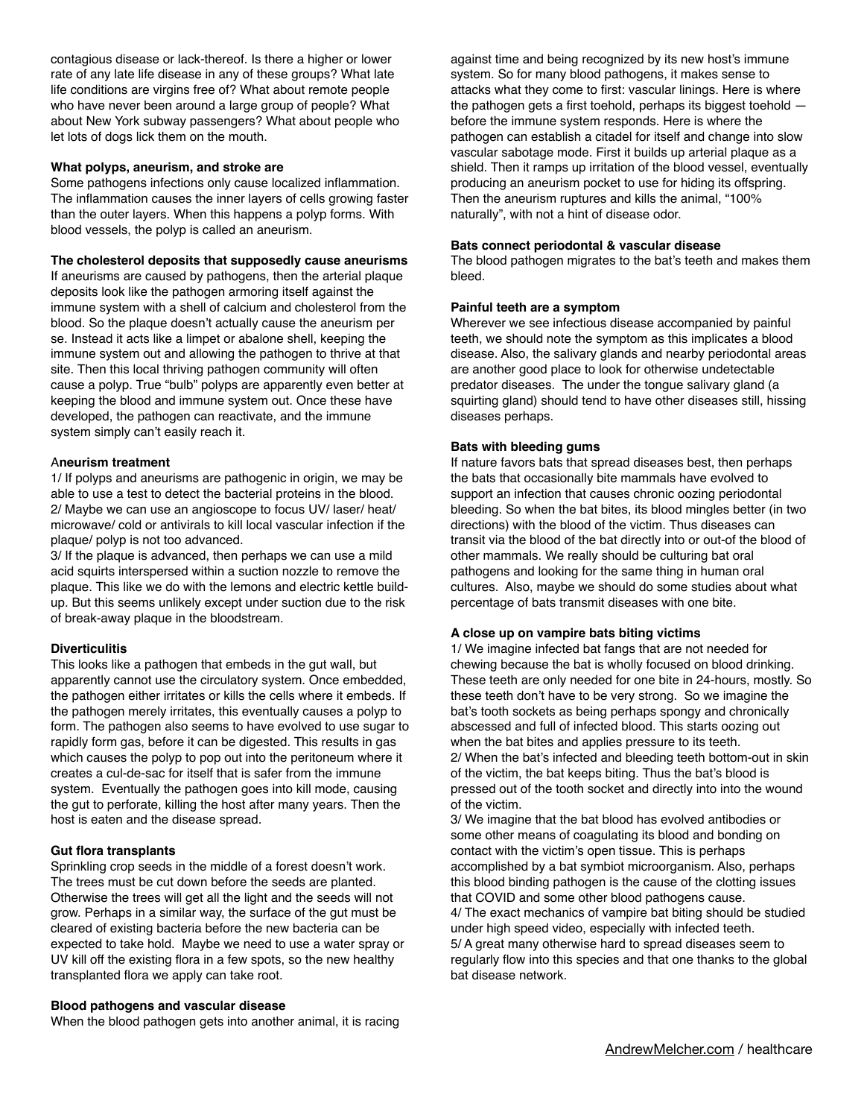contagious disease or lack-thereof. Is there a higher or lower rate of any late life disease in any of these groups? What late life conditions are virgins free of? What about remote people who have never been around a large group of people? What about New York subway passengers? What about people who let lots of dogs lick them on the mouth.

#### **What polyps, aneurism, and stroke are**

Some pathogens infections only cause localized inflammation. The inflammation causes the inner layers of cells growing faster than the outer layers. When this happens a polyp forms. With blood vessels, the polyp is called an aneurism.

### **The cholesterol deposits that supposedly cause aneurisms**

If aneurisms are caused by pathogens, then the arterial plaque deposits look like the pathogen armoring itself against the immune system with a shell of calcium and cholesterol from the blood. So the plaque doesn't actually cause the aneurism per se. Instead it acts like a limpet or abalone shell, keeping the immune system out and allowing the pathogen to thrive at that site. Then this local thriving pathogen community will often cause a polyp. True "bulb" polyps are apparently even better at keeping the blood and immune system out. Once these have developed, the pathogen can reactivate, and the immune system simply can't easily reach it.

### A**neurism treatment**

1/ If polyps and aneurisms are pathogenic in origin, we may be able to use a test to detect the bacterial proteins in the blood. 2/ Maybe we can use an angioscope to focus UV/ laser/ heat/ microwave/ cold or antivirals to kill local vascular infection if the plaque/ polyp is not too advanced.

3/ If the plaque is advanced, then perhaps we can use a mild acid squirts interspersed within a suction nozzle to remove the plaque. This like we do with the lemons and electric kettle buildup. But this seems unlikely except under suction due to the risk of break-away plaque in the bloodstream.

## **Diverticulitis**

This looks like a pathogen that embeds in the gut wall, but apparently cannot use the circulatory system. Once embedded, the pathogen either irritates or kills the cells where it embeds. If the pathogen merely irritates, this eventually causes a polyp to form. The pathogen also seems to have evolved to use sugar to rapidly form gas, before it can be digested. This results in gas which causes the polyp to pop out into the peritoneum where it creates a cul-de-sac for itself that is safer from the immune system. Eventually the pathogen goes into kill mode, causing the gut to perforate, killing the host after many years. Then the host is eaten and the disease spread.

## **Gut flora transplants**

Sprinkling crop seeds in the middle of a forest doesn't work. The trees must be cut down before the seeds are planted. Otherwise the trees will get all the light and the seeds will not grow. Perhaps in a similar way, the surface of the gut must be cleared of existing bacteria before the new bacteria can be expected to take hold. Maybe we need to use a water spray or UV kill off the existing flora in a few spots, so the new healthy transplanted flora we apply can take root.

#### **Blood pathogens and vascular disease**

When the blood pathogen gets into another animal, it is racing

against time and being recognized by its new host's immune system. So for many blood pathogens, it makes sense to attacks what they come to first: vascular linings. Here is where the pathogen gets a first toehold, perhaps its biggest toehold before the immune system responds. Here is where the pathogen can establish a citadel for itself and change into slow vascular sabotage mode. First it builds up arterial plaque as a shield. Then it ramps up irritation of the blood vessel, eventually producing an aneurism pocket to use for hiding its offspring. Then the aneurism ruptures and kills the animal, "100% naturally", with not a hint of disease odor.

### **Bats connect periodontal & vascular disease**

The blood pathogen migrates to the bat's teeth and makes them bleed.

### **Painful teeth are a symptom**

Wherever we see infectious disease accompanied by painful teeth, we should note the symptom as this implicates a blood disease. Also, the salivary glands and nearby periodontal areas are another good place to look for otherwise undetectable predator diseases. The under the tongue salivary gland (a squirting gland) should tend to have other diseases still, hissing diseases perhaps.

### **Bats with bleeding gums**

If nature favors bats that spread diseases best, then perhaps the bats that occasionally bite mammals have evolved to support an infection that causes chronic oozing periodontal bleeding. So when the bat bites, its blood mingles better (in two directions) with the blood of the victim. Thus diseases can transit via the blood of the bat directly into or out-of the blood of other mammals. We really should be culturing bat oral pathogens and looking for the same thing in human oral cultures. Also, maybe we should do some studies about what percentage of bats transmit diseases with one bite.

#### **A close up on vampire bats biting victims**

1/ We imagine infected bat fangs that are not needed for chewing because the bat is wholly focused on blood drinking. These teeth are only needed for one bite in 24-hours, mostly. So these teeth don't have to be very strong. So we imagine the bat's tooth sockets as being perhaps spongy and chronically abscessed and full of infected blood. This starts oozing out when the bat bites and applies pressure to its teeth. 2/ When the bat's infected and bleeding teeth bottom-out in skin of the victim, the bat keeps biting. Thus the bat's blood is pressed out of the tooth socket and directly into into the wound of the victim.

3/ We imagine that the bat blood has evolved antibodies or some other means of coagulating its blood and bonding on contact with the victim's open tissue. This is perhaps accomplished by a bat symbiot microorganism. Also, perhaps this blood binding pathogen is the cause of the clotting issues that COVID and some other blood pathogens cause. 4/ The exact mechanics of vampire bat biting should be studied under high speed video, especially with infected teeth. 5/ A great many otherwise hard to spread diseases seem to regularly flow into this species and that one thanks to the global bat disease network.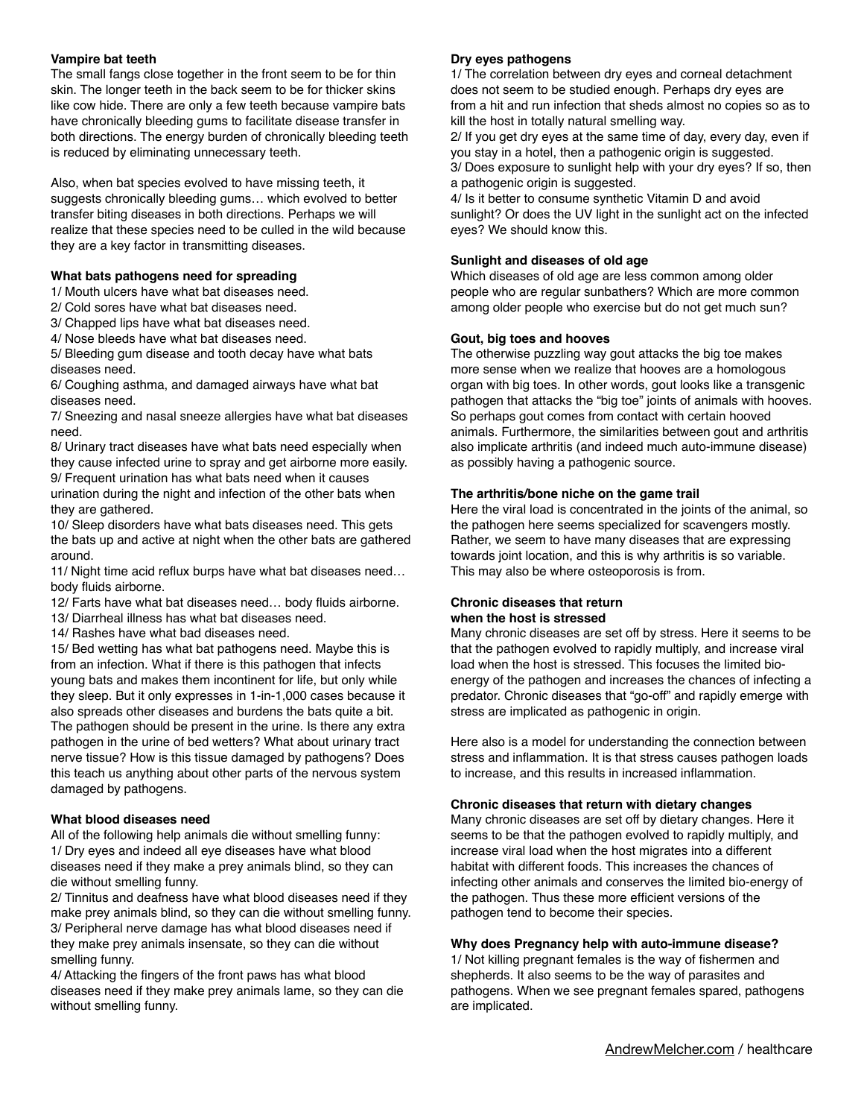## **Vampire bat teeth**

The small fangs close together in the front seem to be for thin skin. The longer teeth in the back seem to be for thicker skins like cow hide. There are only a few teeth because vampire bats have chronically bleeding gums to facilitate disease transfer in both directions. The energy burden of chronically bleeding teeth is reduced by eliminating unnecessary teeth.

Also, when bat species evolved to have missing teeth, it suggests chronically bleeding gums… which evolved to better transfer biting diseases in both directions. Perhaps we will realize that these species need to be culled in the wild because they are a key factor in transmitting diseases.

## **What bats pathogens need for spreading**

1/ Mouth ulcers have what bat diseases need.

2/ Cold sores have what bat diseases need.

3/ Chapped lips have what bat diseases need.

4/ Nose bleeds have what bat diseases need.

5/ Bleeding gum disease and tooth decay have what bats diseases need.

6/ Coughing asthma, and damaged airways have what bat diseases need.

7/ Sneezing and nasal sneeze allergies have what bat diseases need.

8/ Urinary tract diseases have what bats need especially when they cause infected urine to spray and get airborne more easily. 9/ Frequent urination has what bats need when it causes urination during the night and infection of the other bats when they are gathered.

10/ Sleep disorders have what bats diseases need. This gets the bats up and active at night when the other bats are gathered around.

11/ Night time acid reflux burps have what bat diseases need… body fluids airborne.

12/ Farts have what bat diseases need… body fluids airborne.

13/ Diarrheal illness has what bat diseases need.

14/ Rashes have what bad diseases need.

15/ Bed wetting has what bat pathogens need. Maybe this is from an infection. What if there is this pathogen that infects young bats and makes them incontinent for life, but only while they sleep. But it only expresses in 1-in-1,000 cases because it also spreads other diseases and burdens the bats quite a bit. The pathogen should be present in the urine. Is there any extra pathogen in the urine of bed wetters? What about urinary tract nerve tissue? How is this tissue damaged by pathogens? Does this teach us anything about other parts of the nervous system damaged by pathogens.

## **What blood diseases need**

All of the following help animals die without smelling funny: 1/ Dry eyes and indeed all eye diseases have what blood diseases need if they make a prey animals blind, so they can die without smelling funny.

2/ Tinnitus and deafness have what blood diseases need if they make prey animals blind, so they can die without smelling funny. 3/ Peripheral nerve damage has what blood diseases need if they make prey animals insensate, so they can die without smelling funny.

4/ Attacking the fingers of the front paws has what blood diseases need if they make prey animals lame, so they can die without smelling funny.

## **Dry eyes pathogens**

1/ The correlation between dry eyes and corneal detachment does not seem to be studied enough. Perhaps dry eyes are from a hit and run infection that sheds almost no copies so as to kill the host in totally natural smelling way.

2/ If you get dry eyes at the same time of day, every day, even if you stay in a hotel, then a pathogenic origin is suggested.

3/ Does exposure to sunlight help with your dry eyes? If so, then a pathogenic origin is suggested.

4/ Is it better to consume synthetic Vitamin D and avoid sunlight? Or does the UV light in the sunlight act on the infected eyes? We should know this.

## **Sunlight and diseases of old age**

Which diseases of old age are less common among older people who are regular sunbathers? Which are more common among older people who exercise but do not get much sun?

## **Gout, big toes and hooves**

The otherwise puzzling way gout attacks the big toe makes more sense when we realize that hooves are a homologous organ with big toes. In other words, gout looks like a transgenic pathogen that attacks the "big toe" joints of animals with hooves. So perhaps gout comes from contact with certain hooved animals. Furthermore, the similarities between gout and arthritis also implicate arthritis (and indeed much auto-immune disease) as possibly having a pathogenic source.

## **The arthritis/bone niche on the game trail**

Here the viral load is concentrated in the joints of the animal, so the pathogen here seems specialized for scavengers mostly. Rather, we seem to have many diseases that are expressing towards joint location, and this is why arthritis is so variable. This may also be where osteoporosis is from.

## **Chronic diseases that return when the host is stressed**

Many chronic diseases are set off by stress. Here it seems to be that the pathogen evolved to rapidly multiply, and increase viral load when the host is stressed. This focuses the limited bioenergy of the pathogen and increases the chances of infecting a predator. Chronic diseases that "go-off" and rapidly emerge with stress are implicated as pathogenic in origin.

Here also is a model for understanding the connection between stress and inflammation. It is that stress causes pathogen loads to increase, and this results in increased inflammation.

## **Chronic diseases that return with dietary changes**

Many chronic diseases are set off by dietary changes. Here it seems to be that the pathogen evolved to rapidly multiply, and increase viral load when the host migrates into a different habitat with different foods. This increases the chances of infecting other animals and conserves the limited bio-energy of the pathogen. Thus these more efficient versions of the pathogen tend to become their species.

## **Why does Pregnancy help with auto-immune disease?**

1/ Not killing pregnant females is the way of fishermen and shepherds. It also seems to be the way of parasites and pathogens. When we see pregnant females spared, pathogens are implicated.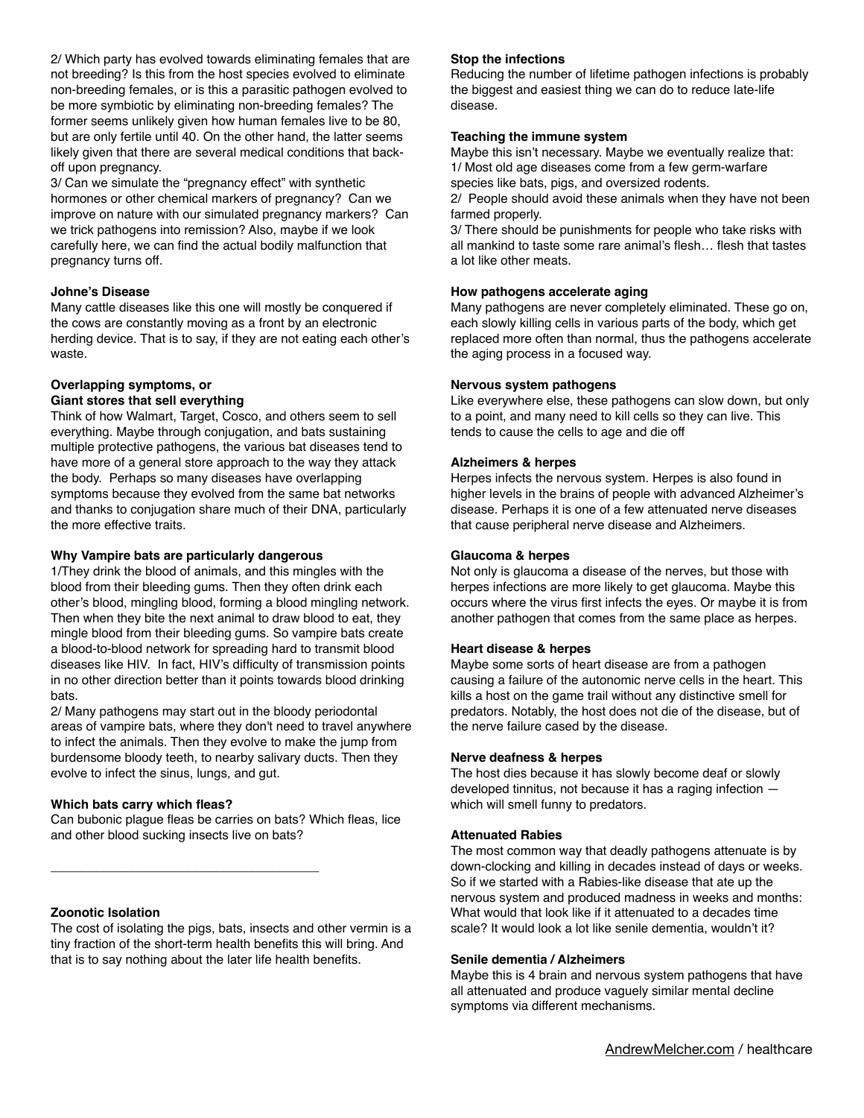2/ Which party has evolved towards eliminating females that are not breeding? Is this from the host species evolved to eliminate non-breeding females, or is this a parasitic pathogen evolved to be more symbiotic by eliminating non-breeding females? The former seems unlikely given how human females live to be 80, but are only fertile until 40. On the other hand, the latter seems likely given that there are several medical conditions that backoff upon pregnancy.

3/ Can we simulate the "pregnancy effect" with synthetic hormones or other chemical markers of pregnancy? Can we improve on nature with our simulated pregnancy markers? Can we trick pathogens into remission? Also, maybe if we look carefully here, we can find the actual bodily malfunction that pregnancy turns off.

### **Johne's Disease**

Many cattle diseases like this one will mostly be conquered if the cows are constantly moving as a front by an electronic herding device. That is to say, if they are not eating each other's waste.

#### **Overlapping symptoms, or Giant stores that sell everything**

Think of how Walmart, Target, Cosco, and others seem to sell everything. Maybe through conjugation, and bats sustaining multiple protective pathogens, the various bat diseases tend to have more of a general store approach to the way they attack the body. Perhaps so many diseases have overlapping symptoms because they evolved from the same bat networks and thanks to conjugation share much of their DNA, particularly the more effective traits.

## **Why Vampire bats are particularly dangerous**

1/They drink the blood of animals, and this mingles with the blood from their bleeding gums. Then they often drink each other's blood, mingling blood, forming a blood mingling network. Then when they bite the next animal to draw blood to eat, they mingle blood from their bleeding gums. So vampire bats create a blood-to-blood network for spreading hard to transmit blood diseases like HIV. In fact, HIV's difficulty of transmission points in no other direction better than it points towards blood drinking bats.

2/ Many pathogens may start out in the bloody periodontal areas of vampire bats, where they don't need to travel anywhere to infect the animals. Then they evolve to make the jump from burdensome bloody teeth, to nearby salivary ducts. Then they evolve to infect the sinus, lungs, and gut.

#### **Which bats carry which fleas?**

Can bubonic plague fleas be carries on bats? Which fleas, lice and other blood sucking insects live on bats?

\_\_\_\_\_\_\_\_\_\_\_\_\_\_\_\_\_\_\_\_\_\_\_\_\_\_\_\_\_\_\_\_\_\_\_\_\_\_

### **Zoonotic Isolation**

The cost of isolating the pigs, bats, insects and other vermin is a tiny fraction of the short-term health benefits this will bring. And that is to say nothing about the later life health benefits.

### **Stop the infections**

Reducing the number of lifetime pathogen infections is probably the biggest and easiest thing we can do to reduce late-life disease.

#### **Teaching the immune system**

Maybe this isn't necessary. Maybe we eventually realize that: 1/ Most old age diseases come from a few germ-warfare species like bats, pigs, and oversized rodents.

2/ People should avoid these animals when they have not been farmed properly.

3/ There should be punishments for people who take risks with all mankind to taste some rare animal's flesh… flesh that tastes a lot like other meats.

#### **How pathogens accelerate aging**

Many pathogens are never completely eliminated. These go on, each slowly killing cells in various parts of the body, which get replaced more often than normal, thus the pathogens accelerate the aging process in a focused way.

#### **Nervous system pathogens**

Like everywhere else, these pathogens can slow down, but only to a point, and many need to kill cells so they can live. This tends to cause the cells to age and die off

### **Alzheimers & herpes**

Herpes infects the nervous system. Herpes is also found in higher levels in the brains of people with advanced Alzheimer's disease. Perhaps it is one of a few attenuated nerve diseases that cause peripheral nerve disease and Alzheimers.

#### **Glaucoma & herpes**

Not only is glaucoma a disease of the nerves, but those with herpes infections are more likely to get glaucoma. Maybe this occurs where the virus first infects the eyes. Or maybe it is from another pathogen that comes from the same place as herpes.

## **Heart disease & herpes**

Maybe some sorts of heart disease are from a pathogen causing a failure of the autonomic nerve cells in the heart. This kills a host on the game trail without any distinctive smell for predators. Notably, the host does not die of the disease, but of the nerve failure cased by the disease.

#### **Nerve deafness & herpes**

The host dies because it has slowly become deaf or slowly developed tinnitus, not because it has a raging infection which will smell funny to predators.

## **Attenuated Rabies**

The most common way that deadly pathogens attenuate is by down-clocking and killing in decades instead of days or weeks. So if we started with a Rabies-like disease that ate up the nervous system and produced madness in weeks and months: What would that look like if it attenuated to a decades time scale? It would look a lot like senile dementia, wouldn't it?

#### **Senile dementia / Alzheimers**

Maybe this is 4 brain and nervous system pathogens that have all attenuated and produce vaguely similar mental decline symptoms via different mechanisms.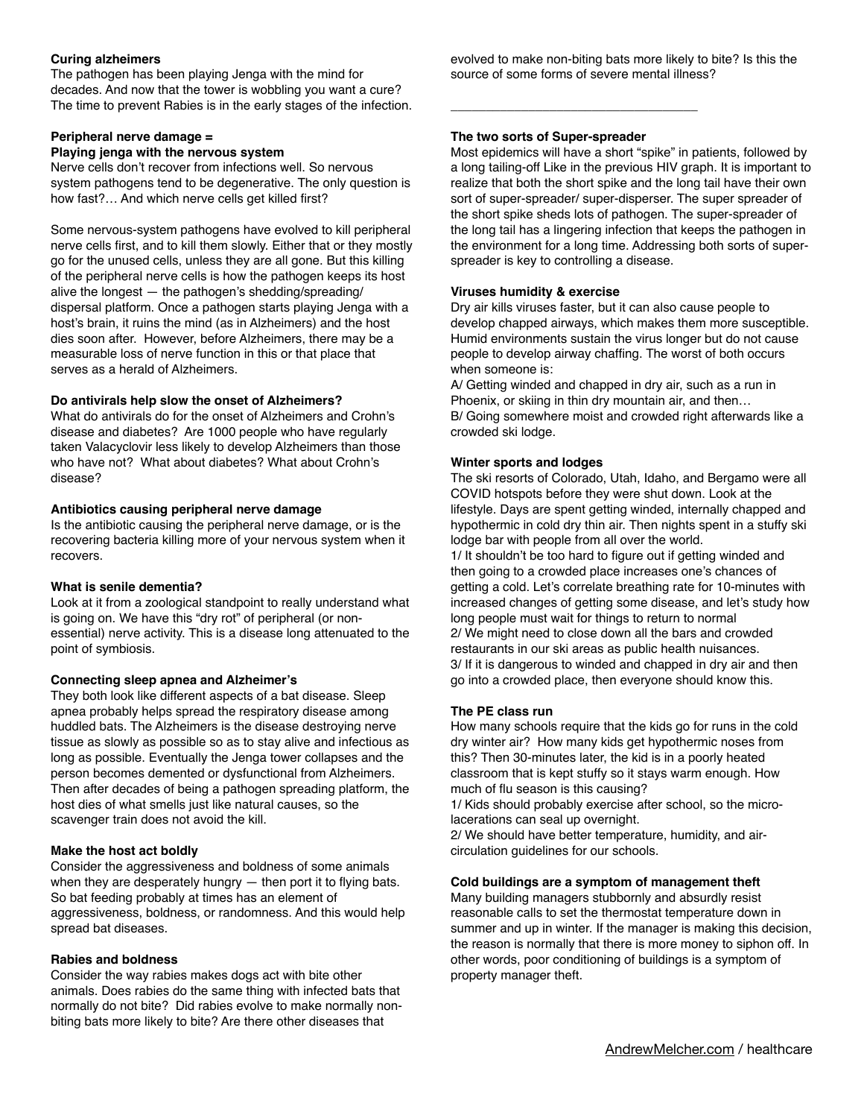## **Curing alzheimers**

The pathogen has been playing Jenga with the mind for decades. And now that the tower is wobbling you want a cure? The time to prevent Rabies is in the early stages of the infection.

## **Peripheral nerve damage =**

## **Playing jenga with the nervous system**

Nerve cells don't recover from infections well. So nervous system pathogens tend to be degenerative. The only question is how fast?… And which nerve cells get killed first?

Some nervous-system pathogens have evolved to kill peripheral nerve cells first, and to kill them slowly. Either that or they mostly go for the unused cells, unless they are all gone. But this killing of the peripheral nerve cells is how the pathogen keeps its host alive the longest — the pathogen's shedding/spreading/ dispersal platform. Once a pathogen starts playing Jenga with a host's brain, it ruins the mind (as in Alzheimers) and the host dies soon after. However, before Alzheimers, there may be a measurable loss of nerve function in this or that place that serves as a herald of Alzheimers.

## **Do antivirals help slow the onset of Alzheimers?**

What do antivirals do for the onset of Alzheimers and Crohn's disease and diabetes? Are 1000 people who have regularly taken Valacyclovir less likely to develop Alzheimers than those who have not? What about diabetes? What about Crohn's disease?

## **Antibiotics causing peripheral nerve damage**

Is the antibiotic causing the peripheral nerve damage, or is the recovering bacteria killing more of your nervous system when it recovers.

## **What is senile dementia?**

Look at it from a zoological standpoint to really understand what is going on. We have this "dry rot" of peripheral (or nonessential) nerve activity. This is a disease long attenuated to the point of symbiosis.

## **Connecting sleep apnea and Alzheimer's**

They both look like different aspects of a bat disease. Sleep apnea probably helps spread the respiratory disease among huddled bats. The Alzheimers is the disease destroying nerve tissue as slowly as possible so as to stay alive and infectious as long as possible. Eventually the Jenga tower collapses and the person becomes demented or dysfunctional from Alzheimers. Then after decades of being a pathogen spreading platform, the host dies of what smells just like natural causes, so the scavenger train does not avoid the kill.

## **Make the host act boldly**

Consider the aggressiveness and boldness of some animals when they are desperately hungry — then port it to flying bats. So bat feeding probably at times has an element of aggressiveness, boldness, or randomness. And this would help spread bat diseases.

## **Rabies and boldness**

Consider the way rabies makes dogs act with bite other animals. Does rabies do the same thing with infected bats that normally do not bite? Did rabies evolve to make normally nonbiting bats more likely to bite? Are there other diseases that

evolved to make non-biting bats more likely to bite? Is this the source of some forms of severe mental illness?

## **The two sorts of Super-spreader**

\_\_\_\_\_\_\_\_\_\_\_\_\_\_\_\_\_\_\_\_\_\_\_\_\_\_\_\_\_\_\_\_\_\_\_

Most epidemics will have a short "spike" in patients, followed by a long tailing-off Like in the previous HIV graph. It is important to realize that both the short spike and the long tail have their own sort of super-spreader/ super-disperser. The super spreader of the short spike sheds lots of pathogen. The super-spreader of the long tail has a lingering infection that keeps the pathogen in the environment for a long time. Addressing both sorts of superspreader is key to controlling a disease.

## **Viruses humidity & exercise**

Dry air kills viruses faster, but it can also cause people to develop chapped airways, which makes them more susceptible. Humid environments sustain the virus longer but do not cause people to develop airway chaffing. The worst of both occurs when someone is:

A/ Getting winded and chapped in dry air, such as a run in Phoenix, or skiing in thin dry mountain air, and then… B/ Going somewhere moist and crowded right afterwards like a crowded ski lodge.

## **Winter sports and lodges**

The ski resorts of Colorado, Utah, Idaho, and Bergamo were all COVID hotspots before they were shut down. Look at the lifestyle. Days are spent getting winded, internally chapped and hypothermic in cold dry thin air. Then nights spent in a stuffy ski lodge bar with people from all over the world. 1/ It shouldn't be too hard to figure out if getting winded and then going to a crowded place increases one's chances of getting a cold. Let's correlate breathing rate for 10-minutes with increased changes of getting some disease, and let's study how long people must wait for things to return to normal 2/ We might need to close down all the bars and crowded restaurants in our ski areas as public health nuisances. 3/ If it is dangerous to winded and chapped in dry air and then go into a crowded place, then everyone should know this.

## **The PE class run**

How many schools require that the kids go for runs in the cold dry winter air? How many kids get hypothermic noses from this? Then 30-minutes later, the kid is in a poorly heated classroom that is kept stuffy so it stays warm enough. How much of flu season is this causing?

1/ Kids should probably exercise after school, so the microlacerations can seal up overnight.

2/ We should have better temperature, humidity, and aircirculation guidelines for our schools.

## **Cold buildings are a symptom of management theft**

Many building managers stubbornly and absurdly resist reasonable calls to set the thermostat temperature down in summer and up in winter. If the manager is making this decision, the reason is normally that there is more money to siphon off. In other words, poor conditioning of buildings is a symptom of property manager theft.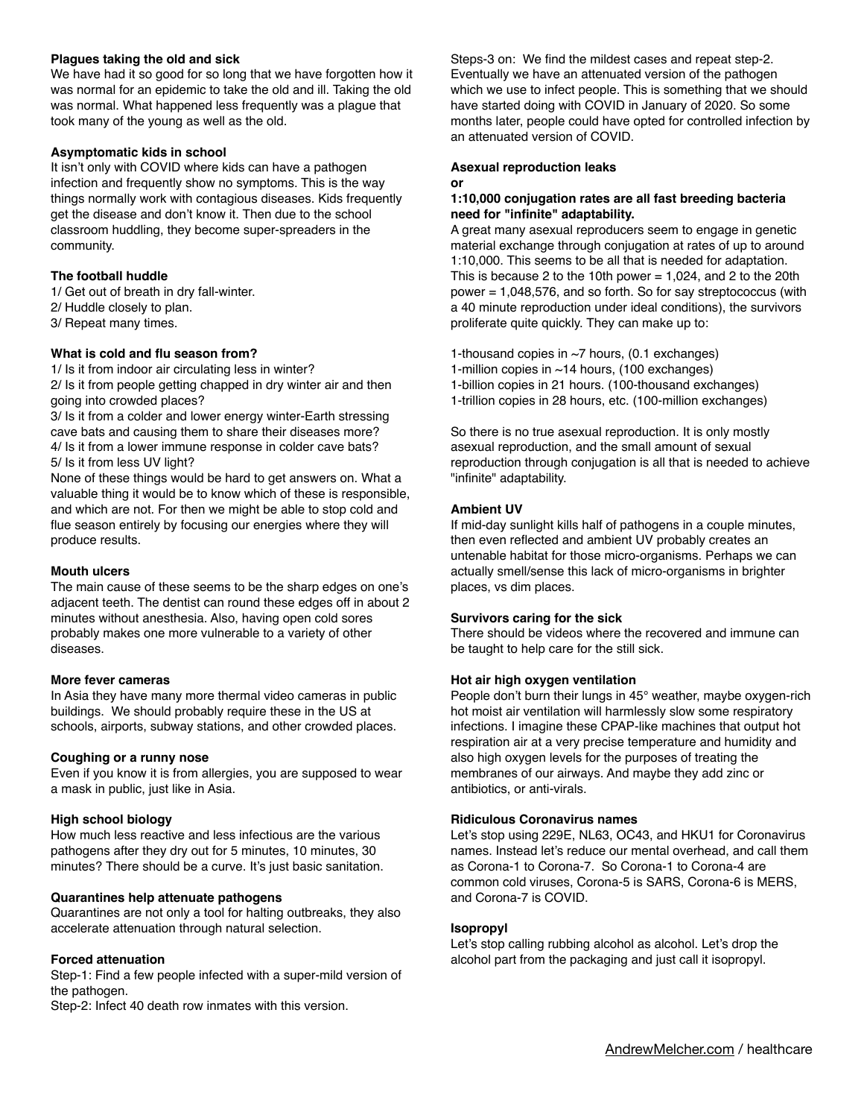## **Plagues taking the old and sick**

We have had it so good for so long that we have forgotten how it was normal for an epidemic to take the old and ill. Taking the old was normal. What happened less frequently was a plague that took many of the young as well as the old.

### **Asymptomatic kids in school**

It isn't only with COVID where kids can have a pathogen infection and frequently show no symptoms. This is the way things normally work with contagious diseases. Kids frequently get the disease and don't know it. Then due to the school classroom huddling, they become super-spreaders in the community.

## **The football huddle**

1/ Get out of breath in dry fall-winter.

- 2/ Huddle closely to plan.
- 3/ Repeat many times.

#### **What is cold and flu season from?**

1/ Is it from indoor air circulating less in winter? 2/ Is it from people getting chapped in dry winter air and then going into crowded places?

3/ Is it from a colder and lower energy winter-Earth stressing cave bats and causing them to share their diseases more? 4/ Is it from a lower immune response in colder cave bats? 5/ Is it from less UV light?

None of these things would be hard to get answers on. What a valuable thing it would be to know which of these is responsible, and which are not. For then we might be able to stop cold and flue season entirely by focusing our energies where they will produce results.

#### **Mouth ulcers**

The main cause of these seems to be the sharp edges on one's adjacent teeth. The dentist can round these edges off in about 2 minutes without anesthesia. Also, having open cold sores probably makes one more vulnerable to a variety of other diseases.

#### **More fever cameras**

In Asia they have many more thermal video cameras in public buildings. We should probably require these in the US at schools, airports, subway stations, and other crowded places.

#### **Coughing or a runny nose**

Even if you know it is from allergies, you are supposed to wear a mask in public, just like in Asia.

#### **High school biology**

How much less reactive and less infectious are the various pathogens after they dry out for 5 minutes, 10 minutes, 30 minutes? There should be a curve. It's just basic sanitation.

#### **Quarantines help attenuate pathogens**

Quarantines are not only a tool for halting outbreaks, they also accelerate attenuation through natural selection.

#### **Forced attenuation**

Step-1: Find a few people infected with a super-mild version of the pathogen.

Step-2: Infect 40 death row inmates with this version.

Steps-3 on: We find the mildest cases and repeat step-2. Eventually we have an attenuated version of the pathogen which we use to infect people. This is something that we should have started doing with COVID in January of 2020. So some months later, people could have opted for controlled infection by an attenuated version of COVID.

#### **Asexual reproduction leaks or**

### **1:10,000 conjugation rates are all fast breeding bacteria need for "infinite" adaptability.**

A great many asexual reproducers seem to engage in genetic material exchange through conjugation at rates of up to around 1:10,000. This seems to be all that is needed for adaptation. This is because 2 to the 10th power  $= 1,024$ , and 2 to the 20th power = 1,048,576, and so forth. So for say streptococcus (with a 40 minute reproduction under ideal conditions), the survivors proliferate quite quickly. They can make up to:

1-thousand copies in ~7 hours, (0.1 exchanges) 1-million copies in  $~14$  hours, (100 exchanges) 1-billion copies in 21 hours. (100-thousand exchanges) 1-trillion copies in 28 hours, etc. (100-million exchanges)

So there is no true asexual reproduction. It is only mostly asexual reproduction, and the small amount of sexual reproduction through conjugation is all that is needed to achieve "infinite" adaptability.

#### **Ambient UV**

If mid-day sunlight kills half of pathogens in a couple minutes, then even reflected and ambient UV probably creates an untenable habitat for those micro-organisms. Perhaps we can actually smell/sense this lack of micro-organisms in brighter places, vs dim places.

#### **Survivors caring for the sick**

There should be videos where the recovered and immune can be taught to help care for the still sick.

#### **Hot air high oxygen ventilation**

People don't burn their lungs in 45° weather, maybe oxygen-rich hot moist air ventilation will harmlessly slow some respiratory infections. I imagine these CPAP-like machines that output hot respiration air at a very precise temperature and humidity and also high oxygen levels for the purposes of treating the membranes of our airways. And maybe they add zinc or antibiotics, or anti-virals.

#### **Ridiculous Coronavirus names**

Let's stop using 229E, NL63, OC43, and HKU1 for Coronavirus names. Instead let's reduce our mental overhead, and call them as Corona-1 to Corona-7. So Corona-1 to Corona-4 are common cold viruses, Corona-5 is SARS, Corona-6 is MERS, and Corona-7 is COVID.

#### **Isopropyl**

Let's stop calling rubbing alcohol as alcohol. Let's drop the alcohol part from the packaging and just call it isopropyl.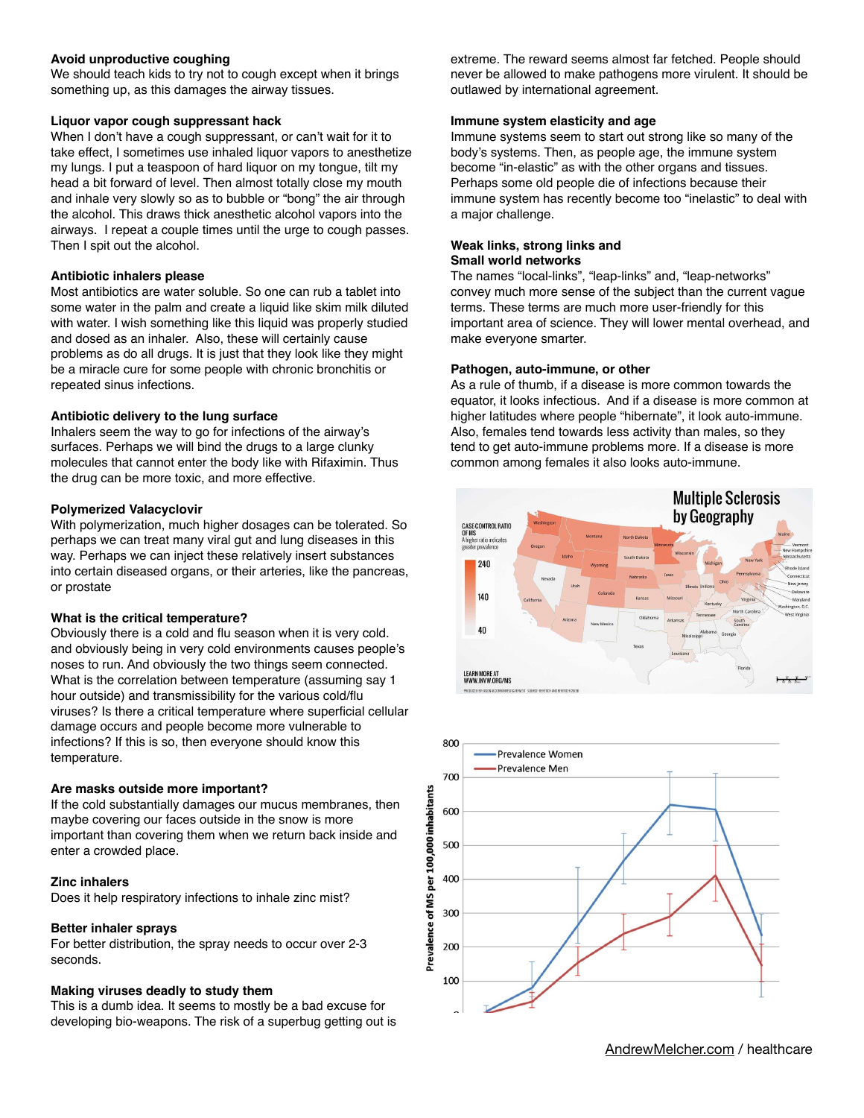## **Avoid unproductive coughing**

We should teach kids to try not to cough except when it brings something up, as this damages the airway tissues.

### **Liquor vapor cough suppressant hack**

When I don't have a cough suppressant, or can't wait for it to take effect, I sometimes use inhaled liquor vapors to anesthetize my lungs. I put a teaspoon of hard liquor on my tongue, tilt my head a bit forward of level. Then almost totally close my mouth and inhale very slowly so as to bubble or "bong" the air through the alcohol. This draws thick anesthetic alcohol vapors into the airways. I repeat a couple times until the urge to cough passes. Then I spit out the alcohol.

## **Antibiotic inhalers please**

Most antibiotics are water soluble. So one can rub a tablet into some water in the palm and create a liquid like skim milk diluted with water. I wish something like this liquid was properly studied and dosed as an inhaler. Also, these will certainly cause problems as do all drugs. It is just that they look like they might be a miracle cure for some people with chronic bronchitis or repeated sinus infections.

### **Antibiotic delivery to the lung surface**

Inhalers seem the way to go for infections of the airway's surfaces. Perhaps we will bind the drugs to a large clunky molecules that cannot enter the body like with Rifaximin. Thus the drug can be more toxic, and more effective.

### **Polymerized Valacyclovir**

With polymerization, much higher dosages can be tolerated. So perhaps we can treat many viral gut and lung diseases in this way. Perhaps we can inject these relatively insert substances into certain diseased organs, or their arteries, like the pancreas, or prostate

## **What is the critical temperature?**

Obviously there is a cold and flu season when it is very cold. and obviously being in very cold environments causes people's noses to run. And obviously the two things seem connected. What is the correlation between temperature (assuming say 1 hour outside) and transmissibility for the various cold/flu viruses? Is there a critical temperature where superficial cellular damage occurs and people become more vulnerable to infections? If this is so, then everyone should know this temperature.

#### **Are masks outside more important?**

If the cold substantially damages our mucus membranes, then maybe covering our faces outside in the snow is more important than covering them when we return back inside and enter a crowded place.

#### **Zinc inhalers**

Does it help respiratory infections to inhale zinc mist?

## **Better inhaler sprays**

For better distribution, the spray needs to occur over 2-3 seconds.

## **Making viruses deadly to study them**

This is a dumb idea. It seems to mostly be a bad excuse for developing bio-weapons. The risk of a superbug getting out is

extreme. The reward seems almost far fetched. People should never be allowed to make pathogens more virulent. It should be outlawed by international agreement.

#### **Immune system elasticity and age**

Immune systems seem to start out strong like so many of the body's systems. Then, as people age, the immune system become "in-elastic" as with the other organs and tissues. Perhaps some old people die of infections because their immune system has recently become too "inelastic" to deal with a major challenge.

#### **Weak links, strong links and Small world networks**

The names "local-links", "leap-links" and, "leap-networks" convey much more sense of the subject than the current vague terms. These terms are much more user-friendly for this important area of science. They will lower mental overhead, and make everyone smarter.

### **Pathogen, auto-immune, or other**

As a rule of thumb, if a disease is more common towards the equator, it looks infectious. And if a disease is more common at higher latitudes where people "hibernate", it look auto-immune. Also, females tend towards less activity than males, so they tend to get auto-immune problems more. If a disease is more common among females it also looks auto-immune.



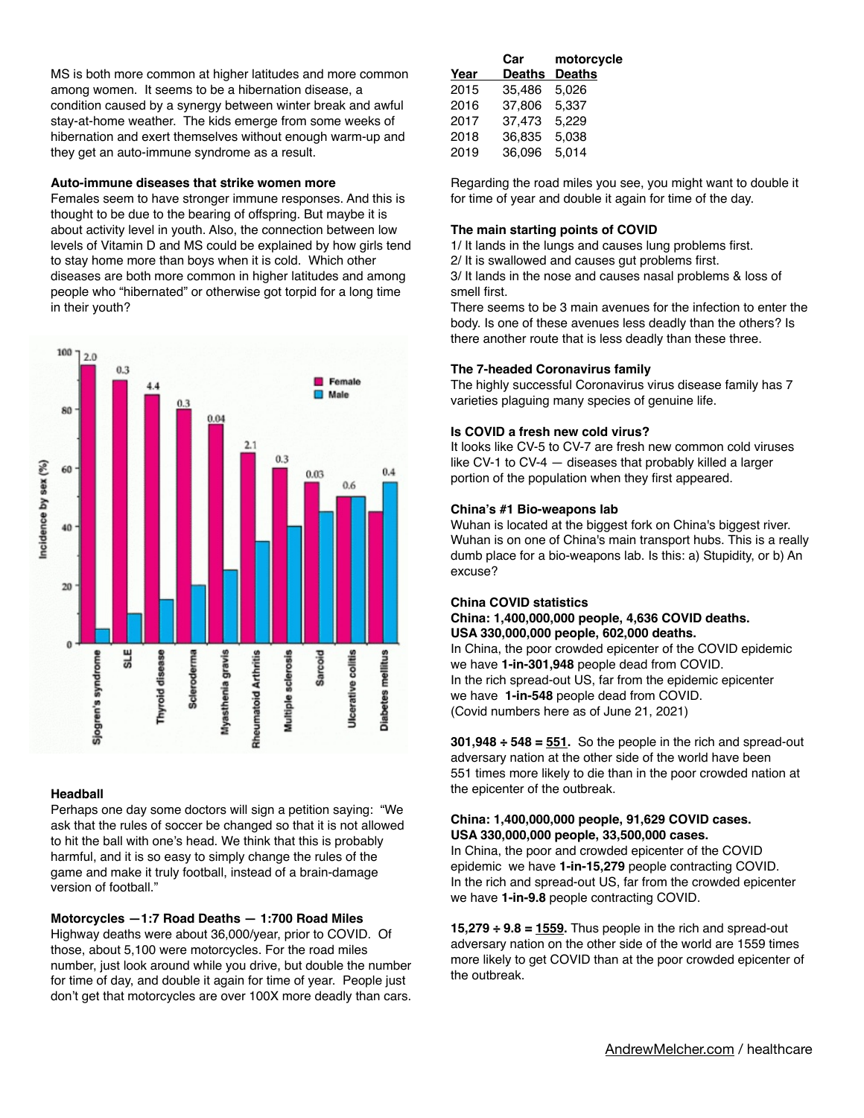MS is both more common at higher latitudes and more common among women. It seems to be a hibernation disease, a condition caused by a synergy between winter break and awful stay-at-home weather. The kids emerge from some weeks of hibernation and exert themselves without enough warm-up and they get an auto-immune syndrome as a result.

## **Auto-immune diseases that strike women more**

Females seem to have stronger immune responses. And this is thought to be due to the bearing of offspring. But maybe it is about activity level in youth. Also, the connection between low levels of Vitamin D and MS could be explained by how girls tend to stay home more than boys when it is cold. Which other diseases are both more common in higher latitudes and among people who "hibernated" or otherwise got torpid for a long time in their youth?



## **Headball**

Perhaps one day some doctors will sign a petition saying: "We ask that the rules of soccer be changed so that it is not allowed to hit the ball with one's head. We think that this is probably harmful, and it is so easy to simply change the rules of the game and make it truly football, instead of a brain-damage version of football."

## **Motorcycles —1:7 Road Deaths — 1:700 Road Miles**

Highway deaths were about 36,000/year, prior to COVID. Of those, about 5,100 were motorcycles. For the road miles number, just look around while you drive, but double the number for time of day, and double it again for time of year. People just don't get that motorcycles are over 100X more deadly than cars.

|      | Car           | motorcycle    |
|------|---------------|---------------|
| Year | <b>Deaths</b> | <b>Deaths</b> |
| 2015 | 35,486        | 5,026         |
| 2016 | 37,806        | 5.337         |
| 2017 | 37,473        | 5,229         |
| 2018 | 36,835        | 5,038         |
| 2019 | 36,096        | 5,014         |
|      |               |               |

Regarding the road miles you see, you might want to double it for time of year and double it again for time of the day.

## **The main starting points of COVID**

1/ It lands in the lungs and causes lung problems first. 2/ It is swallowed and causes gut problems first.

3/ It lands in the nose and causes nasal problems & loss of smell first.

There seems to be 3 main avenues for the infection to enter the body. Is one of these avenues less deadly than the others? Is there another route that is less deadly than these three.

## **The 7-headed Coronavirus family**

The highly successful Coronavirus virus disease family has 7 varieties plaguing many species of genuine life.

## **Is COVID a fresh new cold virus?**

It looks like CV-5 to CV-7 are fresh new common cold viruses like CV-1 to CV-4 — diseases that probably killed a larger portion of the population when they first appeared.

## **China's #1 Bio-weapons lab**

Wuhan is located at the biggest fork on China's biggest river. Wuhan is on one of China's main transport hubs. This is a really dumb place for a bio-weapons lab. Is this: a) Stupidity, or b) An excuse?

## **China COVID statistics**

### **China: 1,400,000,000 people, 4,636 COVID deaths. USA 330,000,000 people, 602,000 deaths.**

In China, the poor crowded epicenter of the COVID epidemic we have **1-in-301,948** people dead from COVID. In the rich spread-out US, far from the epidemic epicenter we have **1-in-548** people dead from COVID. (Covid numbers here as of June 21, 2021)

**301,948 ÷ 548 = 551.** So the people in the rich and spread-out adversary nation at the other side of the world have been 551 times more likely to die than in the poor crowded nation at the epicenter of the outbreak.

## **China: 1,400,000,000 people, 91,629 COVID cases. USA 330,000,000 people, 33,500,000 cases.**

In China, the poor and crowded epicenter of the COVID epidemic we have **1-in-15,279** people contracting COVID. In the rich and spread-out US, far from the crowded epicenter we have **1-in-9.8** people contracting COVID.

**15,279 ÷ 9.8 = 1559.** Thus people in the rich and spread-out adversary nation on the other side of the world are 1559 times more likely to get COVID than at the poor crowded epicenter of the outbreak.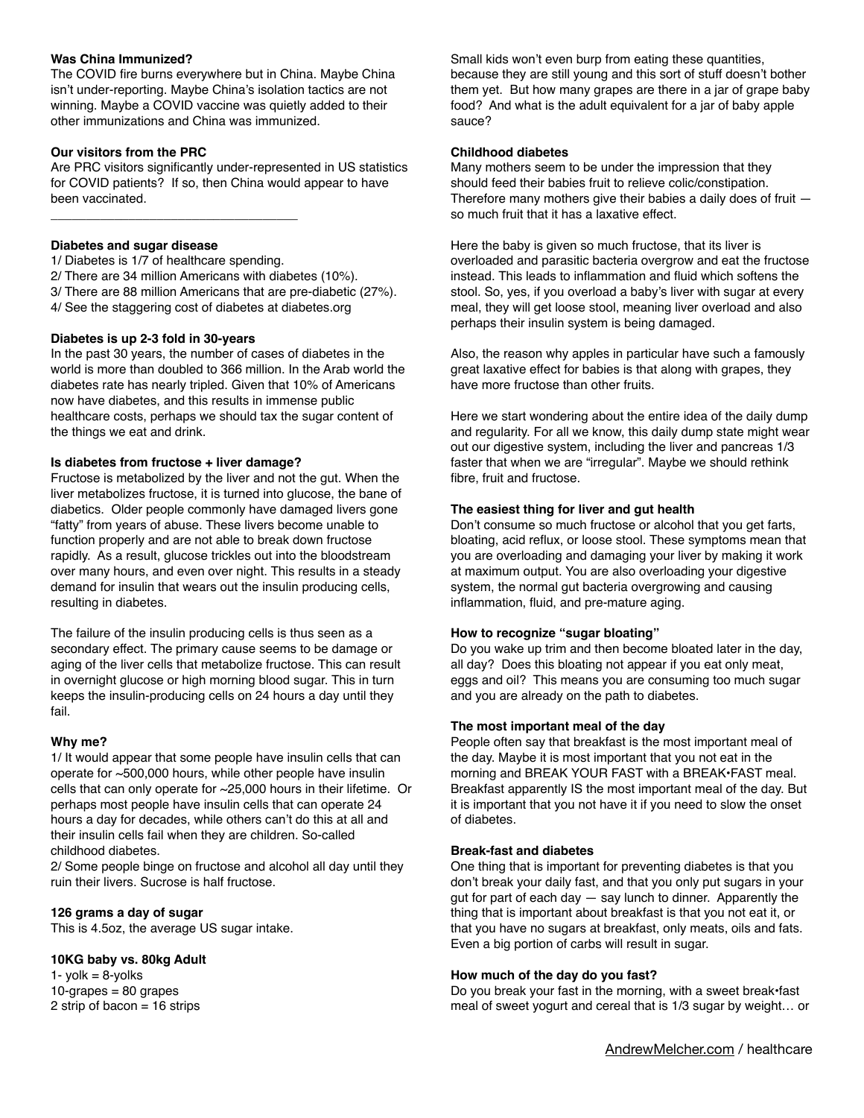## **Was China Immunized?**

The COVID fire burns everywhere but in China. Maybe China isn't under-reporting. Maybe China's isolation tactics are not winning. Maybe a COVID vaccine was quietly added to their other immunizations and China was immunized.

### **Our visitors from the PRC**

Are PRC visitors significantly under-represented in US statistics for COVID patients? If so, then China would appear to have been vaccinated.

### **Diabetes and sugar disease**

\_\_\_\_\_\_\_\_\_\_\_\_\_\_\_\_\_\_\_\_\_\_\_\_\_\_\_\_\_\_\_\_\_\_\_

1/ Diabetes is 1/7 of healthcare spending. 2/ There are 34 million Americans with diabetes (10%). 3/ There are 88 million Americans that are pre-diabetic (27%). 4/ See the staggering cost of diabetes at diabetes.org

### **Diabetes is up 2-3 fold in 30-years**

In the past 30 years, the number of cases of diabetes in the world is more than doubled to 366 million. In the Arab world the diabetes rate has nearly tripled. Given that 10% of Americans now have diabetes, and this results in immense public healthcare costs, perhaps we should tax the sugar content of the things we eat and drink.

## **Is diabetes from fructose + liver damage?**

Fructose is metabolized by the liver and not the gut. When the liver metabolizes fructose, it is turned into glucose, the bane of diabetics. Older people commonly have damaged livers gone "fatty" from years of abuse. These livers become unable to function properly and are not able to break down fructose rapidly. As a result, glucose trickles out into the bloodstream over many hours, and even over night. This results in a steady demand for insulin that wears out the insulin producing cells, resulting in diabetes.

The failure of the insulin producing cells is thus seen as a secondary effect. The primary cause seems to be damage or aging of the liver cells that metabolize fructose. This can result in overnight glucose or high morning blood sugar. This in turn keeps the insulin-producing cells on 24 hours a day until they fail.

#### **Why me?**

1/ It would appear that some people have insulin cells that can operate for ~500,000 hours, while other people have insulin cells that can only operate for ~25,000 hours in their lifetime. Or perhaps most people have insulin cells that can operate 24 hours a day for decades, while others can't do this at all and their insulin cells fail when they are children. So-called childhood diabetes.

2/ Some people binge on fructose and alcohol all day until they ruin their livers. Sucrose is half fructose.

#### **126 grams a day of sugar**

This is 4.5oz, the average US sugar intake.

#### **10KG baby vs. 80kg Adult**

1- yolk  $= 8$ -yolks  $10$ -grapes = 80 grapes 2 strip of bacon = 16 strips

Small kids won't even burp from eating these quantities, because they are still young and this sort of stuff doesn't bother them yet. But how many grapes are there in a jar of grape baby food? And what is the adult equivalent for a jar of baby apple sauce?

#### **Childhood diabetes**

Many mothers seem to be under the impression that they should feed their babies fruit to relieve colic/constipation. Therefore many mothers give their babies a daily does of fruit so much fruit that it has a laxative effect.

Here the baby is given so much fructose, that its liver is overloaded and parasitic bacteria overgrow and eat the fructose instead. This leads to inflammation and fluid which softens the stool. So, yes, if you overload a baby's liver with sugar at every meal, they will get loose stool, meaning liver overload and also perhaps their insulin system is being damaged.

Also, the reason why apples in particular have such a famously great laxative effect for babies is that along with grapes, they have more fructose than other fruits.

Here we start wondering about the entire idea of the daily dump and regularity. For all we know, this daily dump state might wear out our digestive system, including the liver and pancreas 1/3 faster that when we are "irregular". Maybe we should rethink fibre, fruit and fructose.

### **The easiest thing for liver and gut health**

Don't consume so much fructose or alcohol that you get farts, bloating, acid reflux, or loose stool. These symptoms mean that you are overloading and damaging your liver by making it work at maximum output. You are also overloading your digestive system, the normal gut bacteria overgrowing and causing inflammation, fluid, and pre-mature aging.

#### **How to recognize "sugar bloating"**

Do you wake up trim and then become bloated later in the day, all day? Does this bloating not appear if you eat only meat, eggs and oil? This means you are consuming too much sugar and you are already on the path to diabetes.

#### **The most important meal of the day**

People often say that breakfast is the most important meal of the day. Maybe it is most important that you not eat in the morning and BREAK YOUR FAST with a BREAK•FAST meal. Breakfast apparently IS the most important meal of the day. But it is important that you not have it if you need to slow the onset of diabetes.

#### **Break-fast and diabetes**

One thing that is important for preventing diabetes is that you don't break your daily fast, and that you only put sugars in your gut for part of each day  $-$  say lunch to dinner. Apparently the thing that is important about breakfast is that you not eat it, or that you have no sugars at breakfast, only meats, oils and fats. Even a big portion of carbs will result in sugar.

#### **How much of the day do you fast?**

Do you break your fast in the morning, with a sweet break•fast meal of sweet yogurt and cereal that is 1/3 sugar by weight… or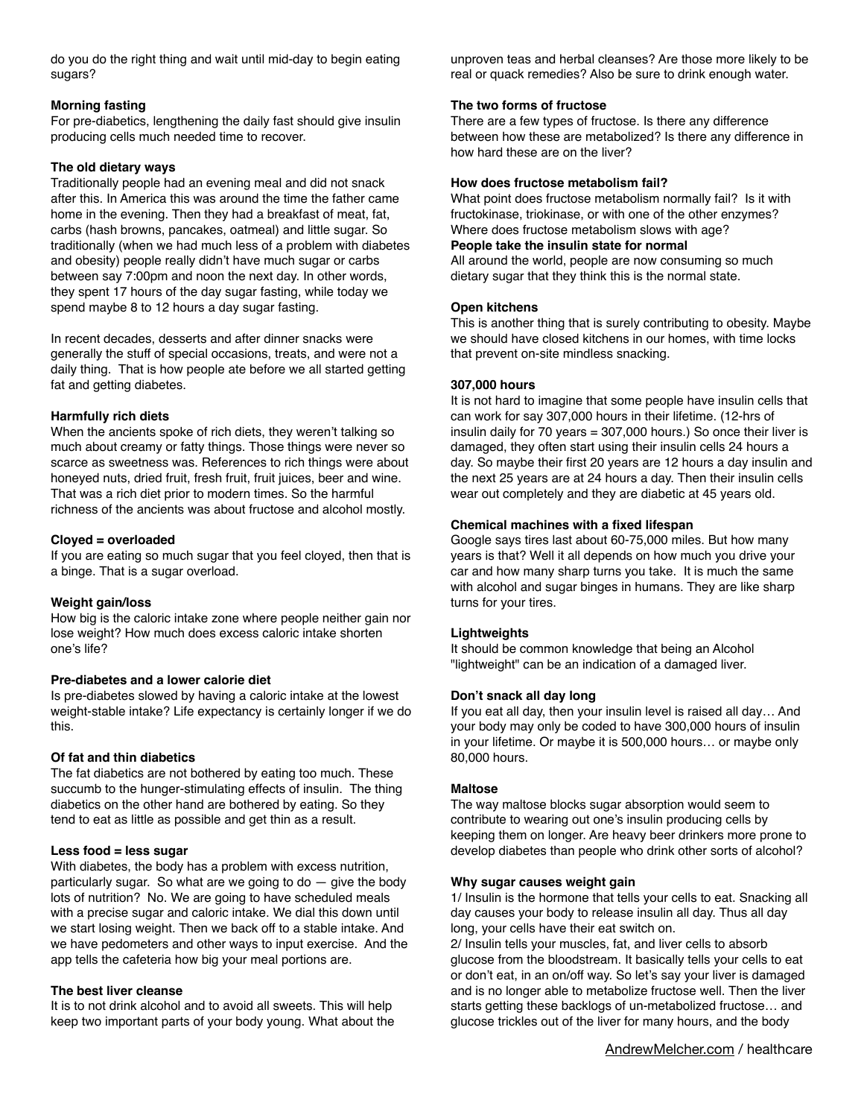do you do the right thing and wait until mid-day to begin eating sugars?

## **Morning fasting**

For pre-diabetics, lengthening the daily fast should give insulin producing cells much needed time to recover.

## **The old dietary ways**

Traditionally people had an evening meal and did not snack after this. In America this was around the time the father came home in the evening. Then they had a breakfast of meat, fat, carbs (hash browns, pancakes, oatmeal) and little sugar. So traditionally (when we had much less of a problem with diabetes and obesity) people really didn't have much sugar or carbs between say 7:00pm and noon the next day. In other words, they spent 17 hours of the day sugar fasting, while today we spend maybe 8 to 12 hours a day sugar fasting.

In recent decades, desserts and after dinner snacks were generally the stuff of special occasions, treats, and were not a daily thing. That is how people ate before we all started getting fat and getting diabetes.

## **Harmfully rich diets**

When the ancients spoke of rich diets, they weren't talking so much about creamy or fatty things. Those things were never so scarce as sweetness was. References to rich things were about honeyed nuts, dried fruit, fresh fruit, fruit juices, beer and wine. That was a rich diet prior to modern times. So the harmful richness of the ancients was about fructose and alcohol mostly.

## **Cloyed = overloaded**

If you are eating so much sugar that you feel cloyed, then that is a binge. That is a sugar overload.

## **Weight gain/loss**

How big is the caloric intake zone where people neither gain nor lose weight? How much does excess caloric intake shorten one's life?

## **Pre-diabetes and a lower calorie diet**

Is pre-diabetes slowed by having a caloric intake at the lowest weight-stable intake? Life expectancy is certainly longer if we do this.

## **Of fat and thin diabetics**

The fat diabetics are not bothered by eating too much. These succumb to the hunger-stimulating effects of insulin. The thing diabetics on the other hand are bothered by eating. So they tend to eat as little as possible and get thin as a result.

## **Less food = less sugar**

With diabetes, the body has a problem with excess nutrition, particularly sugar. So what are we going to  $do - give$  the body lots of nutrition? No. We are going to have scheduled meals with a precise sugar and caloric intake. We dial this down until we start losing weight. Then we back off to a stable intake. And we have pedometers and other ways to input exercise. And the app tells the cafeteria how big your meal portions are.

## **The best liver cleanse**

It is to not drink alcohol and to avoid all sweets. This will help keep two important parts of your body young. What about the

unproven teas and herbal cleanses? Are those more likely to be real or quack remedies? Also be sure to drink enough water.

## **The two forms of fructose**

There are a few types of fructose. Is there any difference between how these are metabolized? Is there any difference in how hard these are on the liver?

## **How does fructose metabolism fail?**

What point does fructose metabolism normally fail? Is it with fructokinase, triokinase, or with one of the other enzymes? Where does fructose metabolism slows with age? **People take the insulin state for normal** 

All around the world, people are now consuming so much dietary sugar that they think this is the normal state.

## **Open kitchens**

This is another thing that is surely contributing to obesity. Maybe we should have closed kitchens in our homes, with time locks that prevent on-site mindless snacking.

## **307,000 hours**

It is not hard to imagine that some people have insulin cells that can work for say 307,000 hours in their lifetime. (12-hrs of insulin daily for 70 years = 307,000 hours.) So once their liver is damaged, they often start using their insulin cells 24 hours a day. So maybe their first 20 years are 12 hours a day insulin and the next 25 years are at 24 hours a day. Then their insulin cells wear out completely and they are diabetic at 45 years old.

## **Chemical machines with a fixed lifespan**

Google says tires last about 60-75,000 miles. But how many years is that? Well it all depends on how much you drive your car and how many sharp turns you take. It is much the same with alcohol and sugar binges in humans. They are like sharp turns for your tires.

## **Lightweights**

It should be common knowledge that being an Alcohol "lightweight" can be an indication of a damaged liver.

## **Don't snack all day long**

If you eat all day, then your insulin level is raised all day… And your body may only be coded to have 300,000 hours of insulin in your lifetime. Or maybe it is 500,000 hours… or maybe only 80,000 hours.

## **Maltose**

The way maltose blocks sugar absorption would seem to contribute to wearing out one's insulin producing cells by keeping them on longer. Are heavy beer drinkers more prone to develop diabetes than people who drink other sorts of alcohol?

## **Why sugar causes weight gain**

1/ Insulin is the hormone that tells your cells to eat. Snacking all day causes your body to release insulin all day. Thus all day long, your cells have their eat switch on.

2/ Insulin tells your muscles, fat, and liver cells to absorb glucose from the bloodstream. It basically tells your cells to eat or don't eat, in an on/off way. So let's say your liver is damaged and is no longer able to metabolize fructose well. Then the liver starts getting these backlogs of un-metabolized fructose… and glucose trickles out of the liver for many hours, and the body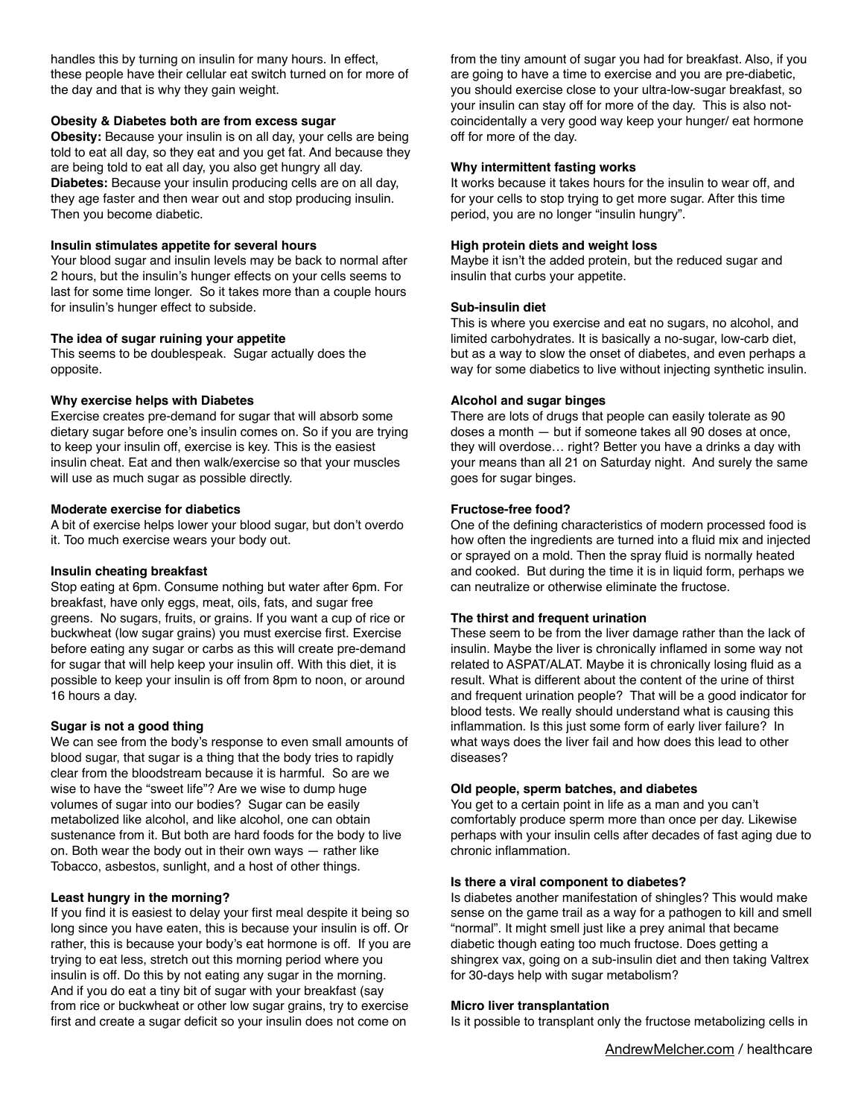handles this by turning on insulin for many hours. In effect, these people have their cellular eat switch turned on for more of the day and that is why they gain weight.

## **Obesity & Diabetes both are from excess sugar**

**Obesity:** Because your insulin is on all day, your cells are being told to eat all day, so they eat and you get fat. And because they are being told to eat all day, you also get hungry all day. **Diabetes:** Because your insulin producing cells are on all day, they age faster and then wear out and stop producing insulin. Then you become diabetic.

## **Insulin stimulates appetite for several hours**

Your blood sugar and insulin levels may be back to normal after 2 hours, but the insulin's hunger effects on your cells seems to last for some time longer. So it takes more than a couple hours for insulin's hunger effect to subside.

## **The idea of sugar ruining your appetite**

This seems to be doublespeak. Sugar actually does the opposite.

### **Why exercise helps with Diabetes**

Exercise creates pre-demand for sugar that will absorb some dietary sugar before one's insulin comes on. So if you are trying to keep your insulin off, exercise is key. This is the easiest insulin cheat. Eat and then walk/exercise so that your muscles will use as much sugar as possible directly.

#### **Moderate exercise for diabetics**

A bit of exercise helps lower your blood sugar, but don't overdo it. Too much exercise wears your body out.

#### **Insulin cheating breakfast**

Stop eating at 6pm. Consume nothing but water after 6pm. For breakfast, have only eggs, meat, oils, fats, and sugar free greens. No sugars, fruits, or grains. If you want a cup of rice or buckwheat (low sugar grains) you must exercise first. Exercise before eating any sugar or carbs as this will create pre-demand for sugar that will help keep your insulin off. With this diet, it is possible to keep your insulin is off from 8pm to noon, or around 16 hours a day.

#### **Sugar is not a good thing**

We can see from the body's response to even small amounts of blood sugar, that sugar is a thing that the body tries to rapidly clear from the bloodstream because it is harmful. So are we wise to have the "sweet life"? Are we wise to dump huge volumes of sugar into our bodies? Sugar can be easily metabolized like alcohol, and like alcohol, one can obtain sustenance from it. But both are hard foods for the body to live on. Both wear the body out in their own ways — rather like Tobacco, asbestos, sunlight, and a host of other things.

## **Least hungry in the morning?**

If you find it is easiest to delay your first meal despite it being so long since you have eaten, this is because your insulin is off. Or rather, this is because your body's eat hormone is off. If you are trying to eat less, stretch out this morning period where you insulin is off. Do this by not eating any sugar in the morning. And if you do eat a tiny bit of sugar with your breakfast (say from rice or buckwheat or other low sugar grains, try to exercise first and create a sugar deficit so your insulin does not come on

from the tiny amount of sugar you had for breakfast. Also, if you are going to have a time to exercise and you are pre-diabetic, you should exercise close to your ultra-low-sugar breakfast, so your insulin can stay off for more of the day. This is also notcoincidentally a very good way keep your hunger/ eat hormone off for more of the day.

#### **Why intermittent fasting works**

It works because it takes hours for the insulin to wear off, and for your cells to stop trying to get more sugar. After this time period, you are no longer "insulin hungry".

### **High protein diets and weight loss**

Maybe it isn't the added protein, but the reduced sugar and insulin that curbs your appetite.

### **Sub-insulin diet**

This is where you exercise and eat no sugars, no alcohol, and limited carbohydrates. It is basically a no-sugar, low-carb diet, but as a way to slow the onset of diabetes, and even perhaps a way for some diabetics to live without injecting synthetic insulin.

### **Alcohol and sugar binges**

There are lots of drugs that people can easily tolerate as 90 doses a month — but if someone takes all 90 doses at once, they will overdose… right? Better you have a drinks a day with your means than all 21 on Saturday night. And surely the same goes for sugar binges.

### **Fructose-free food?**

One of the defining characteristics of modern processed food is how often the ingredients are turned into a fluid mix and injected or sprayed on a mold. Then the spray fluid is normally heated and cooked. But during the time it is in liquid form, perhaps we can neutralize or otherwise eliminate the fructose.

#### **The thirst and frequent urination**

These seem to be from the liver damage rather than the lack of insulin. Maybe the liver is chronically inflamed in some way not related to ASPAT/ALAT. Maybe it is chronically losing fluid as a result. What is different about the content of the urine of thirst and frequent urination people? That will be a good indicator for blood tests. We really should understand what is causing this inflammation. Is this just some form of early liver failure? In what ways does the liver fail and how does this lead to other diseases?

## **Old people, sperm batches, and diabetes**

You get to a certain point in life as a man and you can't comfortably produce sperm more than once per day. Likewise perhaps with your insulin cells after decades of fast aging due to chronic inflammation.

#### **Is there a viral component to diabetes?**

Is diabetes another manifestation of shingles? This would make sense on the game trail as a way for a pathogen to kill and smell "normal". It might smell just like a prey animal that became diabetic though eating too much fructose. Does getting a shingrex vax, going on a sub-insulin diet and then taking Valtrex for 30-days help with sugar metabolism?

#### **Micro liver transplantation**

Is it possible to transplant only the fructose metabolizing cells in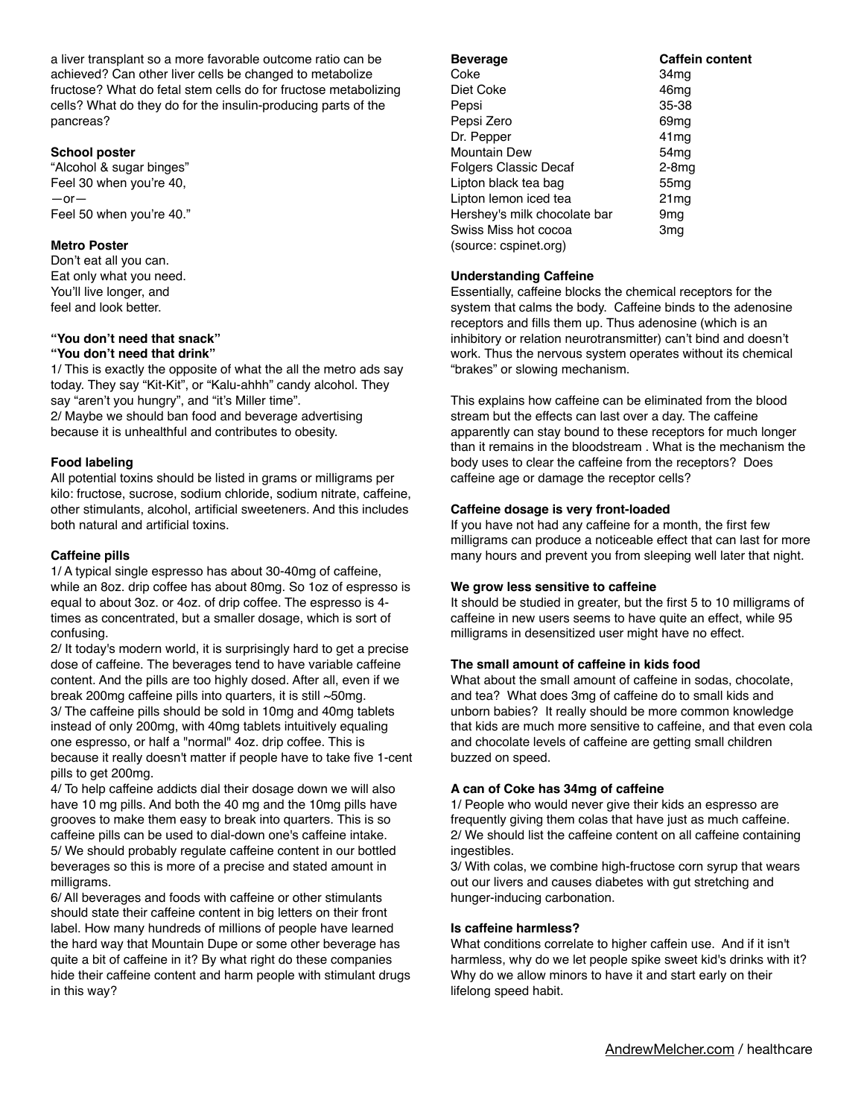a liver transplant so a more favorable outcome ratio can be achieved? Can other liver cells be changed to metabolize fructose? What do fetal stem cells do for fructose metabolizing cells? What do they do for the insulin-producing parts of the pancreas?

## **School poster**

"Alcohol & sugar binges" Feel 30 when you're 40, —or— Feel 50 when you're 40."

## **Metro Poster**

Don't eat all you can. Eat only what you need. You'll live longer, and feel and look better.

# **"You don't need that snack"**

## **"You don't need that drink"**

1/ This is exactly the opposite of what the all the metro ads say today. They say "Kit-Kit", or "Kalu-ahhh" candy alcohol. They say "aren't you hungry", and "it's Miller time". 2/ Maybe we should ban food and beverage advertising because it is unhealthful and contributes to obesity.

## **Food labeling**

All potential toxins should be listed in grams or milligrams per kilo: fructose, sucrose, sodium chloride, sodium nitrate, caffeine, other stimulants, alcohol, artificial sweeteners. And this includes both natural and artificial toxins.

### **Caffeine pills**

1/ A typical single espresso has about 30-40mg of caffeine, while an 8oz. drip coffee has about 80mg. So 1oz of espresso is equal to about 3oz. or 4oz. of drip coffee. The espresso is 4 times as concentrated, but a smaller dosage, which is sort of confusing.

2/ It today's modern world, it is surprisingly hard to get a precise dose of caffeine. The beverages tend to have variable caffeine content. And the pills are too highly dosed. After all, even if we break 200mg caffeine pills into quarters, it is still ~50mg. 3/ The caffeine pills should be sold in 10mg and 40mg tablets instead of only 200mg, with 40mg tablets intuitively equaling one espresso, or half a "normal" 4oz. drip coffee. This is because it really doesn't matter if people have to take five 1-cent pills to get 200mg.

4/ To help caffeine addicts dial their dosage down we will also have 10 mg pills. And both the 40 mg and the 10mg pills have grooves to make them easy to break into quarters. This is so caffeine pills can be used to dial-down one's caffeine intake. 5/ We should probably regulate caffeine content in our bottled beverages so this is more of a precise and stated amount in milligrams.

6/ All beverages and foods with caffeine or other stimulants should state their caffeine content in big letters on their front label. How many hundreds of millions of people have learned the hard way that Mountain Dupe or some other beverage has quite a bit of caffeine in it? By what right do these companies hide their caffeine content and harm people with stimulant drugs in this way?

| <b>Beverage</b>              | <b>Caffein content</b> |
|------------------------------|------------------------|
| Coke                         | 34mq                   |
| Diet Coke                    | 46mq                   |
| Pepsi                        | 35-38                  |
| Pepsi Zero                   | 69 <sub>mq</sub>       |
| Dr. Pepper                   | 41 <sub>mq</sub>       |
| <b>Mountain Dew</b>          | 54 <sub>mg</sub>       |
| <b>Folgers Classic Decaf</b> | $2-8$ mg               |
| Lipton black tea bag         | 55 <sub>mq</sub>       |
| Lipton lemon iced tea        | 21 <sub>mq</sub>       |
| Hershey's milk chocolate bar | 9mq                    |
| Swiss Miss hot cocoa         | 3mq                    |
| (source: cspinet.org)        |                        |

## **Understanding Caffeine**

Essentially, caffeine blocks the chemical receptors for the system that calms the body. Caffeine binds to the adenosine receptors and fills them up. Thus adenosine (which is an inhibitory or relation neurotransmitter) can't bind and doesn't work. Thus the nervous system operates without its chemical "brakes" or slowing mechanism.

This explains how caffeine can be eliminated from the blood stream but the effects can last over a day. The caffeine apparently can stay bound to these receptors for much longer than it remains in the bloodstream . What is the mechanism the body uses to clear the caffeine from the receptors? Does caffeine age or damage the receptor cells?

## **Caffeine dosage is very front-loaded**

If you have not had any caffeine for a month, the first few milligrams can produce a noticeable effect that can last for more many hours and prevent you from sleeping well later that night.

## **We grow less sensitive to caffeine**

It should be studied in greater, but the first 5 to 10 milligrams of caffeine in new users seems to have quite an effect, while 95 milligrams in desensitized user might have no effect.

## **The small amount of caffeine in kids food**

What about the small amount of caffeine in sodas, chocolate, and tea? What does 3mg of caffeine do to small kids and unborn babies? It really should be more common knowledge that kids are much more sensitive to caffeine, and that even cola and chocolate levels of caffeine are getting small children buzzed on speed.

## **A can of Coke has 34mg of caffeine**

1/ People who would never give their kids an espresso are frequently giving them colas that have just as much caffeine. 2/ We should list the caffeine content on all caffeine containing ingestibles.

3/ With colas, we combine high-fructose corn syrup that wears out our livers and causes diabetes with gut stretching and hunger-inducing carbonation.

#### **Is caffeine harmless?**

What conditions correlate to higher caffein use. And if it isn't harmless, why do we let people spike sweet kid's drinks with it? Why do we allow minors to have it and start early on their lifelong speed habit.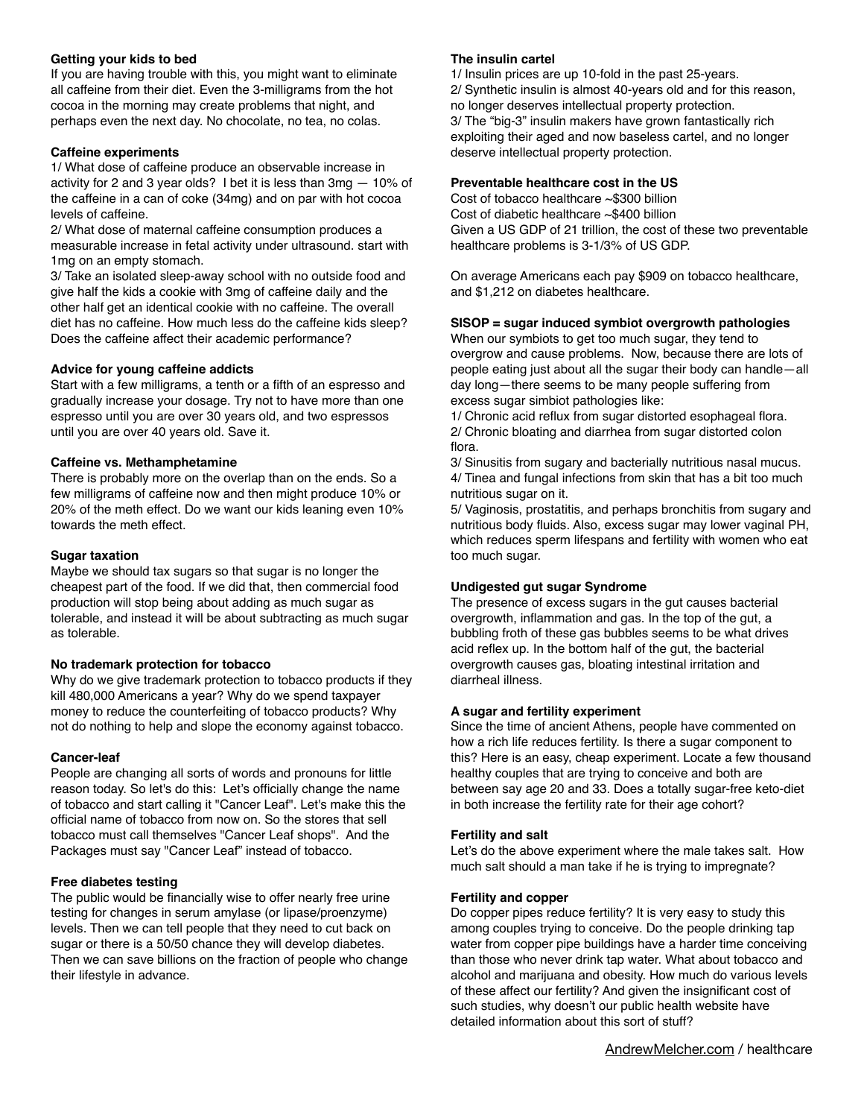## **Getting your kids to bed**

If you are having trouble with this, you might want to eliminate all caffeine from their diet. Even the 3-milligrams from the hot cocoa in the morning may create problems that night, and perhaps even the next day. No chocolate, no tea, no colas.

## **Caffeine experiments**

1/ What dose of caffeine produce an observable increase in activity for 2 and 3 year olds? I bet it is less than 3mg — 10% of the caffeine in a can of coke (34mg) and on par with hot cocoa levels of caffeine.

2/ What dose of maternal caffeine consumption produces a measurable increase in fetal activity under ultrasound. start with 1mg on an empty stomach.

3/ Take an isolated sleep-away school with no outside food and give half the kids a cookie with 3mg of caffeine daily and the other half get an identical cookie with no caffeine. The overall diet has no caffeine. How much less do the caffeine kids sleep? Does the caffeine affect their academic performance?

## **Advice for young caffeine addicts**

Start with a few milligrams, a tenth or a fifth of an espresso and gradually increase your dosage. Try not to have more than one espresso until you are over 30 years old, and two espressos until you are over 40 years old. Save it.

## **Caffeine vs. Methamphetamine**

There is probably more on the overlap than on the ends. So a few milligrams of caffeine now and then might produce 10% or 20% of the meth effect. Do we want our kids leaning even 10% towards the meth effect.

## **Sugar taxation**

Maybe we should tax sugars so that sugar is no longer the cheapest part of the food. If we did that, then commercial food production will stop being about adding as much sugar as tolerable, and instead it will be about subtracting as much sugar as tolerable.

## **No trademark protection for tobacco**

Why do we give trademark protection to tobacco products if they kill 480,000 Americans a year? Why do we spend taxpayer money to reduce the counterfeiting of tobacco products? Why not do nothing to help and slope the economy against tobacco.

## **Cancer-leaf**

People are changing all sorts of words and pronouns for little reason today. So let's do this: Let's officially change the name of tobacco and start calling it "Cancer Leaf". Let's make this the official name of tobacco from now on. So the stores that sell tobacco must call themselves "Cancer Leaf shops". And the Packages must say "Cancer Leaf" instead of tobacco.

## **Free diabetes testing**

The public would be financially wise to offer nearly free urine testing for changes in serum amylase (or lipase/proenzyme) levels. Then we can tell people that they need to cut back on sugar or there is a 50/50 chance they will develop diabetes. Then we can save billions on the fraction of people who change their lifestyle in advance.

## **The insulin cartel**

1/ Insulin prices are up 10-fold in the past 25-years. 2/ Synthetic insulin is almost 40-years old and for this reason, no longer deserves intellectual property protection. 3/ The "big-3" insulin makers have grown fantastically rich exploiting their aged and now baseless cartel, and no longer deserve intellectual property protection.

## **Preventable healthcare cost in the US**

Cost of tobacco healthcare ~\$300 billion Cost of diabetic healthcare ~\$400 billion Given a US GDP of 21 trillion, the cost of these two preventable healthcare problems is 3-1/3% of US GDP.

On average Americans each pay \$909 on tobacco healthcare, and \$1,212 on diabetes healthcare.

## **SISOP = sugar induced symbiot overgrowth pathologies**

When our symbiots to get too much sugar, they tend to overgrow and cause problems. Now, because there are lots of people eating just about all the sugar their body can handle—all day long—there seems to be many people suffering from excess sugar simbiot pathologies like:

1/ Chronic acid reflux from sugar distorted esophageal flora. 2/ Chronic bloating and diarrhea from sugar distorted colon flora.

3/ Sinusitis from sugary and bacterially nutritious nasal mucus. 4/ Tinea and fungal infections from skin that has a bit too much nutritious sugar on it.

5/ Vaginosis, prostatitis, and perhaps bronchitis from sugary and nutritious body fluids. Also, excess sugar may lower vaginal PH, which reduces sperm lifespans and fertility with women who eat too much sugar.

## **Undigested gut sugar Syndrome**

The presence of excess sugars in the gut causes bacterial overgrowth, inflammation and gas. In the top of the gut, a bubbling froth of these gas bubbles seems to be what drives acid reflex up. In the bottom half of the gut, the bacterial overgrowth causes gas, bloating intestinal irritation and diarrheal illness.

## **A sugar and fertility experiment**

Since the time of ancient Athens, people have commented on how a rich life reduces fertility. Is there a sugar component to this? Here is an easy, cheap experiment. Locate a few thousand healthy couples that are trying to conceive and both are between say age 20 and 33. Does a totally sugar-free keto-diet in both increase the fertility rate for their age cohort?

## **Fertility and salt**

Let's do the above experiment where the male takes salt. How much salt should a man take if he is trying to impregnate?

## **Fertility and copper**

Do copper pipes reduce fertility? It is very easy to study this among couples trying to conceive. Do the people drinking tap water from copper pipe buildings have a harder time conceiving than those who never drink tap water. What about tobacco and alcohol and marijuana and obesity. How much do various levels of these affect our fertility? And given the insignificant cost of such studies, why doesn't our public health website have detailed information about this sort of stuff?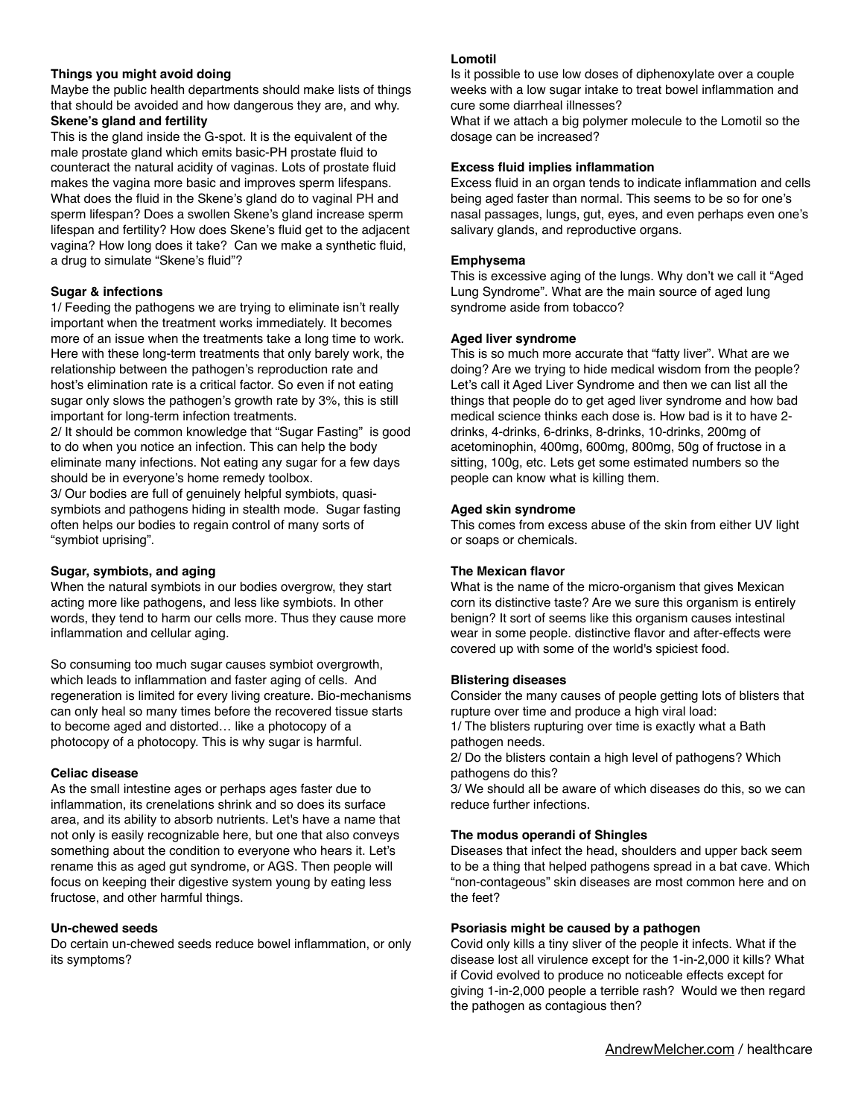## **Things you might avoid doing**

Maybe the public health departments should make lists of things that should be avoided and how dangerous they are, and why.

## **Skene's gland and fertility**

This is the gland inside the G-spot. It is the equivalent of the male prostate gland which emits basic-PH prostate fluid to counteract the natural acidity of vaginas. Lots of prostate fluid makes the vagina more basic and improves sperm lifespans. What does the fluid in the Skene's gland do to vaginal PH and sperm lifespan? Does a swollen Skene's gland increase sperm lifespan and fertility? How does Skene's fluid get to the adjacent vagina? How long does it take? Can we make a synthetic fluid, a drug to simulate "Skene's fluid"?

## **Sugar & infections**

1/ Feeding the pathogens we are trying to eliminate isn't really important when the treatment works immediately. It becomes more of an issue when the treatments take a long time to work. Here with these long-term treatments that only barely work, the relationship between the pathogen's reproduction rate and host's elimination rate is a critical factor. So even if not eating sugar only slows the pathogen's growth rate by 3%, this is still important for long-term infection treatments.

2/ It should be common knowledge that "Sugar Fasting" is good to do when you notice an infection. This can help the body eliminate many infections. Not eating any sugar for a few days should be in everyone's home remedy toolbox.

3/ Our bodies are full of genuinely helpful symbiots, quasisymbiots and pathogens hiding in stealth mode. Sugar fasting often helps our bodies to regain control of many sorts of "symbiot uprising".

## **Sugar, symbiots, and aging**

When the natural symbiots in our bodies overgrow, they start acting more like pathogens, and less like symbiots. In other words, they tend to harm our cells more. Thus they cause more inflammation and cellular aging.

So consuming too much sugar causes symbiot overgrowth, which leads to inflammation and faster aging of cells. And regeneration is limited for every living creature. Bio-mechanisms can only heal so many times before the recovered tissue starts to become aged and distorted… like a photocopy of a photocopy of a photocopy. This is why sugar is harmful.

## **Celiac disease**

As the small intestine ages or perhaps ages faster due to inflammation, its crenelations shrink and so does its surface area, and its ability to absorb nutrients. Let's have a name that not only is easily recognizable here, but one that also conveys something about the condition to everyone who hears it. Let's rename this as aged gut syndrome, or AGS. Then people will focus on keeping their digestive system young by eating less fructose, and other harmful things.

## **Un-chewed seeds**

Do certain un-chewed seeds reduce bowel inflammation, or only its symptoms?

## **Lomotil**

Is it possible to use low doses of diphenoxylate over a couple weeks with a low sugar intake to treat bowel inflammation and cure some diarrheal illnesses?

What if we attach a big polymer molecule to the Lomotil so the dosage can be increased?

## **Excess fluid implies inflammation**

Excess fluid in an organ tends to indicate inflammation and cells being aged faster than normal. This seems to be so for one's nasal passages, lungs, gut, eyes, and even perhaps even one's salivary glands, and reproductive organs.

## **Emphysema**

This is excessive aging of the lungs. Why don't we call it "Aged Lung Syndrome". What are the main source of aged lung syndrome aside from tobacco?

## **Aged liver syndrome**

This is so much more accurate that "fatty liver". What are we doing? Are we trying to hide medical wisdom from the people? Let's call it Aged Liver Syndrome and then we can list all the things that people do to get aged liver syndrome and how bad medical science thinks each dose is. How bad is it to have 2 drinks, 4-drinks, 6-drinks, 8-drinks, 10-drinks, 200mg of acetominophin, 400mg, 600mg, 800mg, 50g of fructose in a sitting, 100g, etc. Lets get some estimated numbers so the people can know what is killing them.

## **Aged skin syndrome**

This comes from excess abuse of the skin from either UV light or soaps or chemicals.

## **The Mexican flavor**

What is the name of the micro-organism that gives Mexican corn its distinctive taste? Are we sure this organism is entirely benign? It sort of seems like this organism causes intestinal wear in some people. distinctive flavor and after-effects were covered up with some of the world's spiciest food.

## **Blistering diseases**

Consider the many causes of people getting lots of blisters that rupture over time and produce a high viral load:

1/ The blisters rupturing over time is exactly what a Bath pathogen needs.

2/ Do the blisters contain a high level of pathogens? Which pathogens do this?

3/ We should all be aware of which diseases do this, so we can reduce further infections.

## **The modus operandi of Shingles**

Diseases that infect the head, shoulders and upper back seem to be a thing that helped pathogens spread in a bat cave. Which "non-contageous" skin diseases are most common here and on the feet?

## **Psoriasis might be caused by a pathogen**

Covid only kills a tiny sliver of the people it infects. What if the disease lost all virulence except for the 1-in-2,000 it kills? What if Covid evolved to produce no noticeable effects except for giving 1-in-2,000 people a terrible rash? Would we then regard the pathogen as contagious then?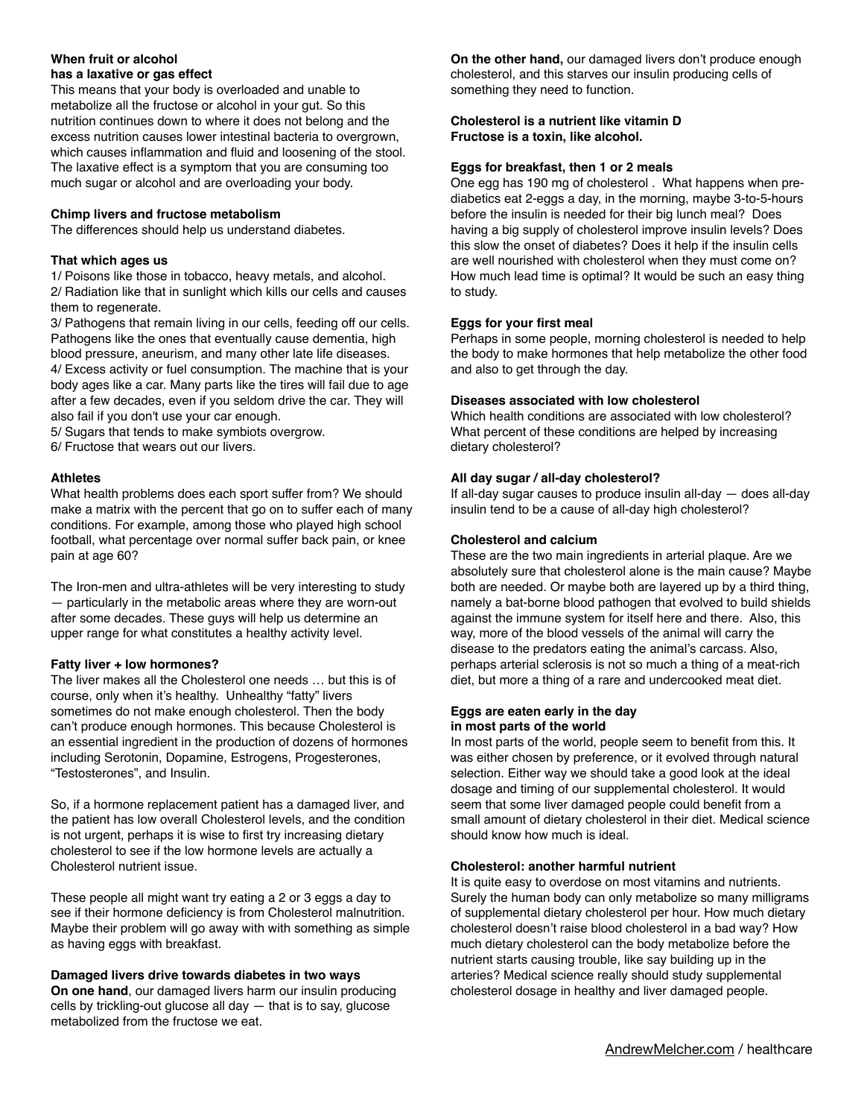## **When fruit or alcohol**

## **has a laxative or gas effect**

This means that your body is overloaded and unable to metabolize all the fructose or alcohol in your gut. So this nutrition continues down to where it does not belong and the excess nutrition causes lower intestinal bacteria to overgrown, which causes inflammation and fluid and loosening of the stool. The laxative effect is a symptom that you are consuming too much sugar or alcohol and are overloading your body.

### **Chimp livers and fructose metabolism**

The differences should help us understand diabetes.

### **That which ages us**

1/ Poisons like those in tobacco, heavy metals, and alcohol. 2/ Radiation like that in sunlight which kills our cells and causes them to regenerate.

3/ Pathogens that remain living in our cells, feeding off our cells. Pathogens like the ones that eventually cause dementia, high blood pressure, aneurism, and many other late life diseases. 4/ Excess activity or fuel consumption. The machine that is your body ages like a car. Many parts like the tires will fail due to age after a few decades, even if you seldom drive the car. They will also fail if you don't use your car enough.

5/ Sugars that tends to make symbiots overgrow.

6/ Fructose that wears out our livers.

## **Athletes**

What health problems does each sport suffer from? We should make a matrix with the percent that go on to suffer each of many conditions. For example, among those who played high school football, what percentage over normal suffer back pain, or knee pain at age 60?

The Iron-men and ultra-athletes will be very interesting to study — particularly in the metabolic areas where they are worn-out after some decades. These guys will help us determine an upper range for what constitutes a healthy activity level.

## **Fatty liver + low hormones?**

The liver makes all the Cholesterol one needs … but this is of course, only when it's healthy. Unhealthy "fatty" livers sometimes do not make enough cholesterol. Then the body can't produce enough hormones. This because Cholesterol is an essential ingredient in the production of dozens of hormones including Serotonin, Dopamine, Estrogens, Progesterones, "Testosterones", and Insulin.

So, if a hormone replacement patient has a damaged liver, and the patient has low overall Cholesterol levels, and the condition is not urgent, perhaps it is wise to first try increasing dietary cholesterol to see if the low hormone levels are actually a Cholesterol nutrient issue.

These people all might want try eating a 2 or 3 eggs a day to see if their hormone deficiency is from Cholesterol malnutrition. Maybe their problem will go away with with something as simple as having eggs with breakfast.

## **Damaged livers drive towards diabetes in two ways**

**On one hand**, our damaged livers harm our insulin producing cells by trickling-out glucose all day — that is to say, glucose metabolized from the fructose we eat.

**On the other hand,** our damaged livers don't produce enough cholesterol, and this starves our insulin producing cells of something they need to function.

### **Cholesterol is a nutrient like vitamin D Fructose is a toxin, like alcohol.**

#### **Eggs for breakfast, then 1 or 2 meals**

One egg has 190 mg of cholesterol . What happens when prediabetics eat 2-eggs a day, in the morning, maybe 3-to-5-hours before the insulin is needed for their big lunch meal? Does having a big supply of cholesterol improve insulin levels? Does this slow the onset of diabetes? Does it help if the insulin cells are well nourished with cholesterol when they must come on? How much lead time is optimal? It would be such an easy thing to study.

### **Eggs for your first meal**

Perhaps in some people, morning cholesterol is needed to help the body to make hormones that help metabolize the other food and also to get through the day.

### **Diseases associated with low cholesterol**

Which health conditions are associated with low cholesterol? What percent of these conditions are helped by increasing dietary cholesterol?

### **All day sugar / all-day cholesterol?**

If all-day sugar causes to produce insulin all-day — does all-day insulin tend to be a cause of all-day high cholesterol?

### **Cholesterol and calcium**

These are the two main ingredients in arterial plaque. Are we absolutely sure that cholesterol alone is the main cause? Maybe both are needed. Or maybe both are layered up by a third thing, namely a bat-borne blood pathogen that evolved to build shields against the immune system for itself here and there. Also, this way, more of the blood vessels of the animal will carry the disease to the predators eating the animal's carcass. Also, perhaps arterial sclerosis is not so much a thing of a meat-rich diet, but more a thing of a rare and undercooked meat diet.

### **Eggs are eaten early in the day in most parts of the world**

In most parts of the world, people seem to benefit from this. It was either chosen by preference, or it evolved through natural selection. Either way we should take a good look at the ideal dosage and timing of our supplemental cholesterol. It would seem that some liver damaged people could benefit from a small amount of dietary cholesterol in their diet. Medical science should know how much is ideal.

#### **Cholesterol: another harmful nutrient**

It is quite easy to overdose on most vitamins and nutrients. Surely the human body can only metabolize so many milligrams of supplemental dietary cholesterol per hour. How much dietary cholesterol doesn't raise blood cholesterol in a bad way? How much dietary cholesterol can the body metabolize before the nutrient starts causing trouble, like say building up in the arteries? Medical science really should study supplemental cholesterol dosage in healthy and liver damaged people.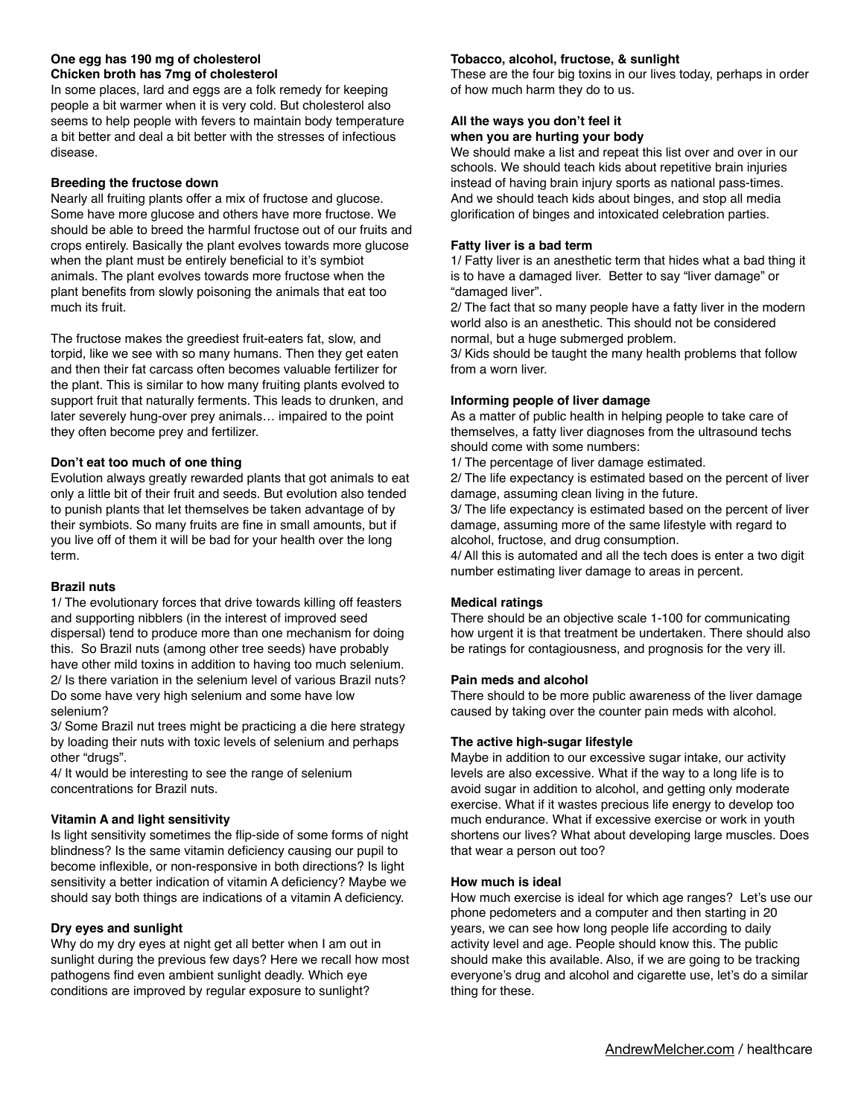## **One egg has 190 mg of cholesterol Chicken broth has 7mg of cholesterol**

In some places, lard and eggs are a folk remedy for keeping people a bit warmer when it is very cold. But cholesterol also seems to help people with fevers to maintain body temperature a bit better and deal a bit better with the stresses of infectious disease.

## **Breeding the fructose down**

Nearly all fruiting plants offer a mix of fructose and glucose. Some have more glucose and others have more fructose. We should be able to breed the harmful fructose out of our fruits and crops entirely. Basically the plant evolves towards more glucose when the plant must be entirely beneficial to it's symbiot animals. The plant evolves towards more fructose when the plant benefits from slowly poisoning the animals that eat too much its fruit.

The fructose makes the greediest fruit-eaters fat, slow, and torpid, like we see with so many humans. Then they get eaten and then their fat carcass often becomes valuable fertilizer for the plant. This is similar to how many fruiting plants evolved to support fruit that naturally ferments. This leads to drunken, and later severely hung-over prey animals… impaired to the point they often become prey and fertilizer.

## **Don't eat too much of one thing**

Evolution always greatly rewarded plants that got animals to eat only a little bit of their fruit and seeds. But evolution also tended to punish plants that let themselves be taken advantage of by their symbiots. So many fruits are fine in small amounts, but if you live off of them it will be bad for your health over the long term.

## **Brazil nuts**

1/ The evolutionary forces that drive towards killing off feasters and supporting nibblers (in the interest of improved seed dispersal) tend to produce more than one mechanism for doing this. So Brazil nuts (among other tree seeds) have probably have other mild toxins in addition to having too much selenium. 2/ Is there variation in the selenium level of various Brazil nuts? Do some have very high selenium and some have low selenium?

3/ Some Brazil nut trees might be practicing a die here strategy by loading their nuts with toxic levels of selenium and perhaps other "drugs".

4/ It would be interesting to see the range of selenium concentrations for Brazil nuts.

## **Vitamin A and light sensitivity**

Is light sensitivity sometimes the flip-side of some forms of night blindness? Is the same vitamin deficiency causing our pupil to become inflexible, or non-responsive in both directions? Is light sensitivity a better indication of vitamin A deficiency? Maybe we should say both things are indications of a vitamin A deficiency.

## **Dry eyes and sunlight**

Why do my dry eyes at night get all better when I am out in sunlight during the previous few days? Here we recall how most pathogens find even ambient sunlight deadly. Which eye conditions are improved by regular exposure to sunlight?

## **Tobacco, alcohol, fructose, & sunlight**

These are the four big toxins in our lives today, perhaps in order of how much harm they do to us.

### **All the ways you don't feel it when you are hurting your body**

We should make a list and repeat this list over and over in our schools. We should teach kids about repetitive brain injuries instead of having brain injury sports as national pass-times. And we should teach kids about binges, and stop all media glorification of binges and intoxicated celebration parties.

## **Fatty liver is a bad term**

1/ Fatty liver is an anesthetic term that hides what a bad thing it is to have a damaged liver. Better to say "liver damage" or "damaged liver".

2/ The fact that so many people have a fatty liver in the modern world also is an anesthetic. This should not be considered normal, but a huge submerged problem.

3/ Kids should be taught the many health problems that follow from a worn liver.

## **Informing people of liver damage**

As a matter of public health in helping people to take care of themselves, a fatty liver diagnoses from the ultrasound techs should come with some numbers:

1/ The percentage of liver damage estimated.

2/ The life expectancy is estimated based on the percent of liver damage, assuming clean living in the future.

3/ The life expectancy is estimated based on the percent of liver damage, assuming more of the same lifestyle with regard to alcohol, fructose, and drug consumption.

4/ All this is automated and all the tech does is enter a two digit number estimating liver damage to areas in percent.

## **Medical ratings**

There should be an objective scale 1-100 for communicating how urgent it is that treatment be undertaken. There should also be ratings for contagiousness, and prognosis for the very ill.

## **Pain meds and alcohol**

There should to be more public awareness of the liver damage caused by taking over the counter pain meds with alcohol.

## **The active high-sugar lifestyle**

Maybe in addition to our excessive sugar intake, our activity levels are also excessive. What if the way to a long life is to avoid sugar in addition to alcohol, and getting only moderate exercise. What if it wastes precious life energy to develop too much endurance. What if excessive exercise or work in youth shortens our lives? What about developing large muscles. Does that wear a person out too?

## **How much is ideal**

How much exercise is ideal for which age ranges? Let's use our phone pedometers and a computer and then starting in 20 years, we can see how long people life according to daily activity level and age. People should know this. The public should make this available. Also, if we are going to be tracking everyone's drug and alcohol and cigarette use, let's do a similar thing for these.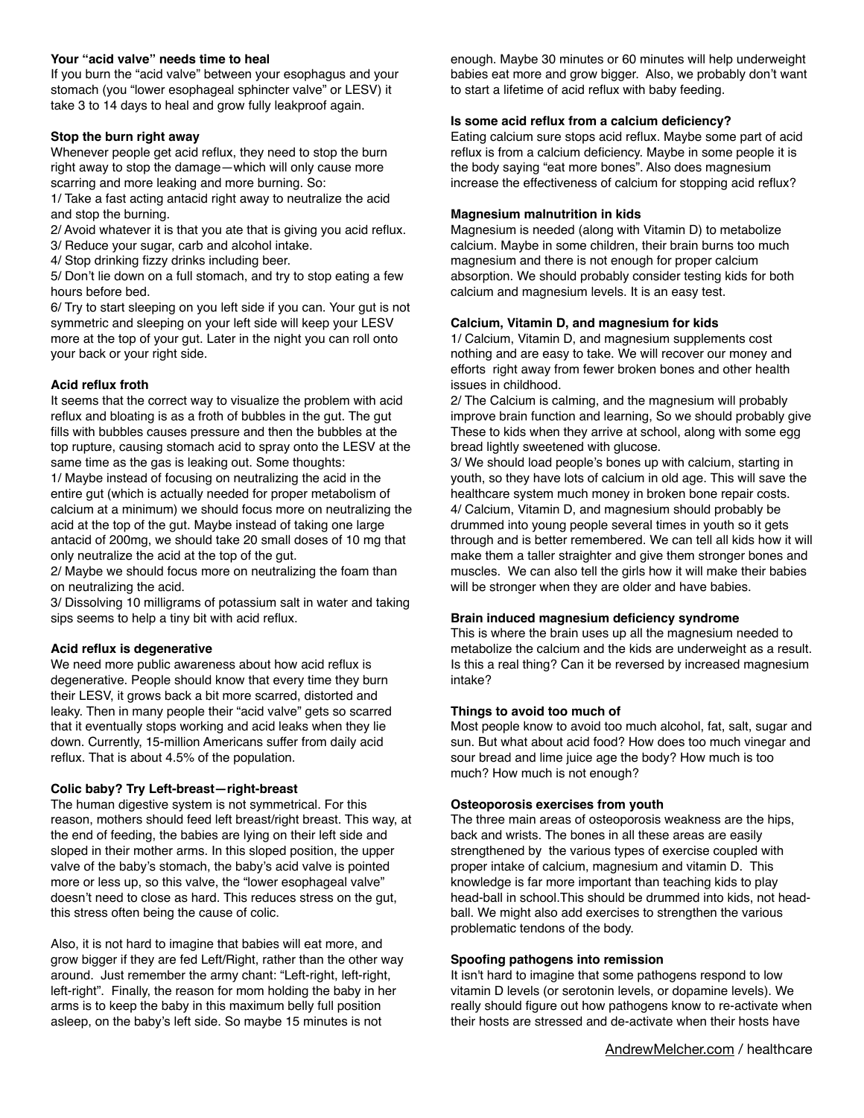## **Your "acid valve" needs time to heal**

If you burn the "acid valve" between your esophagus and your stomach (you "lower esophageal sphincter valve" or LESV) it take 3 to 14 days to heal and grow fully leakproof again.

## **Stop the burn right away**

Whenever people get acid reflux, they need to stop the burn right away to stop the damage—which will only cause more scarring and more leaking and more burning. So:

1/ Take a fast acting antacid right away to neutralize the acid and stop the burning.

2/ Avoid whatever it is that you ate that is giving you acid reflux. 3/ Reduce your sugar, carb and alcohol intake.

4/ Stop drinking fizzy drinks including beer.

5/ Don't lie down on a full stomach, and try to stop eating a few hours before bed.

6/ Try to start sleeping on you left side if you can. Your gut is not symmetric and sleeping on your left side will keep your LESV more at the top of your gut. Later in the night you can roll onto your back or your right side.

## **Acid reflux froth**

It seems that the correct way to visualize the problem with acid reflux and bloating is as a froth of bubbles in the gut. The gut fills with bubbles causes pressure and then the bubbles at the top rupture, causing stomach acid to spray onto the LESV at the same time as the gas is leaking out. Some thoughts: 1/ Maybe instead of focusing on neutralizing the acid in the

entire gut (which is actually needed for proper metabolism of calcium at a minimum) we should focus more on neutralizing the acid at the top of the gut. Maybe instead of taking one large antacid of 200mg, we should take 20 small doses of 10 mg that only neutralize the acid at the top of the gut.

2/ Maybe we should focus more on neutralizing the foam than on neutralizing the acid.

3/ Dissolving 10 milligrams of potassium salt in water and taking sips seems to help a tiny bit with acid reflux.

## **Acid reflux is degenerative**

We need more public awareness about how acid reflux is degenerative. People should know that every time they burn their LESV, it grows back a bit more scarred, distorted and leaky. Then in many people their "acid valve" gets so scarred that it eventually stops working and acid leaks when they lie down. Currently, 15-million Americans suffer from daily acid reflux. That is about 4.5% of the population.

## **Colic baby? Try Left-breast—right-breast**

The human digestive system is not symmetrical. For this reason, mothers should feed left breast/right breast. This way, at the end of feeding, the babies are lying on their left side and sloped in their mother arms. In this sloped position, the upper valve of the baby's stomach, the baby's acid valve is pointed more or less up, so this valve, the "lower esophageal valve" doesn't need to close as hard. This reduces stress on the gut, this stress often being the cause of colic.

Also, it is not hard to imagine that babies will eat more, and grow bigger if they are fed Left/Right, rather than the other way around. Just remember the army chant: "Left-right, left-right, left-right". Finally, the reason for mom holding the baby in her arms is to keep the baby in this maximum belly full position asleep, on the baby's left side. So maybe 15 minutes is not

enough. Maybe 30 minutes or 60 minutes will help underweight babies eat more and grow bigger. Also, we probably don't want to start a lifetime of acid reflux with baby feeding.

## **Is some acid reflux from a calcium deficiency?**

Eating calcium sure stops acid reflux. Maybe some part of acid reflux is from a calcium deficiency. Maybe in some people it is the body saying "eat more bones". Also does magnesium increase the effectiveness of calcium for stopping acid reflux?

## **Magnesium malnutrition in kids**

Magnesium is needed (along with Vitamin D) to metabolize calcium. Maybe in some children, their brain burns too much magnesium and there is not enough for proper calcium absorption. We should probably consider testing kids for both calcium and magnesium levels. It is an easy test.

## **Calcium, Vitamin D, and magnesium for kids**

1/ Calcium, Vitamin D, and magnesium supplements cost nothing and are easy to take. We will recover our money and efforts right away from fewer broken bones and other health issues in childhood.

2/ The Calcium is calming, and the magnesium will probably improve brain function and learning, So we should probably give These to kids when they arrive at school, along with some egg bread lightly sweetened with glucose.

3/ We should load people's bones up with calcium, starting in youth, so they have lots of calcium in old age. This will save the healthcare system much money in broken bone repair costs. 4/ Calcium, Vitamin D, and magnesium should probably be drummed into young people several times in youth so it gets through and is better remembered. We can tell all kids how it will make them a taller straighter and give them stronger bones and muscles. We can also tell the girls how it will make their babies will be stronger when they are older and have babies.

## **Brain induced magnesium deficiency syndrome**

This is where the brain uses up all the magnesium needed to metabolize the calcium and the kids are underweight as a result. Is this a real thing? Can it be reversed by increased magnesium intake?

## **Things to avoid too much of**

Most people know to avoid too much alcohol, fat, salt, sugar and sun. But what about acid food? How does too much vinegar and sour bread and lime juice age the body? How much is too much? How much is not enough?

## **Osteoporosis exercises from youth**

The three main areas of osteoporosis weakness are the hips, back and wrists. The bones in all these areas are easily strengthened by the various types of exercise coupled with proper intake of calcium, magnesium and vitamin D. This knowledge is far more important than teaching kids to play head-ball in school.This should be drummed into kids, not headball. We might also add exercises to strengthen the various problematic tendons of the body.

## **Spoofing pathogens into remission**

It isn't hard to imagine that some pathogens respond to low vitamin D levels (or serotonin levels, or dopamine levels). We really should figure out how pathogens know to re-activate when their hosts are stressed and de-activate when their hosts have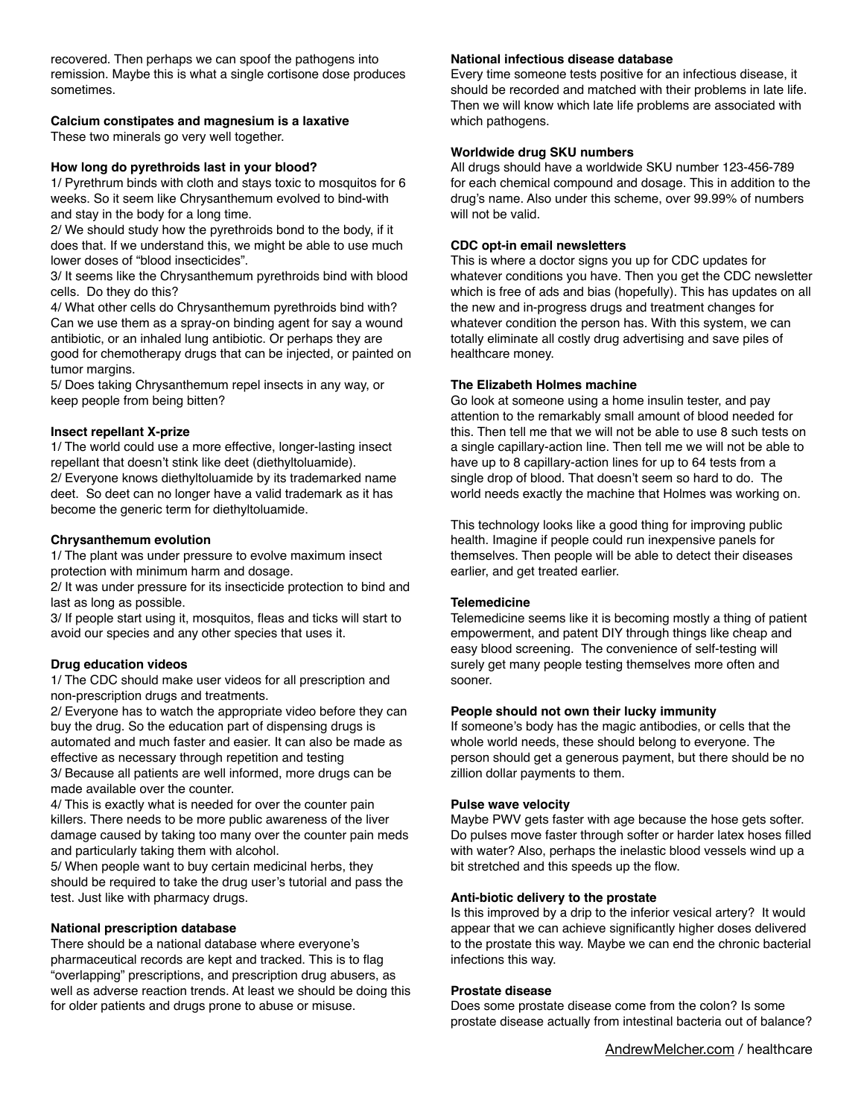recovered. Then perhaps we can spoof the pathogens into remission. Maybe this is what a single cortisone dose produces sometimes.

# **Calcium constipates and magnesium is a laxative**

These two minerals go very well together.

## **How long do pyrethroids last in your blood?**

1/ Pyrethrum binds with cloth and stays toxic to mosquitos for 6 weeks. So it seem like Chrysanthemum evolved to bind-with and stay in the body for a long time.

2/ We should study how the pyrethroids bond to the body, if it does that. If we understand this, we might be able to use much lower doses of "blood insecticides".

3/ It seems like the Chrysanthemum pyrethroids bind with blood cells. Do they do this?

4/ What other cells do Chrysanthemum pyrethroids bind with? Can we use them as a spray-on binding agent for say a wound antibiotic, or an inhaled lung antibiotic. Or perhaps they are good for chemotherapy drugs that can be injected, or painted on tumor margins.

5/ Does taking Chrysanthemum repel insects in any way, or keep people from being bitten?

## **Insect repellant X-prize**

1/ The world could use a more effective, longer-lasting insect repellant that doesn't stink like deet (diethyltoluamide). 2/ Everyone knows diethyltoluamide by its trademarked name deet. So deet can no longer have a valid trademark as it has become the generic term for diethyltoluamide.

## **Chrysanthemum evolution**

1/ The plant was under pressure to evolve maximum insect protection with minimum harm and dosage.

2/ It was under pressure for its insecticide protection to bind and last as long as possible.

3/ If people start using it, mosquitos, fleas and ticks will start to avoid our species and any other species that uses it.

## **Drug education videos**

1/ The CDC should make user videos for all prescription and non-prescription drugs and treatments.

2/ Everyone has to watch the appropriate video before they can buy the drug. So the education part of dispensing drugs is automated and much faster and easier. It can also be made as effective as necessary through repetition and testing 3/ Because all patients are well informed, more drugs can be made available over the counter.

4/ This is exactly what is needed for over the counter pain killers. There needs to be more public awareness of the liver damage caused by taking too many over the counter pain meds and particularly taking them with alcohol.

5/ When people want to buy certain medicinal herbs, they should be required to take the drug user's tutorial and pass the test. Just like with pharmacy drugs.

## **National prescription database**

There should be a national database where everyone's pharmaceutical records are kept and tracked. This is to flag "overlapping" prescriptions, and prescription drug abusers, as well as adverse reaction trends. At least we should be doing this for older patients and drugs prone to abuse or misuse.

### **National infectious disease database**

Every time someone tests positive for an infectious disease, it should be recorded and matched with their problems in late life. Then we will know which late life problems are associated with which pathogens.

## **Worldwide drug SKU numbers**

All drugs should have a worldwide SKU number 123-456-789 for each chemical compound and dosage. This in addition to the drug's name. Also under this scheme, over 99.99% of numbers will not be valid.

## **CDC opt-in email newsletters**

This is where a doctor signs you up for CDC updates for whatever conditions you have. Then you get the CDC newsletter which is free of ads and bias (hopefully). This has updates on all the new and in-progress drugs and treatment changes for whatever condition the person has. With this system, we can totally eliminate all costly drug advertising and save piles of healthcare money.

## **The Elizabeth Holmes machine**

Go look at someone using a home insulin tester, and pay attention to the remarkably small amount of blood needed for this. Then tell me that we will not be able to use 8 such tests on a single capillary-action line. Then tell me we will not be able to have up to 8 capillary-action lines for up to 64 tests from a single drop of blood. That doesn't seem so hard to do. The world needs exactly the machine that Holmes was working on.

This technology looks like a good thing for improving public health. Imagine if people could run inexpensive panels for themselves. Then people will be able to detect their diseases earlier, and get treated earlier.

## **Telemedicine**

Telemedicine seems like it is becoming mostly a thing of patient empowerment, and patent DIY through things like cheap and easy blood screening. The convenience of self-testing will surely get many people testing themselves more often and sooner.

## **People should not own their lucky immunity**

If someone's body has the magic antibodies, or cells that the whole world needs, these should belong to everyone. The person should get a generous payment, but there should be no zillion dollar payments to them.

## **Pulse wave velocity**

Maybe PWV gets faster with age because the hose gets softer. Do pulses move faster through softer or harder latex hoses filled with water? Also, perhaps the inelastic blood vessels wind up a bit stretched and this speeds up the flow.

## **Anti-biotic delivery to the prostate**

Is this improved by a drip to the inferior vesical artery? It would appear that we can achieve significantly higher doses delivered to the prostate this way. Maybe we can end the chronic bacterial infections this way.

## **Prostate disease**

Does some prostate disease come from the colon? Is some prostate disease actually from intestinal bacteria out of balance?